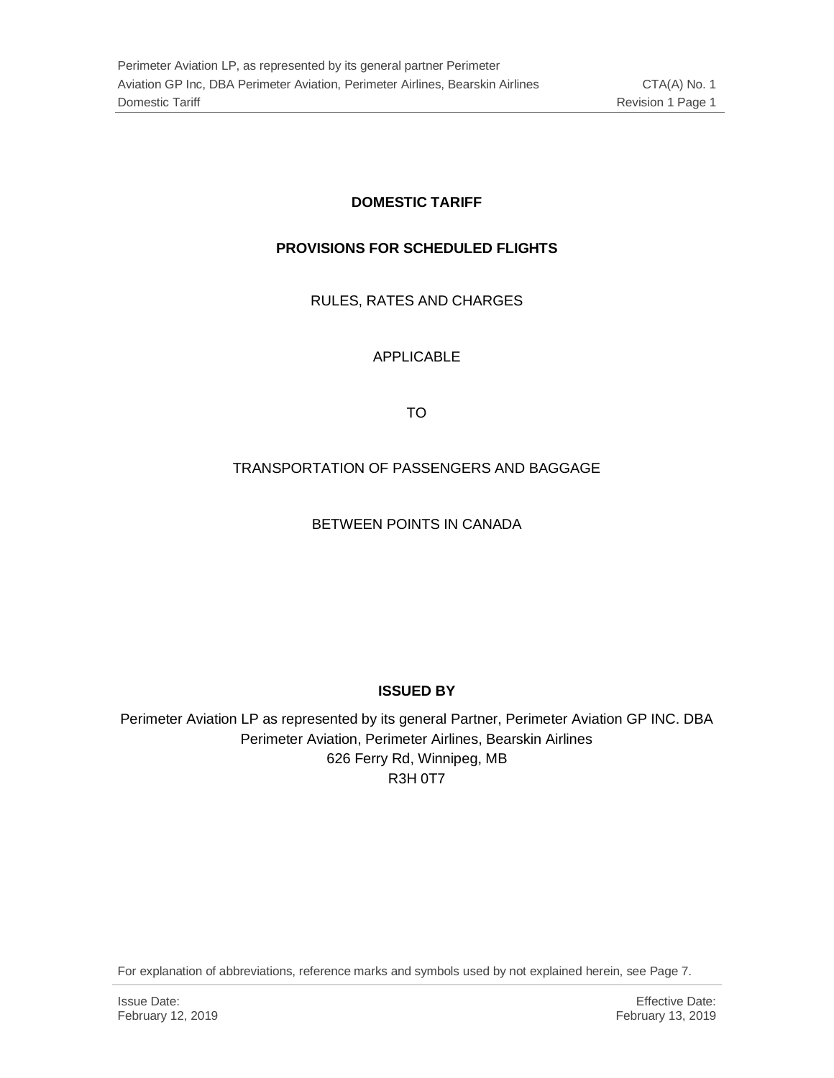### **DOMESTIC TARIFF**

#### **PROVISIONS FOR SCHEDULED FLIGHTS**

RULES, RATES AND CHARGES

APPLICABLE

TO

### TRANSPORTATION OF PASSENGERS AND BAGGAGE

BETWEEN POINTS IN CANADA

#### **ISSUED BY**

Perimeter Aviation LP as represented by its general Partner, Perimeter Aviation GP INC. DBA Perimeter Aviation, Perimeter Airlines, Bearskin Airlines 626 Ferry Rd, Winnipeg, MB R3H 0T7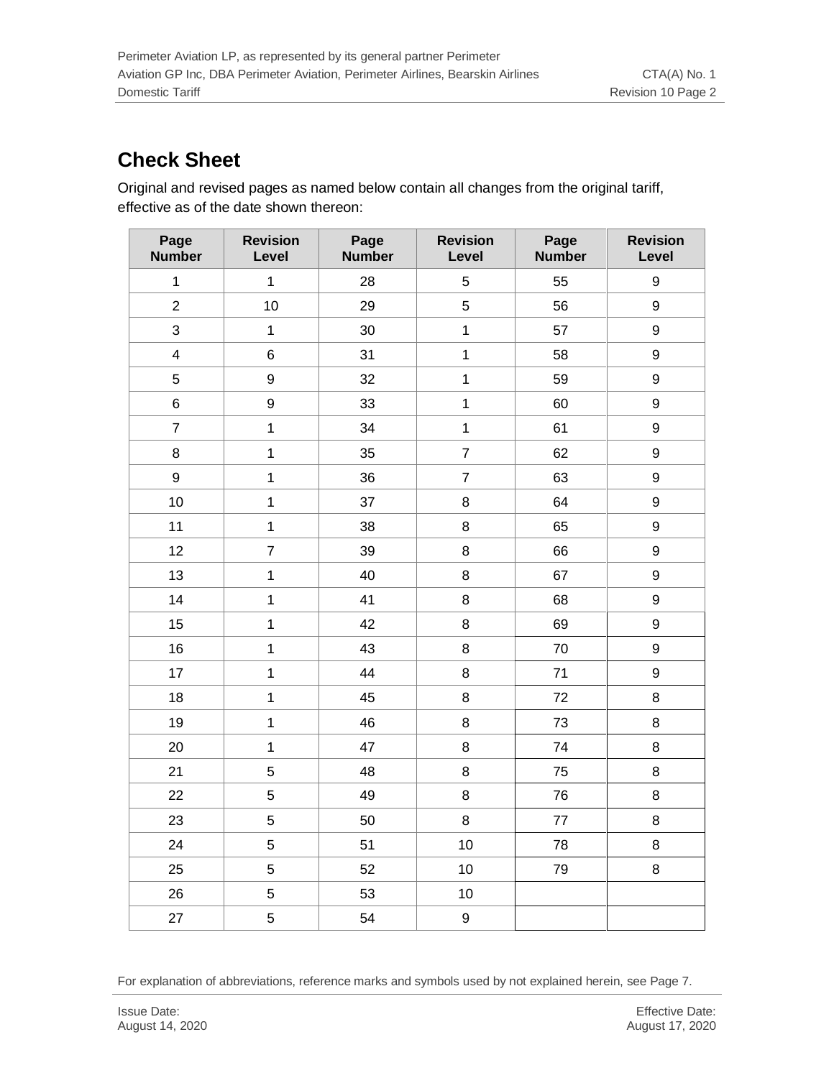# **Check Sheet**

Original and revised pages as named below contain all changes from the original tariff, effective as of the date shown thereon:

| Page<br><b>Number</b>   | <b>Revision</b><br>Level | Page<br><b>Number</b> | <b>Revision</b><br>Level | Page<br><b>Number</b> | <b>Revision</b><br>Level |
|-------------------------|--------------------------|-----------------------|--------------------------|-----------------------|--------------------------|
| $\mathbf{1}$            | $\mathbf{1}$             | 28                    | 5                        | 55                    | 9                        |
| $\overline{2}$          | 10                       | 29                    | 5                        | 56                    | 9                        |
| 3                       | $\mathbf{1}$             | 30                    | $\mathbf{1}$             | 57                    | 9                        |
| $\overline{\mathbf{4}}$ | $\,6$                    | 31                    | $\overline{1}$           | 58                    | 9                        |
| 5                       | 9                        | 32                    | $\mathbf{1}$             | 59                    | 9                        |
| 6                       | $\boldsymbol{9}$         | 33                    | $\mathbf{1}$             | 60                    | 9                        |
| $\overline{7}$          | $\overline{1}$           | 34                    | $\mathbf{1}$             | 61                    | 9                        |
| 8                       | $\mathbf{1}$             | 35                    | $\overline{7}$           | 62                    | 9                        |
| 9                       | $\overline{1}$           | 36                    | $\overline{7}$           | 63                    | 9                        |
| 10                      | $\overline{1}$           | 37                    | $\bf 8$                  | 64                    | 9                        |
| 11                      | $\mathbf{1}$             | 38                    | 8                        | 65                    | 9                        |
| 12                      | $\overline{7}$           | 39                    | $\bf 8$                  | 66                    | 9                        |
| 13                      | $\overline{1}$           | 40                    | 8                        | 67                    | 9                        |
| 14                      | $\mathbf{1}$             | 41                    | $\bf 8$                  | 68                    | 9                        |
| 15                      | $\mathbf{1}$             | 42                    | $\bf 8$                  | 69                    | 9                        |
| 16                      | $\mathbf{1}$             | 43                    | 8                        | 70                    | 9                        |
| 17                      | $\overline{1}$           | 44                    | $\bf 8$                  | 71                    | 9                        |
| 18                      | $\mathbf{1}$             | 45                    | 8                        | 72                    | 8                        |
| 19                      | $\mathbf{1}$             | 46                    | $\bf 8$                  | 73                    | 8                        |
| 20                      | $\overline{1}$           | 47                    | 8                        | 74                    | 8                        |
| 21                      | 5                        | 48                    | 8                        | 75                    | 8                        |
| 22                      | 5                        | 49                    | $\bf 8$                  | 76                    | 8                        |
| 23                      | 5                        | 50                    | $\bf 8$                  | 77                    | 8                        |
| 24                      | 5                        | 51                    | 10                       | 78                    | 8                        |
| 25                      | 5                        | 52                    | 10                       | 79                    | 8                        |
| 26                      | 5                        | 53                    | 10                       |                       |                          |
| 27                      | 5                        | 54                    | $\boldsymbol{9}$         |                       |                          |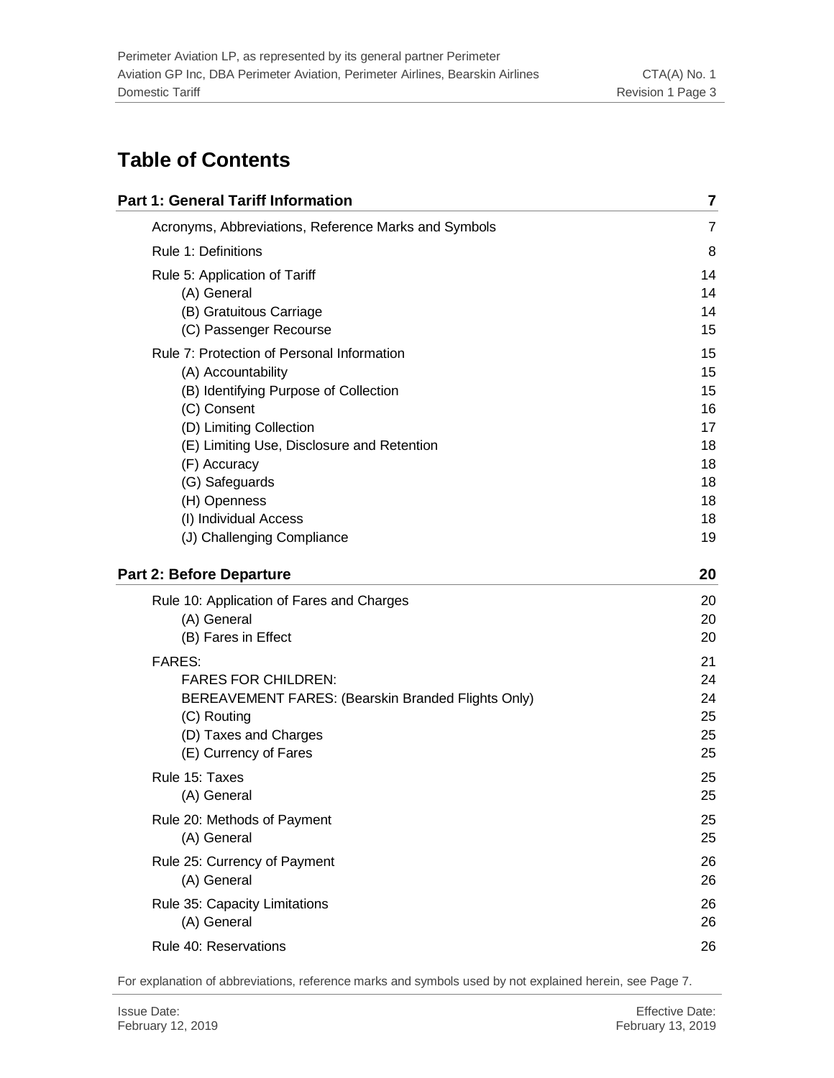# **Table of Contents**

| <b>Part 1: General Tariff Information</b>            | 7              |
|------------------------------------------------------|----------------|
| Acronyms, Abbreviations, Reference Marks and Symbols | $\overline{7}$ |
| Rule 1: Definitions                                  | 8              |
| Rule 5: Application of Tariff                        | 14             |
| (A) General                                          | 14             |
| (B) Gratuitous Carriage                              | 14             |
| (C) Passenger Recourse                               | 15             |
| Rule 7: Protection of Personal Information           | 15             |
| (A) Accountability                                   | 15             |
| (B) Identifying Purpose of Collection                | 15             |
| (C) Consent                                          | 16             |
| (D) Limiting Collection                              | 17             |
| (E) Limiting Use, Disclosure and Retention           | 18             |
| (F) Accuracy                                         | 18             |
| (G) Safeguards                                       | 18             |
| (H) Openness                                         | 18             |
| (I) Individual Access                                | 18             |
| (J) Challenging Compliance                           | 19             |
| <b>Part 2: Before Departure</b>                      | 20             |
| Rule 10: Application of Fares and Charges            | 20             |
| (A) General                                          | 20             |
| (B) Fares in Effect                                  | 20             |
| <b>FARES:</b>                                        | 21             |
| <b>FARES FOR CHILDREN:</b>                           | 24             |
| BEREAVEMENT FARES: (Bearskin Branded Flights Only)   | 24             |
| (C) Routing                                          | 25             |
| (D) Taxes and Charges                                | 25             |
| (E) Currency of Fares                                | 25             |
| Rule 15: Taxes                                       | 25             |
| (A) General                                          | 25             |
| Rule 20: Methods of Payment                          | 25             |
| (A) General                                          | 25             |
| Rule 25: Currency of Payment                         | 26             |
| (A) General                                          | 26             |
| Rule 35: Capacity Limitations                        | 26             |
| (A) General                                          | 26             |
| Rule 40: Reservations                                | 26             |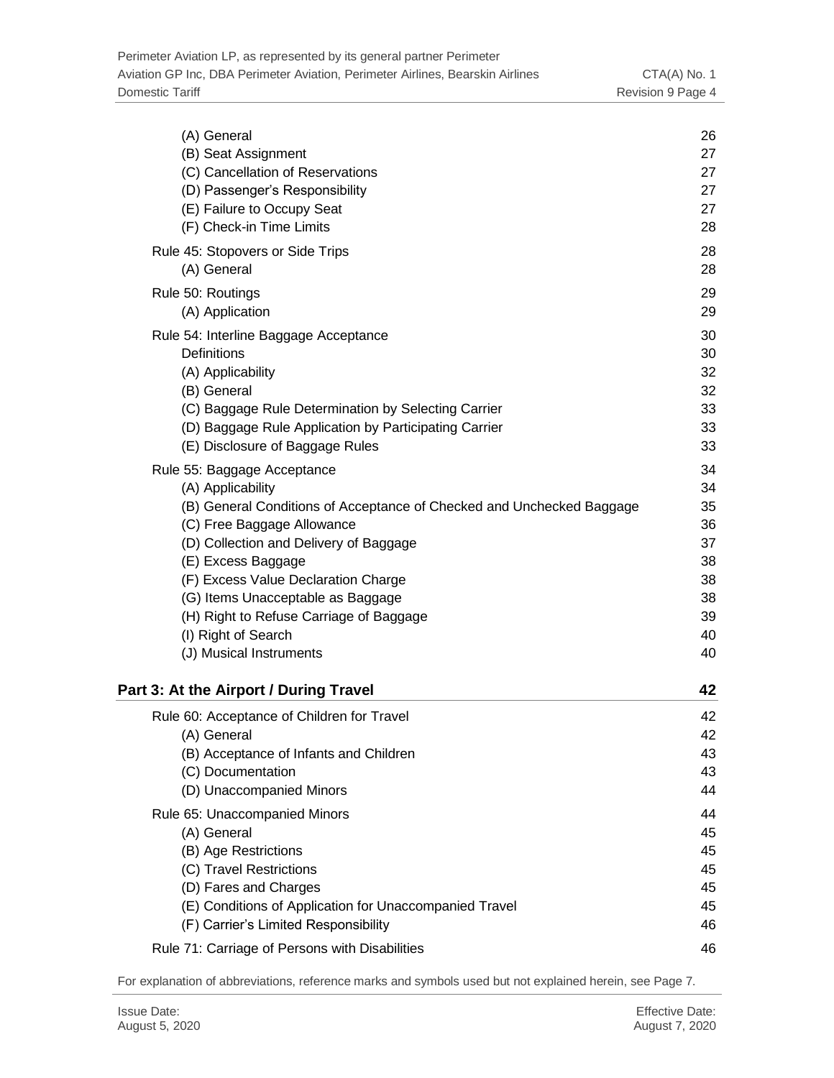| (A) General                                                           | 26 |
|-----------------------------------------------------------------------|----|
| (B) Seat Assignment                                                   | 27 |
| (C) Cancellation of Reservations                                      | 27 |
| (D) Passenger's Responsibility                                        | 27 |
| (E) Failure to Occupy Seat                                            | 27 |
| (F) Check-in Time Limits                                              | 28 |
| Rule 45: Stopovers or Side Trips                                      | 28 |
| (A) General                                                           | 28 |
| Rule 50: Routings                                                     | 29 |
| (A) Application                                                       | 29 |
| Rule 54: Interline Baggage Acceptance                                 | 30 |
| Definitions                                                           | 30 |
| (A) Applicability                                                     | 32 |
| (B) General                                                           | 32 |
| (C) Baggage Rule Determination by Selecting Carrier                   | 33 |
| (D) Baggage Rule Application by Participating Carrier                 | 33 |
| (E) Disclosure of Baggage Rules                                       | 33 |
| Rule 55: Baggage Acceptance                                           | 34 |
| (A) Applicability                                                     | 34 |
| (B) General Conditions of Acceptance of Checked and Unchecked Baggage | 35 |
| (C) Free Baggage Allowance                                            | 36 |
| (D) Collection and Delivery of Baggage                                | 37 |
| (E) Excess Baggage                                                    | 38 |
| (F) Excess Value Declaration Charge                                   | 38 |
| (G) Items Unacceptable as Baggage                                     | 38 |
| (H) Right to Refuse Carriage of Baggage                               | 39 |
| (I) Right of Search                                                   | 40 |
| (J) Musical Instruments                                               | 40 |
| Part 3: At the Airport / During Travel                                | 42 |
| Rule 60: Acceptance of Children for Travel                            | 42 |
| (A) General                                                           | 42 |
| (B) Acceptance of Infants and Children                                | 43 |
| (C) Documentation                                                     | 43 |
| (D) Unaccompanied Minors                                              | 44 |
| Rule 65: Unaccompanied Minors                                         | 44 |
| (A) General                                                           | 45 |
| (B) Age Restrictions                                                  | 45 |
| (C) Travel Restrictions                                               | 45 |
| (D) Fares and Charges                                                 | 45 |
| (E) Conditions of Application for Unaccompanied Travel                | 45 |
| (F) Carrier's Limited Responsibility                                  | 46 |
| Rule 71: Carriage of Persons with Disabilities                        | 46 |
|                                                                       |    |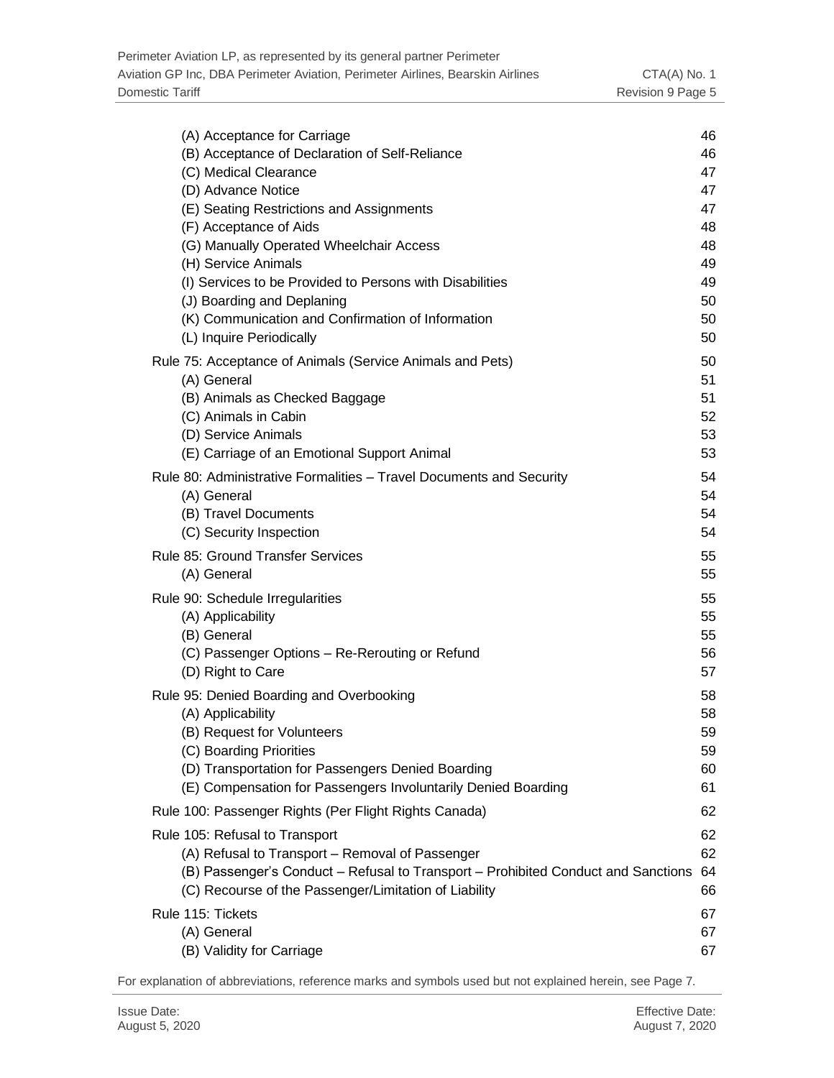| (A) Acceptance for Carriage                                                       | 46 |
|-----------------------------------------------------------------------------------|----|
| (B) Acceptance of Declaration of Self-Reliance                                    | 46 |
| (C) Medical Clearance                                                             | 47 |
| (D) Advance Notice                                                                | 47 |
| (E) Seating Restrictions and Assignments                                          | 47 |
| (F) Acceptance of Aids                                                            | 48 |
| (G) Manually Operated Wheelchair Access                                           | 48 |
| (H) Service Animals                                                               | 49 |
| (I) Services to be Provided to Persons with Disabilities                          | 49 |
| (J) Boarding and Deplaning                                                        | 50 |
| (K) Communication and Confirmation of Information                                 | 50 |
| (L) Inquire Periodically                                                          | 50 |
| Rule 75: Acceptance of Animals (Service Animals and Pets)                         | 50 |
| (A) General                                                                       | 51 |
| (B) Animals as Checked Baggage                                                    | 51 |
| (C) Animals in Cabin                                                              | 52 |
| (D) Service Animals                                                               | 53 |
| (E) Carriage of an Emotional Support Animal                                       | 53 |
| Rule 80: Administrative Formalities - Travel Documents and Security               | 54 |
| (A) General                                                                       | 54 |
| (B) Travel Documents                                                              | 54 |
| (C) Security Inspection                                                           | 54 |
| Rule 85: Ground Transfer Services                                                 | 55 |
| (A) General                                                                       | 55 |
| Rule 90: Schedule Irregularities                                                  | 55 |
| (A) Applicability                                                                 | 55 |
| (B) General                                                                       | 55 |
| (C) Passenger Options - Re-Rerouting or Refund                                    | 56 |
| (D) Right to Care                                                                 | 57 |
| Rule 95: Denied Boarding and Overbooking                                          | 58 |
| (A) Applicability                                                                 | 58 |
| (B) Request for Volunteers                                                        | 59 |
| (C) Boarding Priorities                                                           | 59 |
| (D) Transportation for Passengers Denied Boarding                                 | 60 |
| (E) Compensation for Passengers Involuntarily Denied Boarding                     | 61 |
| Rule 100: Passenger Rights (Per Flight Rights Canada)                             | 62 |
| Rule 105: Refusal to Transport                                                    | 62 |
| (A) Refusal to Transport - Removal of Passenger                                   | 62 |
| (B) Passenger's Conduct - Refusal to Transport - Prohibited Conduct and Sanctions | 64 |
| (C) Recourse of the Passenger/Limitation of Liability                             | 66 |
| Rule 115: Tickets                                                                 | 67 |
| (A) General                                                                       | 67 |
| (B) Validity for Carriage                                                         | 67 |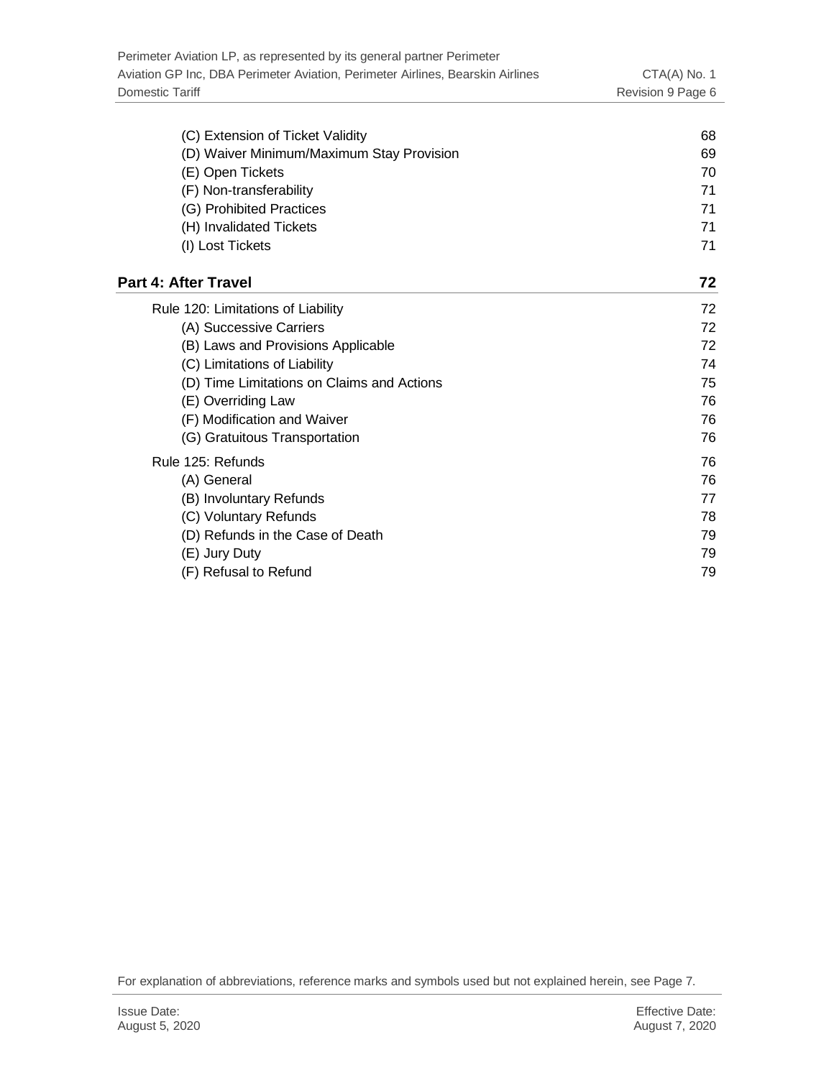| (C) Extension of Ticket Validity           | 68 |
|--------------------------------------------|----|
| (D) Waiver Minimum/Maximum Stay Provision  | 69 |
| (E) Open Tickets                           | 70 |
| (F) Non-transferability                    | 71 |
| (G) Prohibited Practices                   | 71 |
| (H) Invalidated Tickets                    | 71 |
| (I) Lost Tickets                           | 71 |
| Part 4: After Travel                       | 72 |
| Rule 120: Limitations of Liability         | 72 |
| (A) Successive Carriers                    | 72 |
| (B) Laws and Provisions Applicable         | 72 |
| (C) Limitations of Liability               | 74 |
| (D) Time Limitations on Claims and Actions | 75 |
| (E) Overriding Law                         | 76 |
| (F) Modification and Waiver                | 76 |
| (G) Gratuitous Transportation              | 76 |
| Rule 125: Refunds                          | 76 |
| (A) General                                | 76 |
| (B) Involuntary Refunds                    | 77 |
| (C) Voluntary Refunds                      | 78 |
| (D) Refunds in the Case of Death           | 79 |
| (E) Jury Duty                              | 79 |
| (F) Refusal to Refund                      | 79 |
|                                            |    |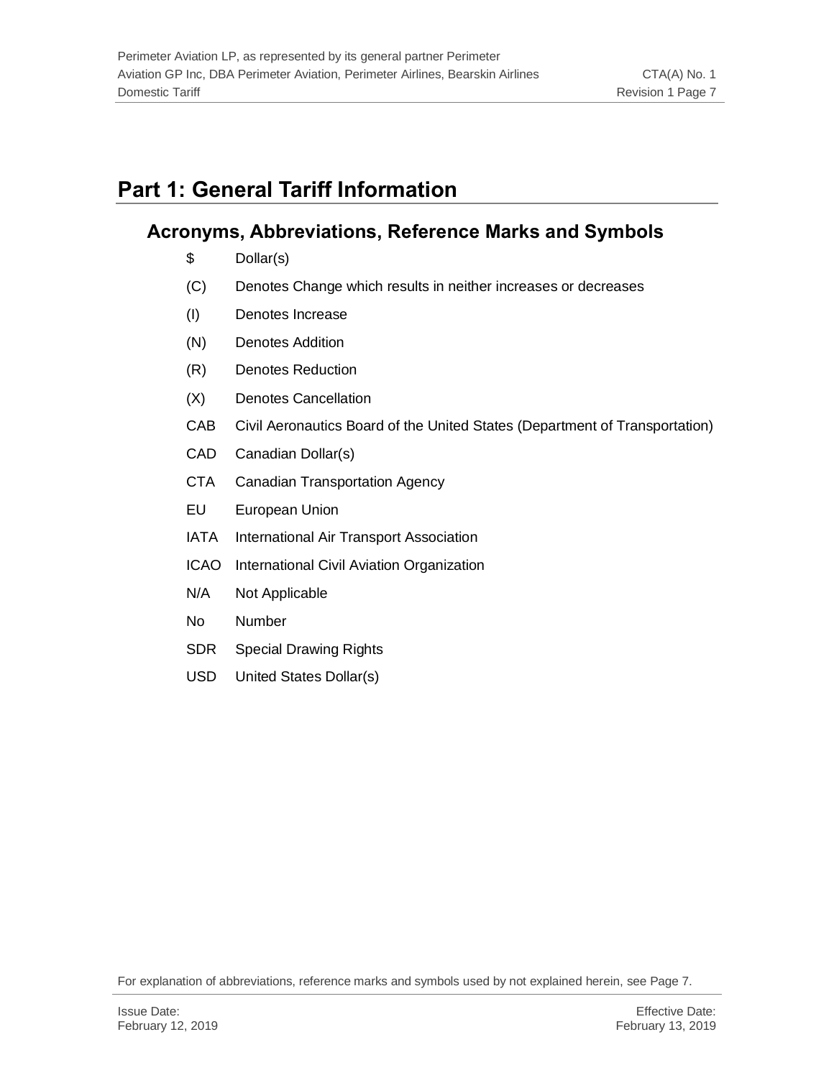# <span id="page-6-0"></span>**Part 1: General Tariff Information**

# <span id="page-6-1"></span>**Acronyms, Abbreviations, Reference Marks and Symbols**

- \$ Dollar(s)
- (C) Denotes Change which results in neither increases or decreases
- (I) Denotes Increase
- (N) Denotes Addition
- (R) Denotes Reduction
- (X) Denotes Cancellation
- CAB Civil Aeronautics Board of the United States (Department of Transportation)
- CAD Canadian Dollar(s)
- CTA Canadian Transportation Agency
- EU European Union
- IATA International Air Transport Association
- ICAO International Civil Aviation Organization
- N/A Not Applicable
- No Number
- SDR Special Drawing Rights
- USD United States Dollar(s)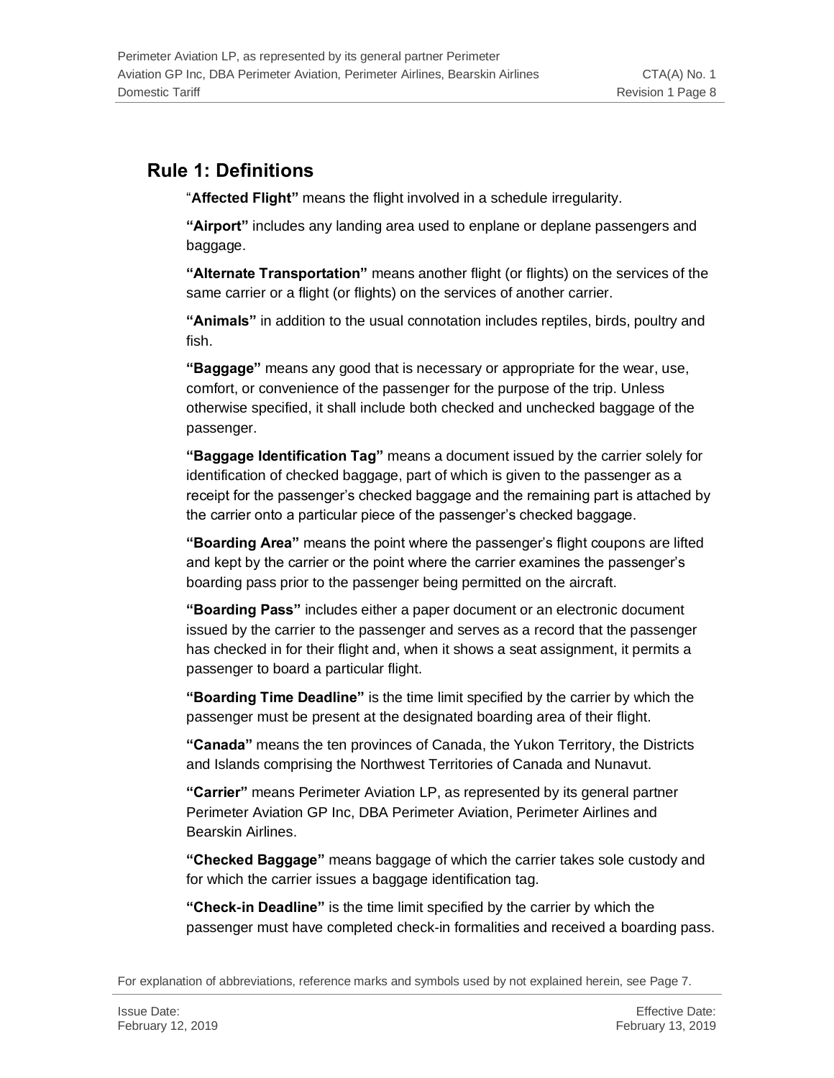# <span id="page-7-0"></span>**Rule 1: Definitions**

"**Affected Flight"** means the flight involved in a schedule irregularity.

**"Airport"** includes any landing area used to enplane or deplane passengers and baggage.

**"Alternate Transportation"** means another flight (or flights) on the services of the same carrier or a flight (or flights) on the services of another carrier.

**"Animals"** in addition to the usual connotation includes reptiles, birds, poultry and fish.

**"Baggage"** means any good that is necessary or appropriate for the wear, use, comfort, or convenience of the passenger for the purpose of the trip. Unless otherwise specified, it shall include both checked and unchecked baggage of the passenger.

**"Baggage Identification Tag"** means a document issued by the carrier solely for identification of checked baggage, part of which is given to the passenger as a receipt for the passenger's checked baggage and the remaining part is attached by the carrier onto a particular piece of the passenger's checked baggage.

**"Boarding Area"** means the point where the passenger's flight coupons are lifted and kept by the carrier or the point where the carrier examines the passenger's boarding pass prior to the passenger being permitted on the aircraft.

**"Boarding Pass"** includes either a paper document or an electronic document issued by the carrier to the passenger and serves as a record that the passenger has checked in for their flight and, when it shows a seat assignment, it permits a passenger to board a particular flight.

**"Boarding Time Deadline"** is the time limit specified by the carrier by which the passenger must be present at the designated boarding area of their flight.

**"Canada"** means the ten provinces of Canada, the Yukon Territory, the Districts and Islands comprising the Northwest Territories of Canada and Nunavut.

**"Carrier"** means Perimeter Aviation LP, as represented by its general partner Perimeter Aviation GP Inc, DBA Perimeter Aviation, Perimeter Airlines and Bearskin Airlines.

**"Checked Baggage"** means baggage of which the carrier takes sole custody and for which the carrier issues a baggage identification tag.

**"Check-in Deadline"** is the time limit specified by the carrier by which the passenger must have completed check-in formalities and received a boarding pass.

For explanation of abbreviations, reference marks and symbols used by not explained herein, see Page 7.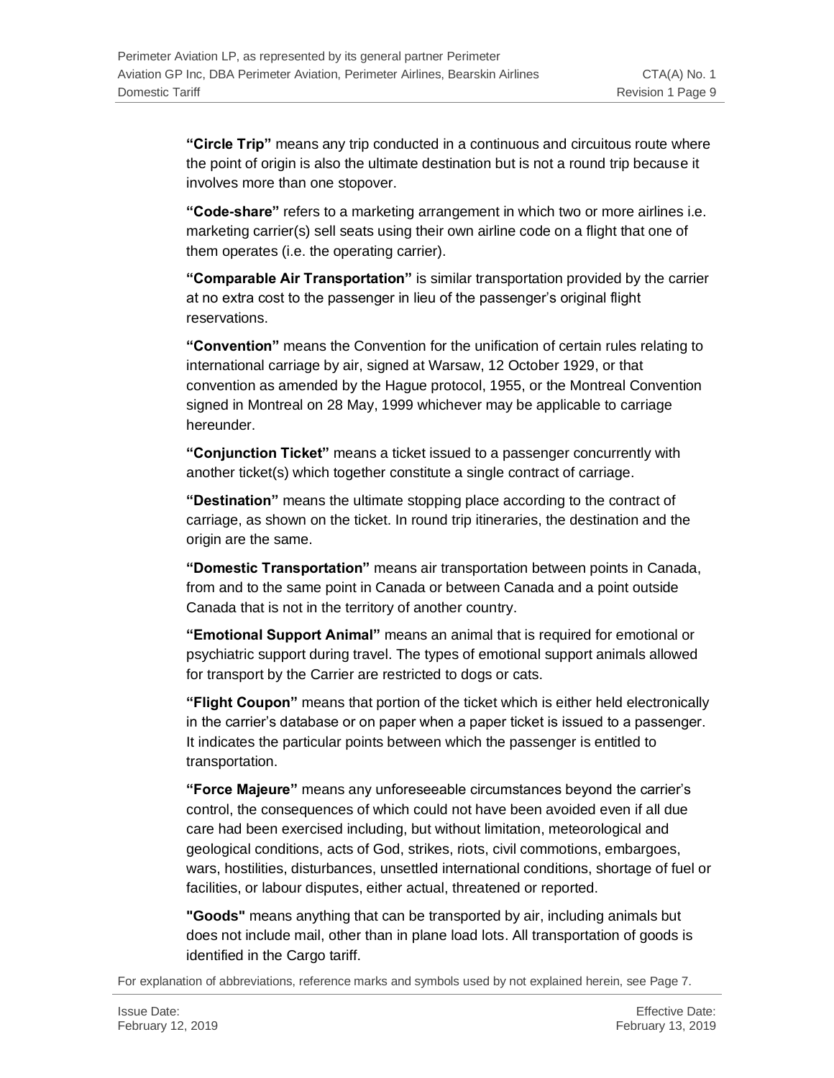**"Circle Trip"** means any trip conducted in a continuous and circuitous route where the point of origin is also the ultimate destination but is not a round trip because it involves more than one stopover.

**"Code-share"** refers to a marketing arrangement in which two or more airlines i.e. marketing carrier(s) sell seats using their own airline code on a flight that one of them operates (i.e. the operating carrier).

**"Comparable Air Transportation"** is similar transportation provided by the carrier at no extra cost to the passenger in lieu of the passenger's original flight reservations.

**"Convention"** means the Convention for the unification of certain rules relating to international carriage by air, signed at Warsaw, 12 October 1929, or that convention as amended by the Hague protocol, 1955, or the Montreal Convention signed in Montreal on 28 May, 1999 whichever may be applicable to carriage hereunder.

**"Conjunction Ticket"** means a ticket issued to a passenger concurrently with another ticket(s) which together constitute a single contract of carriage.

**"Destination"** means the ultimate stopping place according to the contract of carriage, as shown on the ticket. In round trip itineraries, the destination and the origin are the same.

**"Domestic Transportation"** means air transportation between points in Canada, from and to the same point in Canada or between Canada and a point outside Canada that is not in the territory of another country.

**"Emotional Support Animal"** means an animal that is required for emotional or psychiatric support during travel. The types of emotional support animals allowed for transport by the Carrier are restricted to dogs or cats.

**"Flight Coupon"** means that portion of the ticket which is either held electronically in the carrier's database or on paper when a paper ticket is issued to a passenger. It indicates the particular points between which the passenger is entitled to transportation.

**"Force Majeure"** means any unforeseeable circumstances beyond the carrier's control, the consequences of which could not have been avoided even if all due care had been exercised including, but without limitation, meteorological and geological conditions, acts of God, strikes, riots, civil commotions, embargoes, wars, hostilities, disturbances, unsettled international conditions, shortage of fuel or facilities, or labour disputes, either actual, threatened or reported.

**"Goods"** means anything that can be transported by air, including animals but does not include mail, other than in plane load lots. All transportation of goods is identified in the Cargo tariff.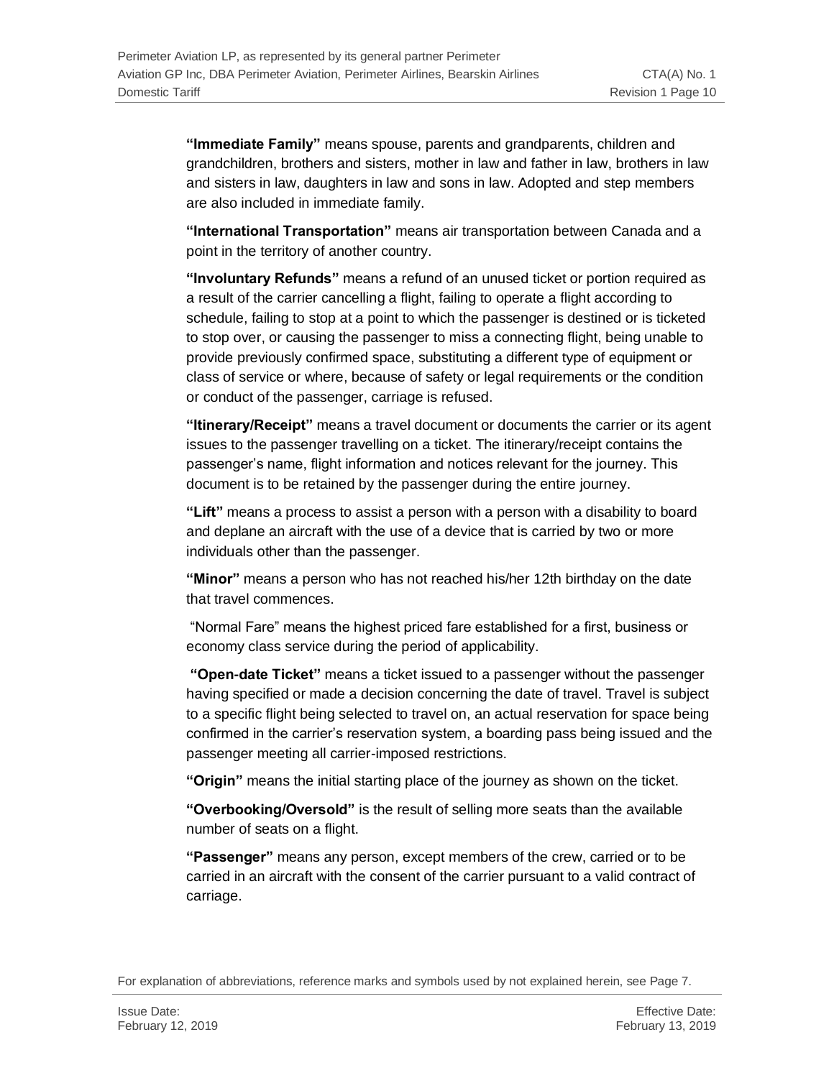**"Immediate Family"** means spouse, parents and grandparents, children and grandchildren, brothers and sisters, mother in law and father in law, brothers in law and sisters in law, daughters in law and sons in law. Adopted and step members are also included in immediate family.

**"International Transportation"** means air transportation between Canada and a point in the territory of another country.

**"Involuntary Refunds"** means a refund of an unused ticket or portion required as a result of the carrier cancelling a flight, failing to operate a flight according to schedule, failing to stop at a point to which the passenger is destined or is ticketed to stop over, or causing the passenger to miss a connecting flight, being unable to provide previously confirmed space, substituting a different type of equipment or class of service or where, because of safety or legal requirements or the condition or conduct of the passenger, carriage is refused.

**"Itinerary/Receipt"** means a travel document or documents the carrier or its agent issues to the passenger travelling on a ticket. The itinerary/receipt contains the passenger's name, flight information and notices relevant for the journey. This document is to be retained by the passenger during the entire journey.

**"Lift"** means a process to assist a person with a person with a disability to board and deplane an aircraft with the use of a device that is carried by two or more individuals other than the passenger.

**"Minor"** means a person who has not reached his/her 12th birthday on the date that travel commences.

"Normal Fare" means the highest priced fare established for a first, business or economy class service during the period of applicability.

**"Open-date Ticket"** means a ticket issued to a passenger without the passenger having specified or made a decision concerning the date of travel. Travel is subject to a specific flight being selected to travel on, an actual reservation for space being confirmed in the carrier's reservation system, a boarding pass being issued and the passenger meeting all carrier-imposed restrictions.

**"Origin"** means the initial starting place of the journey as shown on the ticket.

**"Overbooking/Oversold"** is the result of selling more seats than the available number of seats on a flight.

**"Passenger"** means any person, except members of the crew, carried or to be carried in an aircraft with the consent of the carrier pursuant to a valid contract of carriage.

For explanation of abbreviations, reference marks and symbols used by not explained herein, see Page 7.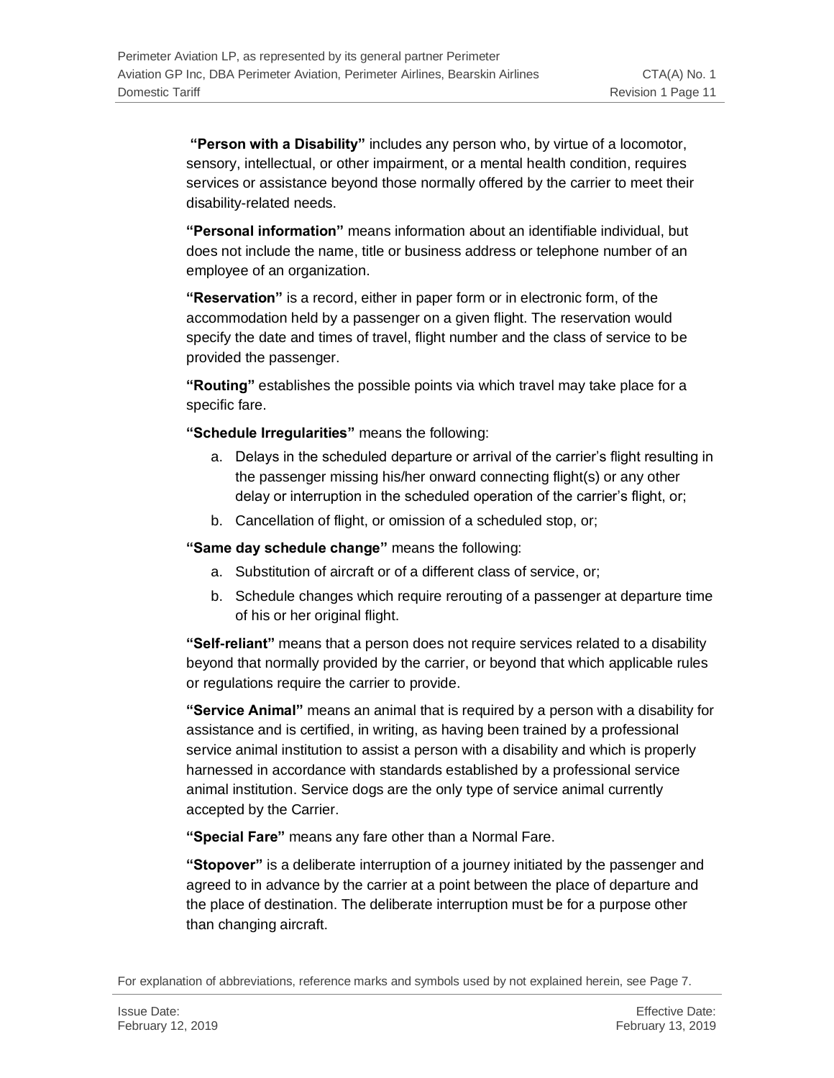**"Person with a Disability"** includes any person who, by virtue of a locomotor, sensory, intellectual, or other impairment, or a mental health condition, requires services or assistance beyond those normally offered by the carrier to meet their disability-related needs.

**"Personal information"** means information about an identifiable individual, but does not include the name, title or business address or telephone number of an employee of an organization.

**"Reservation"** is a record, either in paper form or in electronic form, of the accommodation held by a passenger on a given flight. The reservation would specify the date and times of travel, flight number and the class of service to be provided the passenger.

**"Routing"** establishes the possible points via which travel may take place for a specific fare.

**"Schedule Irregularities"** means the following:

- a. Delays in the scheduled departure or arrival of the carrier's flight resulting in the passenger missing his/her onward connecting flight(s) or any other delay or interruption in the scheduled operation of the carrier's flight, or;
- b. Cancellation of flight, or omission of a scheduled stop, or;

**"Same day schedule change"** means the following:

- a. Substitution of aircraft or of a different class of service, or;
- b. Schedule changes which require rerouting of a passenger at departure time of his or her original flight.

**"Self-reliant"** means that a person does not require services related to a disability beyond that normally provided by the carrier, or beyond that which applicable rules or regulations require the carrier to provide.

**"Service Animal"** means an animal that is required by a person with a disability for assistance and is certified, in writing, as having been trained by a professional service animal institution to assist a person with a disability and which is properly harnessed in accordance with standards established by a professional service animal institution. Service dogs are the only type of service animal currently accepted by the Carrier.

**"Special Fare"** means any fare other than a Normal Fare.

**"Stopover"** is a deliberate interruption of a journey initiated by the passenger and agreed to in advance by the carrier at a point between the place of departure and the place of destination. The deliberate interruption must be for a purpose other than changing aircraft.

For explanation of abbreviations, reference marks and symbols used by not explained herein, see Page 7.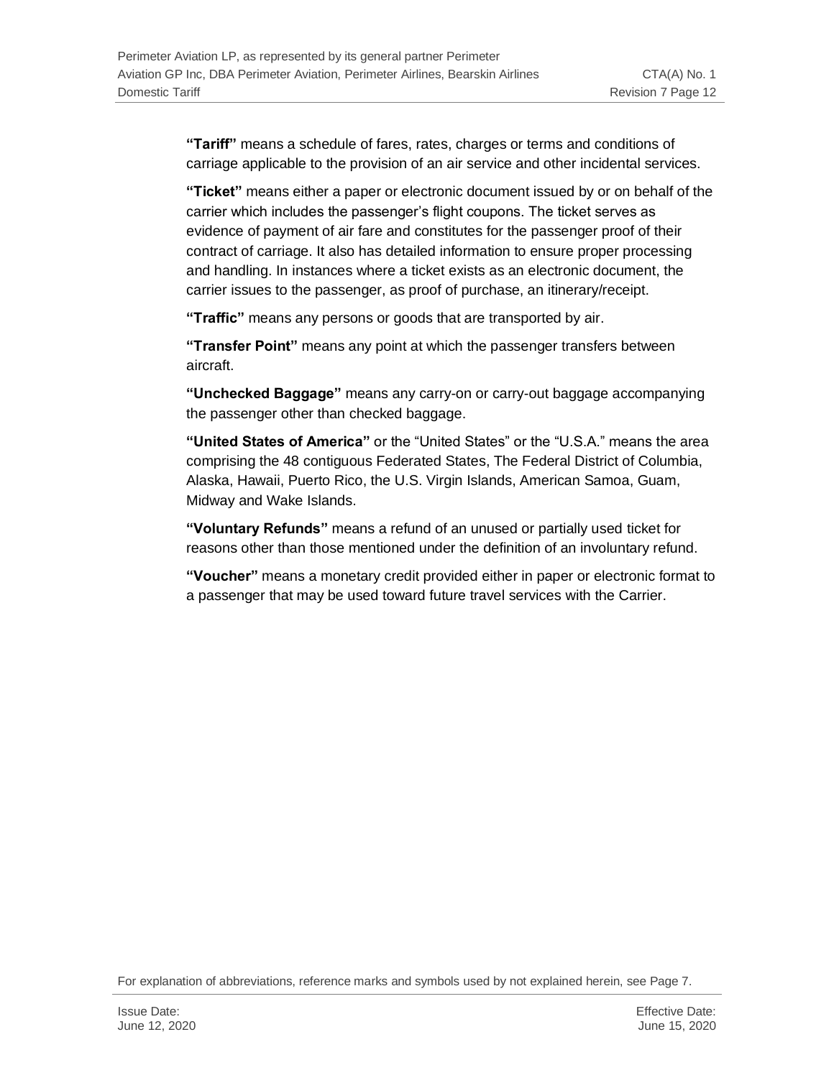**"Tariff"** means a schedule of fares, rates, charges or terms and conditions of carriage applicable to the provision of an air service and other incidental services.

**"Ticket"** means either a paper or electronic document issued by or on behalf of the carrier which includes the passenger's flight coupons. The ticket serves as evidence of payment of air fare and constitutes for the passenger proof of their contract of carriage. It also has detailed information to ensure proper processing and handling. In instances where a ticket exists as an electronic document, the carrier issues to the passenger, as proof of purchase, an itinerary/receipt.

**"Traffic"** means any persons or goods that are transported by air.

**"Transfer Point"** means any point at which the passenger transfers between aircraft.

**"Unchecked Baggage"** means any carry-on or carry-out baggage accompanying the passenger other than checked baggage.

**"United States of America"** or the "United States" or the "U.S.A." means the area comprising the 48 contiguous Federated States, The Federal District of Columbia, Alaska, Hawaii, Puerto Rico, the U.S. Virgin Islands, American Samoa, Guam, Midway and Wake Islands.

**"Voluntary Refunds"** means a refund of an unused or partially used ticket for reasons other than those mentioned under the definition of an involuntary refund.

**"Voucher"** means a monetary credit provided either in paper or electronic format to a passenger that may be used toward future travel services with the Carrier.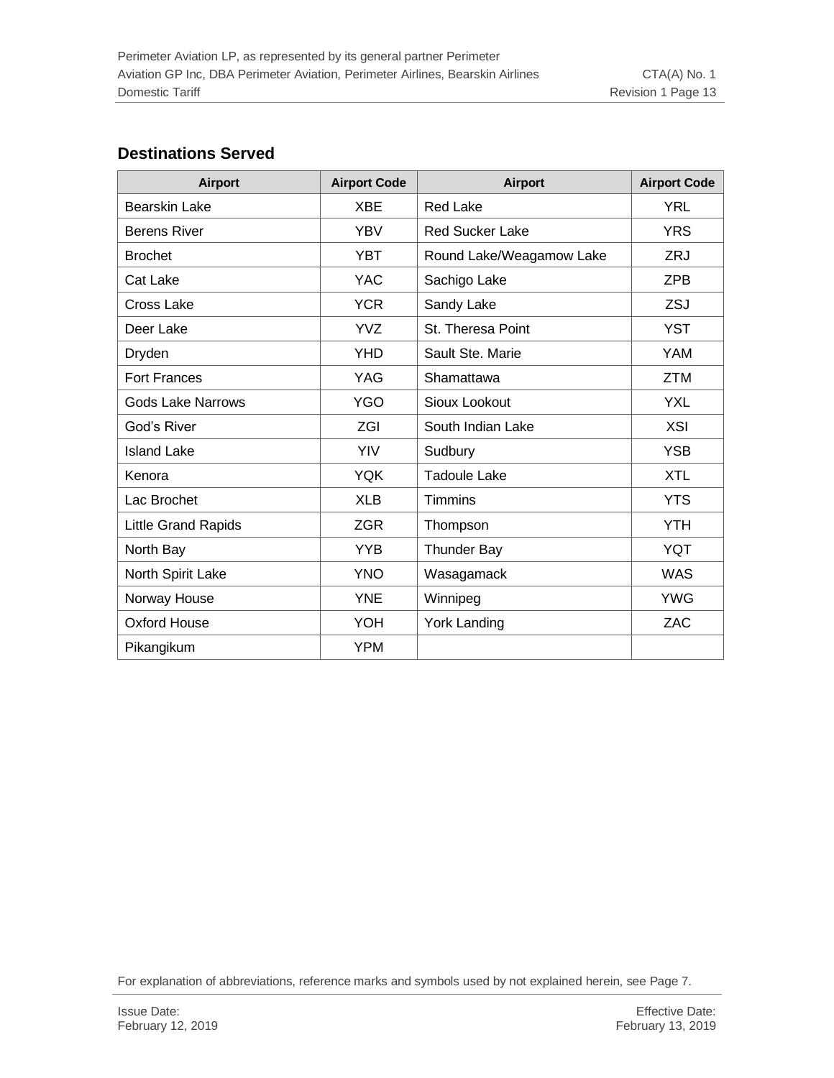#### **Destinations Served**

| Airport                    | <b>Airport Code</b> | <b>Airport</b>           | <b>Airport Code</b> |
|----------------------------|---------------------|--------------------------|---------------------|
| <b>Bearskin Lake</b>       | <b>XBE</b>          | <b>Red Lake</b>          | <b>YRL</b>          |
| <b>Berens River</b>        | <b>YBV</b>          | <b>Red Sucker Lake</b>   | <b>YRS</b>          |
| <b>Brochet</b>             | <b>YBT</b>          | Round Lake/Weagamow Lake | ZRJ                 |
| Cat Lake                   | <b>YAC</b>          | Sachigo Lake             | <b>ZPB</b>          |
| <b>Cross Lake</b>          | <b>YCR</b>          | Sandy Lake               | ZSJ                 |
| Deer Lake                  | <b>YVZ</b>          | St. Theresa Point        | <b>YST</b>          |
| Dryden                     | <b>YHD</b>          | Sault Ste. Marie         | <b>YAM</b>          |
| <b>Fort Frances</b>        | YAG                 | Shamattawa               | <b>ZTM</b>          |
| <b>Gods Lake Narrows</b>   | <b>YGO</b>          | Sioux Lookout            | <b>YXL</b>          |
| God's River                | ZGI                 | South Indian Lake        | <b>XSI</b>          |
| <b>Island Lake</b>         | YIV                 | Sudbury                  | <b>YSB</b>          |
| Kenora                     | <b>YQK</b>          | <b>Tadoule Lake</b>      | <b>XTL</b>          |
| Lac Brochet                | <b>XLB</b>          | <b>Timmins</b>           | <b>YTS</b>          |
| <b>Little Grand Rapids</b> | <b>ZGR</b>          | Thompson                 | <b>YTH</b>          |
| North Bay                  | <b>YYB</b>          | <b>Thunder Bay</b>       | <b>YQT</b>          |
| North Spirit Lake          | <b>YNO</b>          | Wasagamack               | <b>WAS</b>          |
| Norway House               | <b>YNE</b>          | Winnipeg                 | <b>YWG</b>          |
| Oxford House               | YOH                 | <b>York Landing</b>      | <b>ZAC</b>          |
| Pikangikum                 | <b>YPM</b>          |                          |                     |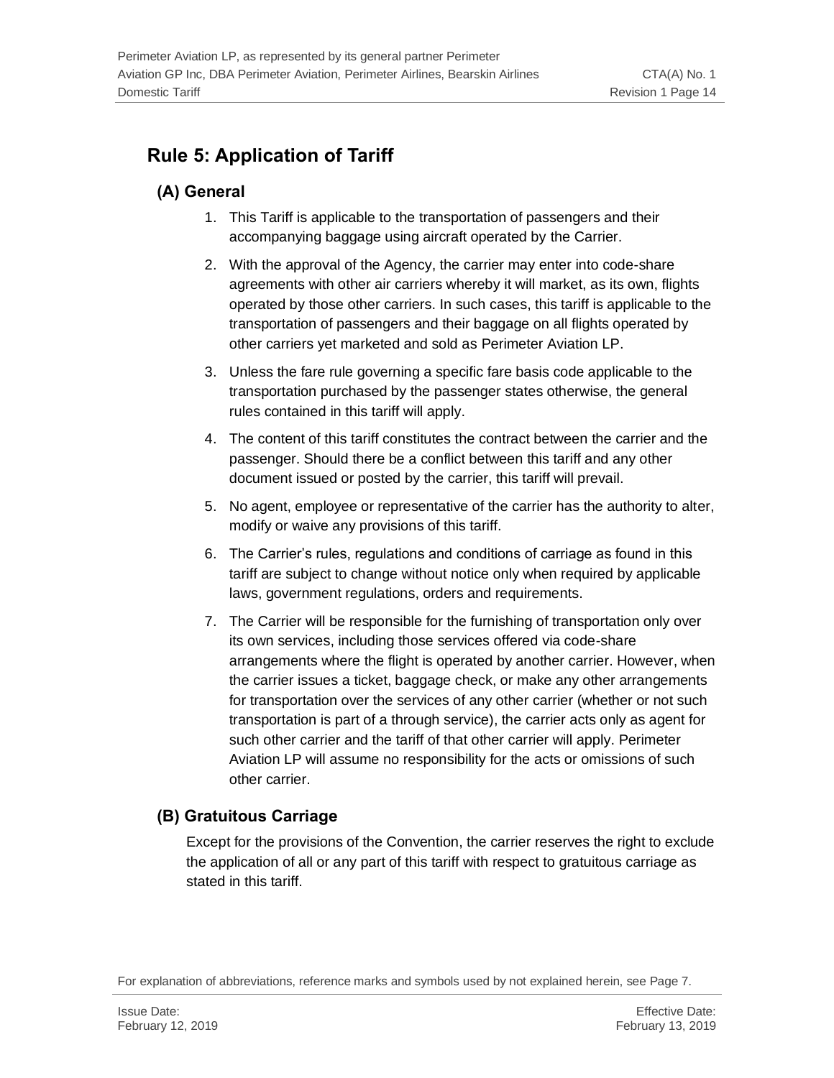# <span id="page-13-0"></span>**Rule 5: Application of Tariff**

### <span id="page-13-1"></span>**(A) General**

- 1. This Tariff is applicable to the transportation of passengers and their accompanying baggage using aircraft operated by the Carrier.
- 2. With the approval of the Agency, the carrier may enter into code-share agreements with other air carriers whereby it will market, as its own, flights operated by those other carriers. In such cases, this tariff is applicable to the transportation of passengers and their baggage on all flights operated by other carriers yet marketed and sold as Perimeter Aviation LP.
- 3. Unless the fare rule governing a specific fare basis code applicable to the transportation purchased by the passenger states otherwise, the general rules contained in this tariff will apply.
- 4. The content of this tariff constitutes the contract between the carrier and the passenger. Should there be a conflict between this tariff and any other document issued or posted by the carrier, this tariff will prevail.
- 5. No agent, employee or representative of the carrier has the authority to alter, modify or waive any provisions of this tariff.
- 6. The Carrier's rules, regulations and conditions of carriage as found in this tariff are subject to change without notice only when required by applicable laws, government regulations, orders and requirements.
- 7. The Carrier will be responsible for the furnishing of transportation only over its own services, including those services offered via code-share arrangements where the flight is operated by another carrier. However, when the carrier issues a ticket, baggage check, or make any other arrangements for transportation over the services of any other carrier (whether or not such transportation is part of a through service), the carrier acts only as agent for such other carrier and the tariff of that other carrier will apply. Perimeter Aviation LP will assume no responsibility for the acts or omissions of such other carrier.

# <span id="page-13-2"></span>**(B) Gratuitous Carriage**

Except for the provisions of the Convention, the carrier reserves the right to exclude the application of all or any part of this tariff with respect to gratuitous carriage as stated in this tariff.

For explanation of abbreviations, reference marks and symbols used by not explained herein, see Page 7.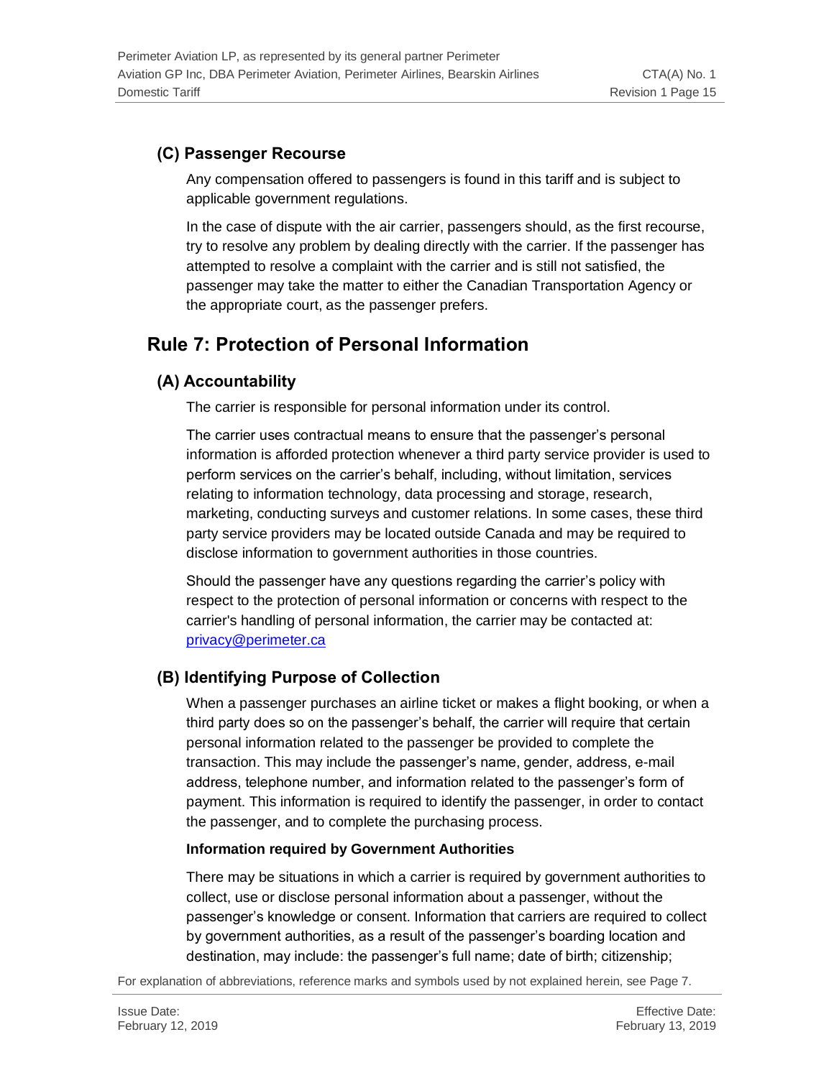### <span id="page-14-0"></span>**(C) Passenger Recourse**

Any compensation offered to passengers is found in this tariff and is subject to applicable government regulations.

In the case of dispute with the air carrier, passengers should, as the first recourse, try to resolve any problem by dealing directly with the carrier. If the passenger has attempted to resolve a complaint with the carrier and is still not satisfied, the passenger may take the matter to either the Canadian Transportation Agency or the appropriate court, as the passenger prefers.

# <span id="page-14-1"></span>**Rule 7: Protection of Personal Information**

### <span id="page-14-2"></span>**(A) Accountability**

The carrier is responsible for personal information under its control.

The carrier uses contractual means to ensure that the passenger's personal information is afforded protection whenever a third party service provider is used to perform services on the carrier's behalf, including, without limitation, services relating to information technology, data processing and storage, research, marketing, conducting surveys and customer relations. In some cases, these third party service providers may be located outside Canada and may be required to disclose information to government authorities in those countries.

Should the passenger have any questions regarding the carrier's policy with respect to the protection of personal information or concerns with respect to the carrier's handling of personal information, the carrier may be contacted at: [privacy@perimeter.ca](mailto:privacy@perimeter.ca)

### <span id="page-14-3"></span>**(B) Identifying Purpose of Collection**

When a passenger purchases an airline ticket or makes a flight booking, or when a third party does so on the passenger's behalf, the carrier will require that certain personal information related to the passenger be provided to complete the transaction. This may include the passenger's name, gender, address, e-mail address, telephone number, and information related to the passenger's form of payment. This information is required to identify the passenger, in order to contact the passenger, and to complete the purchasing process.

#### **Information required by Government Authorities**

There may be situations in which a carrier is required by government authorities to collect, use or disclose personal information about a passenger, without the passenger's knowledge or consent. Information that carriers are required to collect by government authorities, as a result of the passenger's boarding location and destination, may include: the passenger's full name; date of birth; citizenship;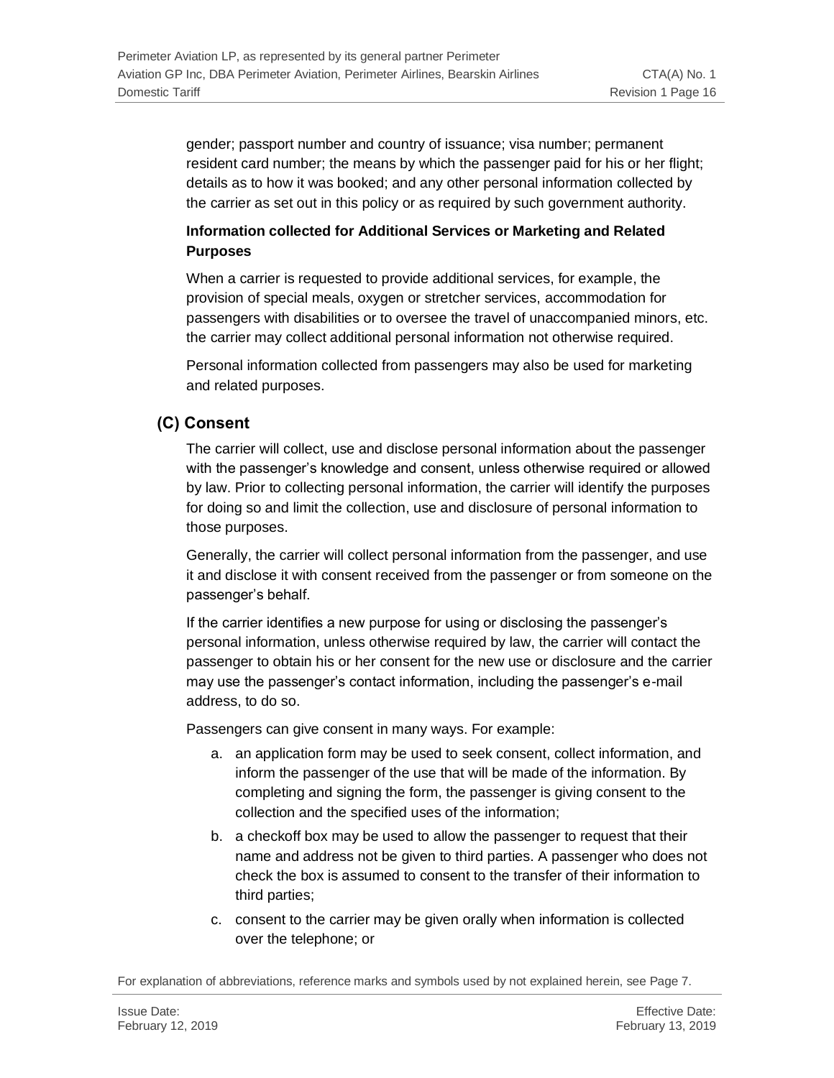gender; passport number and country of issuance; visa number; permanent resident card number; the means by which the passenger paid for his or her flight; details as to how it was booked; and any other personal information collected by the carrier as set out in this policy or as required by such government authority.

#### **Information collected for Additional Services or Marketing and Related Purposes**

When a carrier is requested to provide additional services, for example, the provision of special meals, oxygen or stretcher services, accommodation for passengers with disabilities or to oversee the travel of unaccompanied minors, etc. the carrier may collect additional personal information not otherwise required.

Personal information collected from passengers may also be used for marketing and related purposes.

### <span id="page-15-0"></span>**(C) Consent**

The carrier will collect, use and disclose personal information about the passenger with the passenger's knowledge and consent, unless otherwise required or allowed by law. Prior to collecting personal information, the carrier will identify the purposes for doing so and limit the collection, use and disclosure of personal information to those purposes.

Generally, the carrier will collect personal information from the passenger, and use it and disclose it with consent received from the passenger or from someone on the passenger's behalf.

If the carrier identifies a new purpose for using or disclosing the passenger's personal information, unless otherwise required by law, the carrier will contact the passenger to obtain his or her consent for the new use or disclosure and the carrier may use the passenger's contact information, including the passenger's e-mail address, to do so.

Passengers can give consent in many ways. For example:

- a. an application form may be used to seek consent, collect information, and inform the passenger of the use that will be made of the information. By completing and signing the form, the passenger is giving consent to the collection and the specified uses of the information;
- b. a checkoff box may be used to allow the passenger to request that their name and address not be given to third parties. A passenger who does not check the box is assumed to consent to the transfer of their information to third parties;
- c. consent to the carrier may be given orally when information is collected over the telephone; or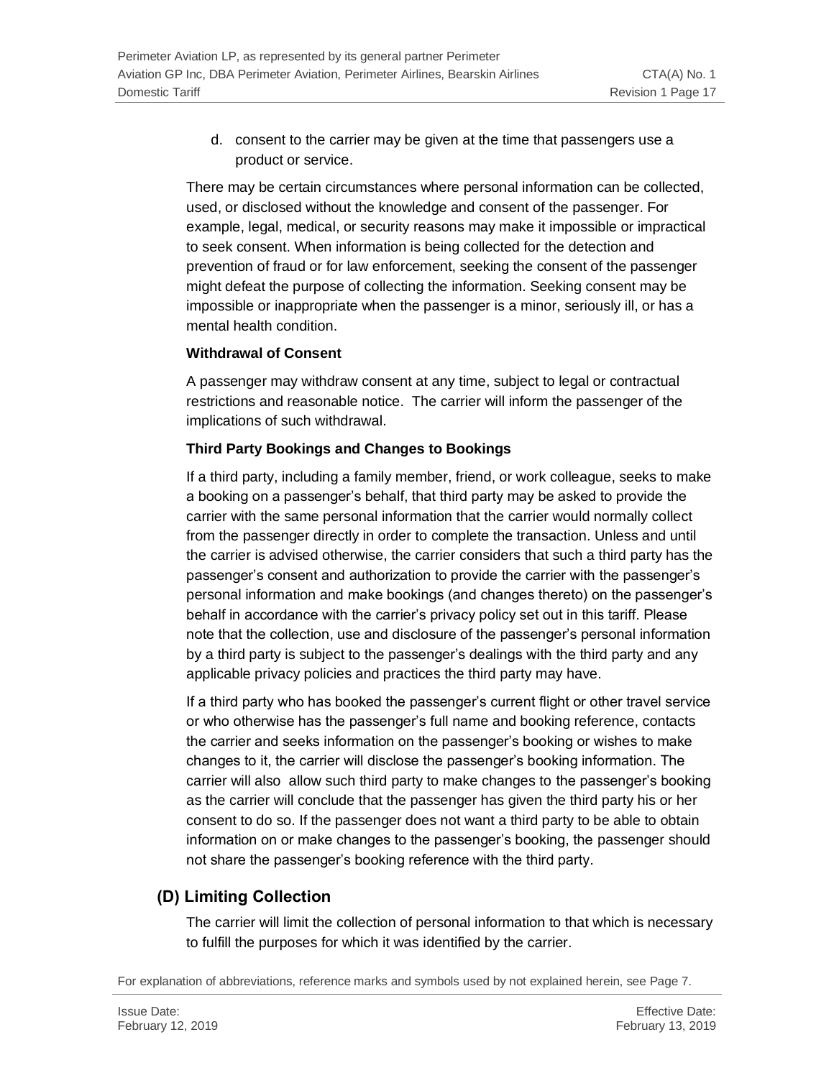d. consent to the carrier may be given at the time that passengers use a product or service.

There may be certain circumstances where personal information can be collected, used, or disclosed without the knowledge and consent of the passenger. For example, legal, medical, or security reasons may make it impossible or impractical to seek consent. When information is being collected for the detection and prevention of fraud or for law enforcement, seeking the consent of the passenger might defeat the purpose of collecting the information. Seeking consent may be impossible or inappropriate when the passenger is a minor, seriously ill, or has a mental health condition.

#### **Withdrawal of Consent**

A passenger may withdraw consent at any time, subject to legal or contractual restrictions and reasonable notice. The carrier will inform the passenger of the implications of such withdrawal.

#### **Third Party Bookings and Changes to Bookings**

If a third party, including a family member, friend, or work colleague, seeks to make a booking on a passenger's behalf, that third party may be asked to provide the carrier with the same personal information that the carrier would normally collect from the passenger directly in order to complete the transaction. Unless and until the carrier is advised otherwise, the carrier considers that such a third party has the passenger's consent and authorization to provide the carrier with the passenger's personal information and make bookings (and changes thereto) on the passenger's behalf in accordance with the carrier's privacy policy set out in this tariff. Please note that the collection, use and disclosure of the passenger's personal information by a third party is subject to the passenger's dealings with the third party and any applicable privacy policies and practices the third party may have.

If a third party who has booked the passenger's current flight or other travel service or who otherwise has the passenger's full name and booking reference, contacts the carrier and seeks information on the passenger's booking or wishes to make changes to it, the carrier will disclose the passenger's booking information. The carrier will also allow such third party to make changes to the passenger's booking as the carrier will conclude that the passenger has given the third party his or her consent to do so. If the passenger does not want a third party to be able to obtain information on or make changes to the passenger's booking, the passenger should not share the passenger's booking reference with the third party.

### <span id="page-16-0"></span>**(D) Limiting Collection**

The carrier will limit the collection of personal information to that which is necessary to fulfill the purposes for which it was identified by the carrier.

For explanation of abbreviations, reference marks and symbols used by not explained herein, see Page 7.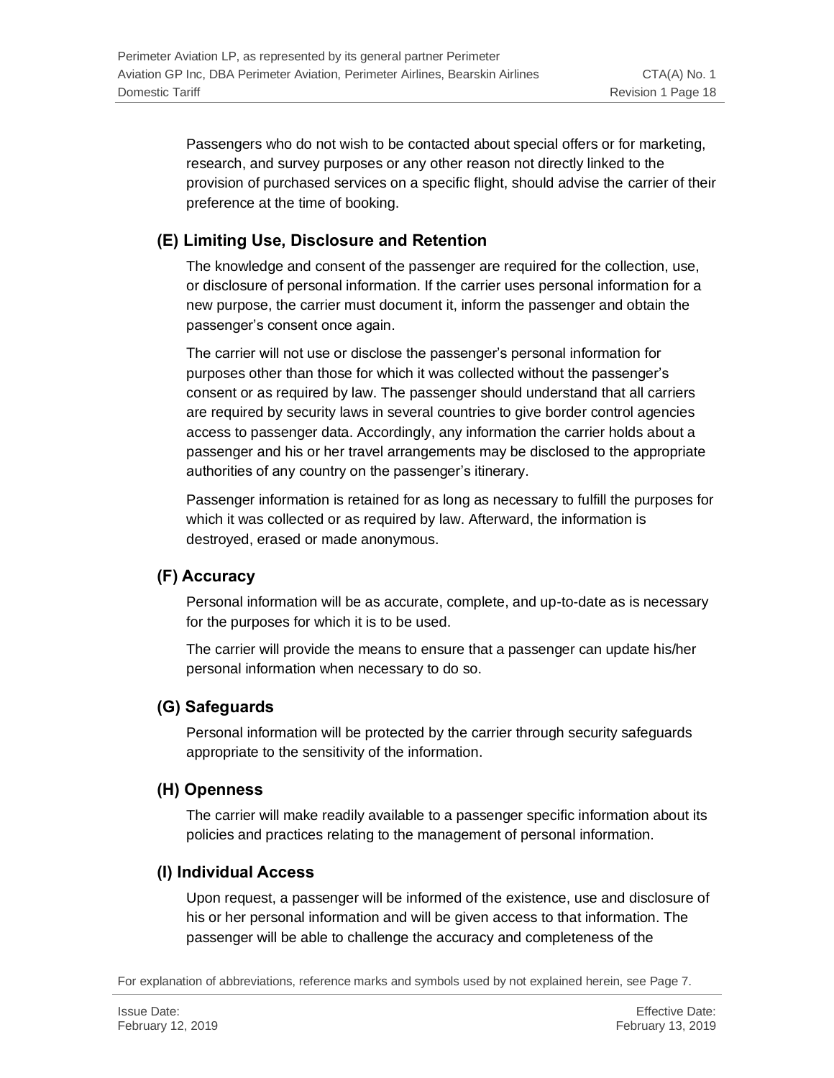Passengers who do not wish to be contacted about special offers or for marketing, research, and survey purposes or any other reason not directly linked to the provision of purchased services on a specific flight, should advise the carrier of their preference at the time of booking.

### <span id="page-17-0"></span>**(E) Limiting Use, Disclosure and Retention**

The knowledge and consent of the passenger are required for the collection, use, or disclosure of personal information. If the carrier uses personal information for a new purpose, the carrier must document it, inform the passenger and obtain the passenger's consent once again.

The carrier will not use or disclose the passenger's personal information for purposes other than those for which it was collected without the passenger's consent or as required by law. The passenger should understand that all carriers are required by security laws in several countries to give border control agencies access to passenger data. Accordingly, any information the carrier holds about a passenger and his or her travel arrangements may be disclosed to the appropriate authorities of any country on the passenger's itinerary.

Passenger information is retained for as long as necessary to fulfill the purposes for which it was collected or as required by law. Afterward, the information is destroyed, erased or made anonymous.

### <span id="page-17-1"></span>**(F) Accuracy**

Personal information will be as accurate, complete, and up-to-date as is necessary for the purposes for which it is to be used.

The carrier will provide the means to ensure that a passenger can update his/her personal information when necessary to do so.

#### <span id="page-17-2"></span>**(G) Safeguards**

Personal information will be protected by the carrier through security safeguards appropriate to the sensitivity of the information.

#### <span id="page-17-3"></span>**(H) Openness**

The carrier will make readily available to a passenger specific information about its policies and practices relating to the management of personal information.

#### <span id="page-17-4"></span>**(I) Individual Access**

Upon request, a passenger will be informed of the existence, use and disclosure of his or her personal information and will be given access to that information. The passenger will be able to challenge the accuracy and completeness of the

For explanation of abbreviations, reference marks and symbols used by not explained herein, see Page 7.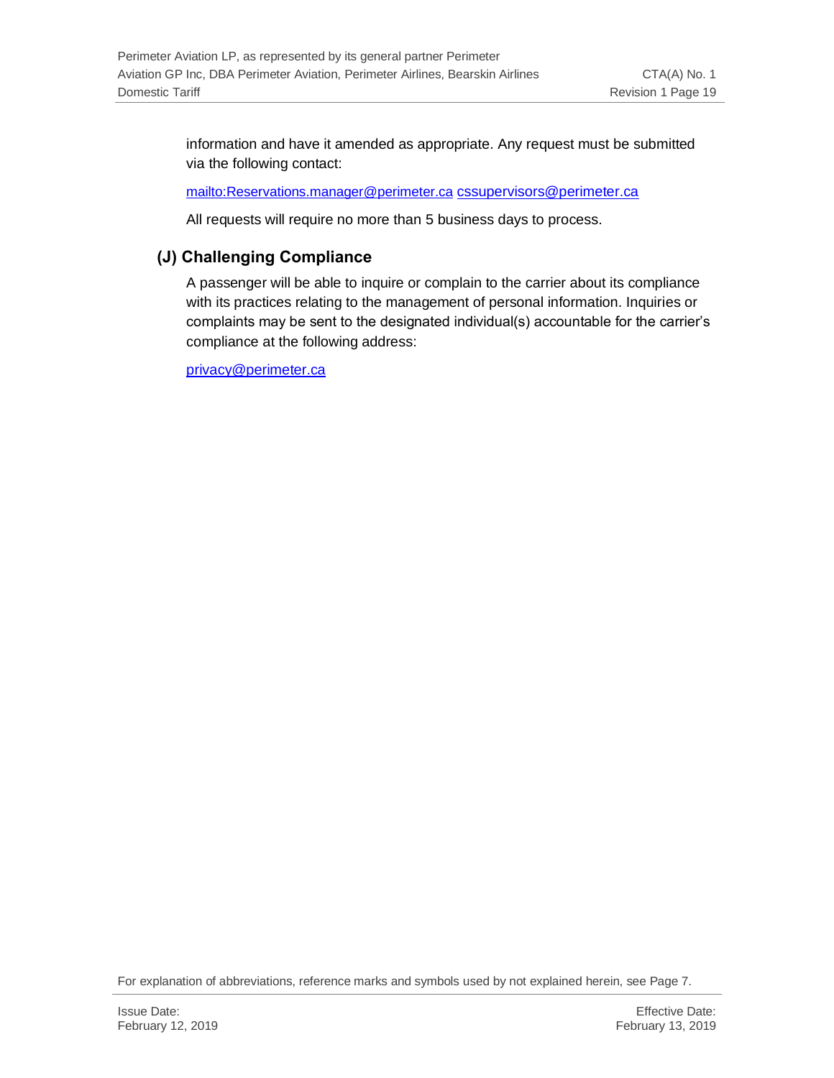information and have it amended as appropriate. Any request must be submitted via the following contact:

<mailto:Reservations.manager@perimeter.ca> [cssupervisors@perimeter.ca](mailto:cssupervisors@perimeter.ca)

All requests will require no more than 5 business days to process.

### <span id="page-18-0"></span>**(J) Challenging Compliance**

A passenger will be able to inquire or complain to the carrier about its compliance with its practices relating to the management of personal information. Inquiries or complaints may be sent to the designated individual(s) accountable for the carrier's compliance at the following address:

[privacy@perimeter.ca](mailto:privacy@perimeter.ca)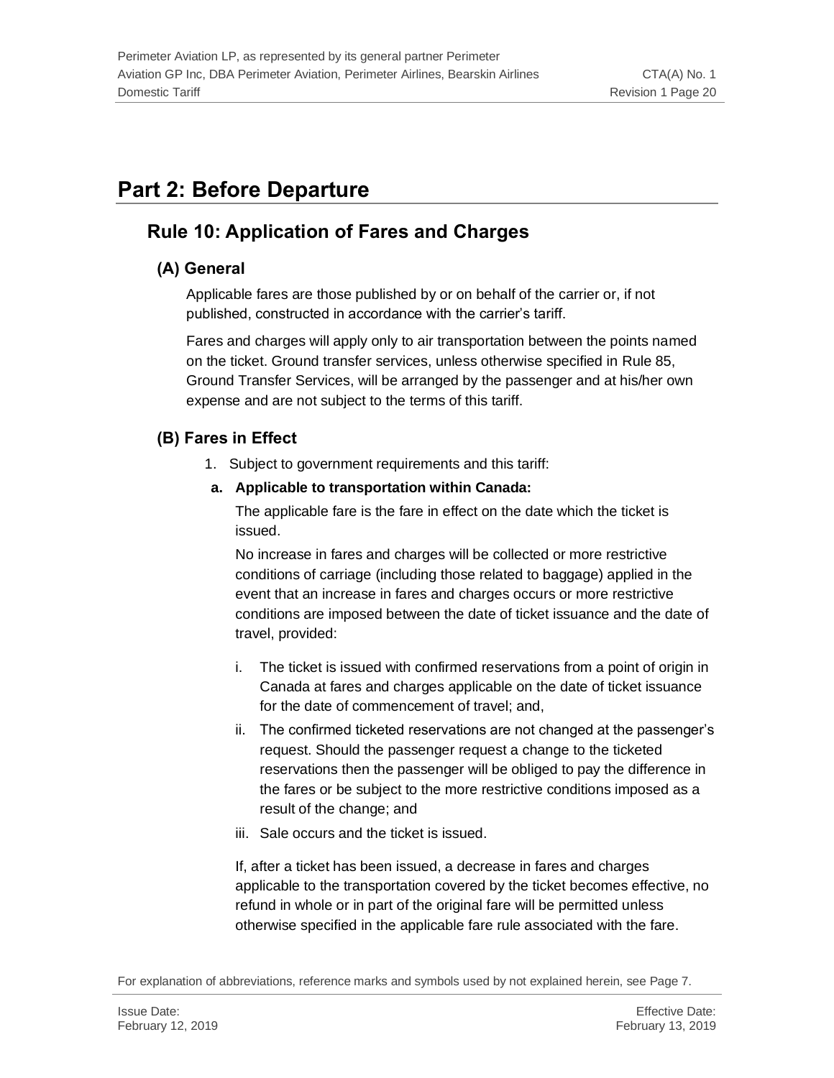# <span id="page-19-0"></span>**Part 2: Before Departure**

# <span id="page-19-1"></span>**Rule 10: Application of Fares and Charges**

### <span id="page-19-2"></span>**(A) General**

Applicable fares are those published by or on behalf of the carrier or, if not published, constructed in accordance with the carrier's tariff.

Fares and charges will apply only to air transportation between the points named on the ticket. Ground transfer services, unless otherwise specified in Rule 85, Ground Transfer Services, will be arranged by the passenger and at his/her own expense and are not subject to the terms of this tariff.

### <span id="page-19-3"></span>**(B) Fares in Effect**

1. Subject to government requirements and this tariff:

#### **a. Applicable to transportation within Canada:**

The applicable fare is the fare in effect on the date which the ticket is issued.

No increase in fares and charges will be collected or more restrictive conditions of carriage (including those related to baggage) applied in the event that an increase in fares and charges occurs or more restrictive conditions are imposed between the date of ticket issuance and the date of travel, provided:

- i. The ticket is issued with confirmed reservations from a point of origin in Canada at fares and charges applicable on the date of ticket issuance for the date of commencement of travel; and,
- ii. The confirmed ticketed reservations are not changed at the passenger's request. Should the passenger request a change to the ticketed reservations then the passenger will be obliged to pay the difference in the fares or be subject to the more restrictive conditions imposed as a result of the change; and
- iii. Sale occurs and the ticket is issued.

If, after a ticket has been issued, a decrease in fares and charges applicable to the transportation covered by the ticket becomes effective, no refund in whole or in part of the original fare will be permitted unless otherwise specified in the applicable fare rule associated with the fare.

For explanation of abbreviations, reference marks and symbols used by not explained herein, see Page 7.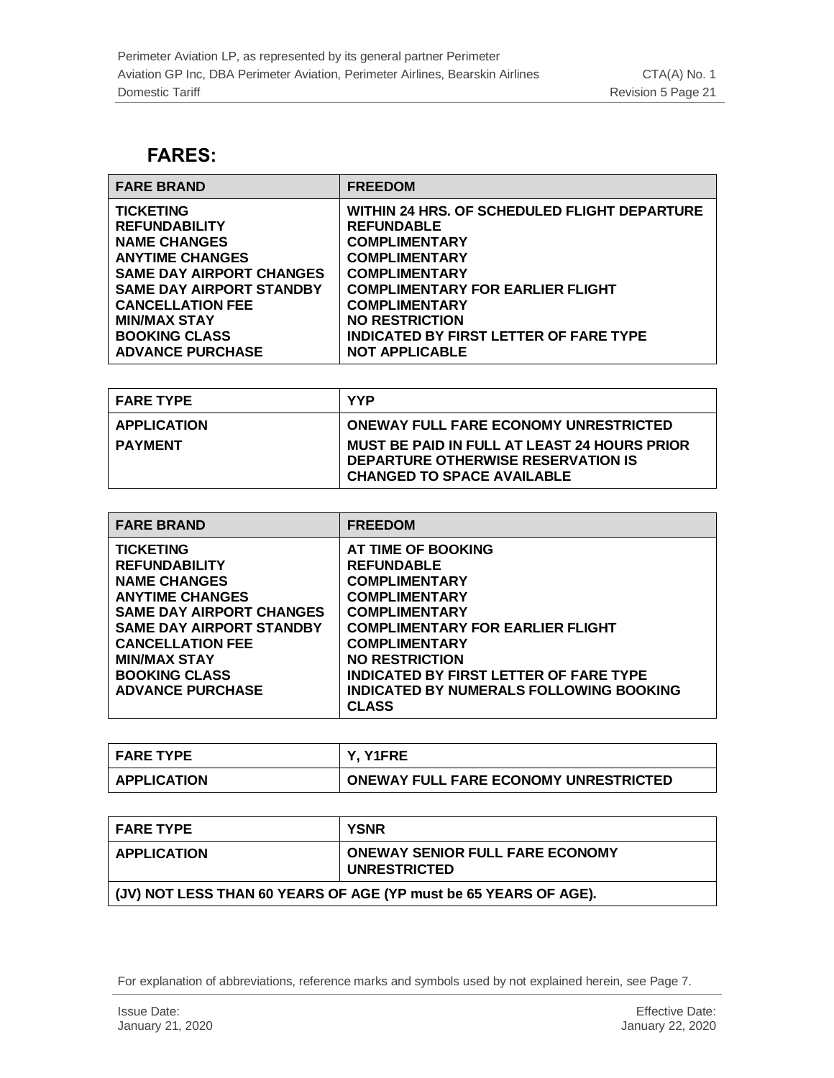## <span id="page-20-0"></span>**FARES:**

| <b>FARE BRAND</b>               | <b>FREEDOM</b>                                |
|---------------------------------|-----------------------------------------------|
| <b>TICKETING</b>                | WITHIN 24 HRS. OF SCHEDULED FLIGHT DEPARTURE  |
| <b>REFUNDABILITY</b>            | <b>REFUNDABLE</b>                             |
| <b>NAME CHANGES</b>             | <b>COMPLIMENTARY</b>                          |
| <b>ANYTIME CHANGES</b>          | <b>COMPLIMENTARY</b>                          |
| <b>SAME DAY AIRPORT CHANGES</b> | <b>COMPLIMENTARY</b>                          |
| <b>SAME DAY AIRPORT STANDBY</b> | <b>COMPLIMENTARY FOR EARLIER FLIGHT</b>       |
| <b>CANCELLATION FEE</b>         | <b>COMPLIMENTARY</b>                          |
| <b>MIN/MAX STAY</b>             | <b>NO RESTRICTION</b>                         |
| <b>BOOKING CLASS</b>            | <b>INDICATED BY FIRST LETTER OF FARE TYPE</b> |
| <b>ADVANCE PURCHASE</b>         | <b>NOT APPLICABLE</b>                         |

| <b>FARE TYPE</b>   | <b>YYP</b>                                                                                                                     |
|--------------------|--------------------------------------------------------------------------------------------------------------------------------|
| <b>APPLICATION</b> | <b>ONEWAY FULL FARE ECONOMY UNRESTRICTED</b>                                                                                   |
| <b>PAYMENT</b>     | <b>MUST BE PAID IN FULL AT LEAST 24 HOURS PRIOR</b><br>DEPARTURE OTHERWISE RESERVATION IS<br><b>CHANGED TO SPACE AVAILABLE</b> |

| <b>FARE BRAND</b>                                                                                                                                                                                                                                                    | <b>FREEDOM</b>                                                                                                                                                                                                                                                                                                          |
|----------------------------------------------------------------------------------------------------------------------------------------------------------------------------------------------------------------------------------------------------------------------|-------------------------------------------------------------------------------------------------------------------------------------------------------------------------------------------------------------------------------------------------------------------------------------------------------------------------|
| <b>TICKETING</b><br><b>REFUNDABILITY</b><br><b>NAME CHANGES</b><br><b>ANYTIME CHANGES</b><br><b>SAME DAY AIRPORT CHANGES</b><br><b>SAME DAY AIRPORT STANDBY</b><br><b>CANCELLATION FEE</b><br><b>MIN/MAX STAY</b><br><b>BOOKING CLASS</b><br><b>ADVANCE PURCHASE</b> | AT TIME OF BOOKING<br><b>REFUNDABLE</b><br><b>COMPLIMENTARY</b><br><b>COMPLIMENTARY</b><br><b>COMPLIMENTARY</b><br><b>COMPLIMENTARY FOR EARLIER FLIGHT</b><br><b>COMPLIMENTARY</b><br><b>NO RESTRICTION</b><br><b>INDICATED BY FIRST LETTER OF FARE TYPE</b><br>INDICATED BY NUMERALS FOLLOWING BOOKING<br><b>CLASS</b> |

| I FARE TYPE        | Y. Y1FRE                                     |
|--------------------|----------------------------------------------|
| <b>APPLICATION</b> | <b>ONEWAY FULL FARE ECONOMY UNRESTRICTED</b> |

| <b>I FARE TYPE</b>                                                 | <b>YSNR</b>                                                   |
|--------------------------------------------------------------------|---------------------------------------------------------------|
| <b>APPLICATION</b>                                                 | <b>ONEWAY SENIOR FULL FARE ECONOMY</b><br><b>UNRESTRICTED</b> |
| │ (JV) NOT LESS THAN 60 YEARS OF AGE (YP must be 65 YEARS OF AGE). |                                                               |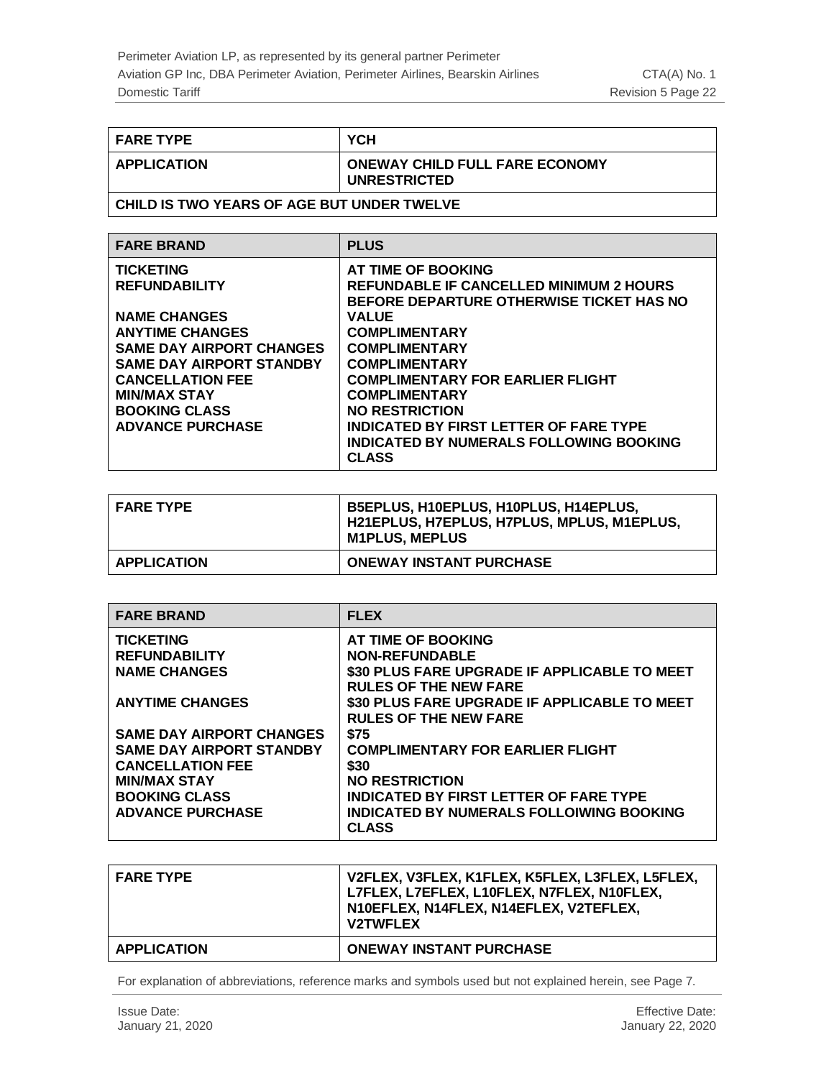| <b>FARE TYPE</b>   | YCH                                                          |
|--------------------|--------------------------------------------------------------|
| <b>APPLICATION</b> | <b>ONEWAY CHILD FULL FARE ECONOMY</b><br><b>UNRESTRICTED</b> |

#### **CHILD IS TWO YEARS OF AGE BUT UNDER TWELVE**

| <b>FARE BRAND</b>               | <b>PLUS</b>                                    |
|---------------------------------|------------------------------------------------|
| <b>TICKETING</b>                | AT TIME OF BOOKING                             |
| <b>REFUNDABILITY</b>            | <b>REFUNDABLE IF CANCELLED MINIMUM 2 HOURS</b> |
|                                 | BEFORE DEPARTURE OTHERWISE TICKET HAS NO       |
| <b>NAME CHANGES</b>             | <b>VALUE</b>                                   |
| <b>ANYTIME CHANGES</b>          | <b>COMPLIMENTARY</b>                           |
| <b>SAME DAY AIRPORT CHANGES</b> | <b>COMPLIMENTARY</b>                           |
| <b>SAME DAY AIRPORT STANDBY</b> | <b>COMPLIMENTARY</b>                           |
| <b>CANCELLATION FEE</b>         | <b>COMPLIMENTARY FOR EARLIER FLIGHT</b>        |
| <b>MIN/MAX STAY</b>             | <b>COMPLIMENTARY</b>                           |
| <b>BOOKING CLASS</b>            | <b>NO RESTRICTION</b>                          |
| <b>ADVANCE PURCHASE</b>         | <b>INDICATED BY FIRST LETTER OF FARE TYPE</b>  |
|                                 | <b>INDICATED BY NUMERALS FOLLOWING BOOKING</b> |
|                                 | <b>CLASS</b>                                   |
|                                 |                                                |

| <b>FARE TYPE</b>   | B5EPLUS, H10EPLUS, H10PLUS, H14EPLUS,<br>H21EPLUS, H7EPLUS, H7PLUS, MPLUS, M1EPLUS,<br><b>M1PLUS, MEPLUS</b> |
|--------------------|--------------------------------------------------------------------------------------------------------------|
| <b>APPLICATION</b> | <b>ONEWAY INSTANT PURCHASE</b>                                                                               |

| <b>FARE BRAND</b>               | <b>FLEX</b>                                   |
|---------------------------------|-----------------------------------------------|
| <b>TICKETING</b>                | AT TIME OF BOOKING                            |
| <b>REFUNDABILITY</b>            | <b>NON-REFUNDABLE</b>                         |
| <b>NAME CHANGES</b>             | \$30 PLUS FARE UPGRADE IF APPLICABLE TO MEET  |
|                                 | <b>RULES OF THE NEW FARE</b>                  |
| <b>ANYTIME CHANGES</b>          | \$30 PLUS FARE UPGRADE IF APPLICABLE TO MEET  |
|                                 | <b>RULES OF THE NEW FARE</b>                  |
| <b>SAME DAY AIRPORT CHANGES</b> | \$75                                          |
| <b>SAME DAY AIRPORT STANDBY</b> | <b>COMPLIMENTARY FOR EARLIER FLIGHT</b>       |
| <b>CANCELLATION FEE</b>         | \$30                                          |
| <b>MIN/MAX STAY</b>             | <b>NO RESTRICTION</b>                         |
| <b>BOOKING CLASS</b>            | <b>INDICATED BY FIRST LETTER OF FARE TYPE</b> |
| <b>ADVANCE PURCHASE</b>         | INDICATED BY NUMERALS FOLLOIWING BOOKING      |
|                                 | <b>CLASS</b>                                  |

| <b>FARE TYPE</b>   | V2FLEX, V3FLEX, K1FLEX, K5FLEX, L3FLEX, L5FLEX,<br>L7FLEX, L7EFLEX, L10FLEX, N7FLEX, N10FLEX,<br>N10EFLEX, N14FLEX, N14EFLEX, V2TEFLEX,<br><b>V2TWFLEX</b> |
|--------------------|------------------------------------------------------------------------------------------------------------------------------------------------------------|
| <b>APPLICATION</b> | <b>ONEWAY INSTANT PURCHASE</b>                                                                                                                             |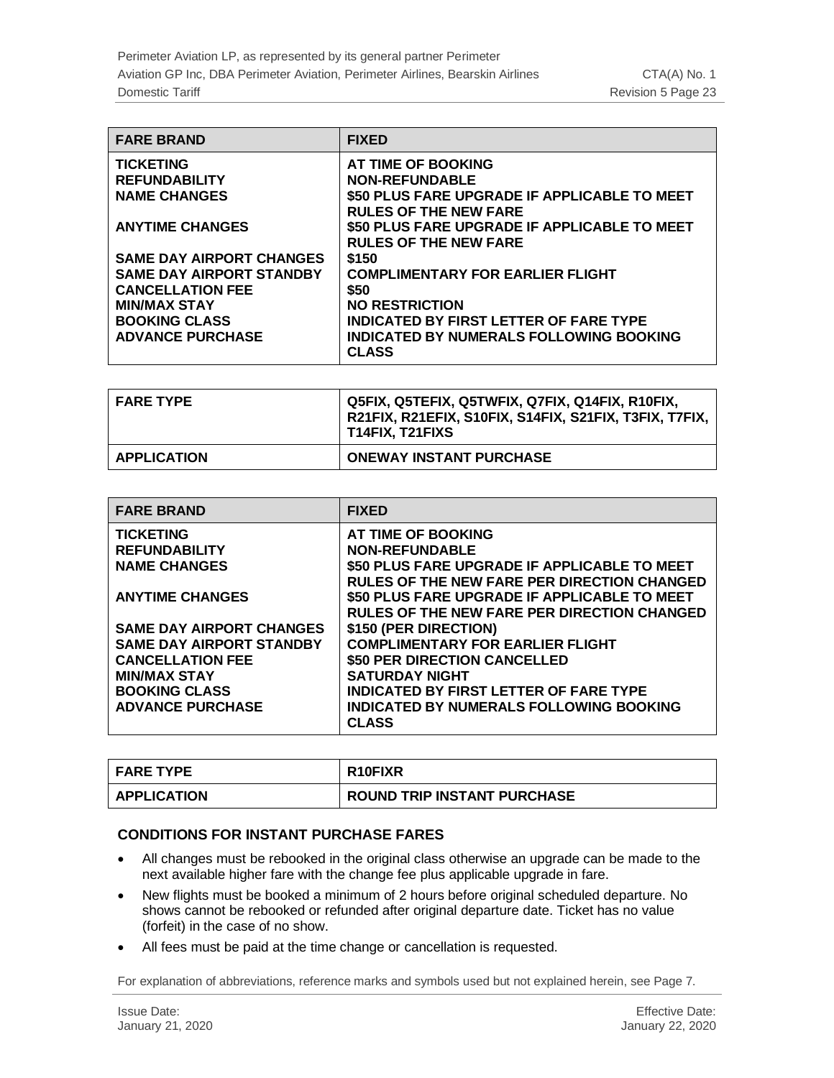| <b>FARE BRAND</b>               | <b>FIXED</b>                                                                 |
|---------------------------------|------------------------------------------------------------------------------|
| <b>TICKETING</b>                | AT TIME OF BOOKING                                                           |
| <b>REFUNDABILITY</b>            | <b>NON-REFUNDABLE</b>                                                        |
| <b>NAME CHANGES</b>             | \$50 PLUS FARE UPGRADE IF APPLICABLE TO MEET<br><b>RULES OF THE NEW FARE</b> |
| <b>ANYTIME CHANGES</b>          | \$50 PLUS FARE UPGRADE IF APPLICABLE TO MEET<br><b>RULES OF THE NEW FARE</b> |
| <b>SAME DAY AIRPORT CHANGES</b> | \$150                                                                        |
| <b>SAME DAY AIRPORT STANDBY</b> | <b>COMPLIMENTARY FOR EARLIER FLIGHT</b>                                      |
| <b>CANCELLATION FEE</b>         | \$50                                                                         |
| <b>MIN/MAX STAY</b>             | <b>NO RESTRICTION</b>                                                        |
| <b>BOOKING CLASS</b>            | <b>INDICATED BY FIRST LETTER OF FARE TYPE</b>                                |
| <b>ADVANCE PURCHASE</b>         | INDICATED BY NUMERALS FOLLOWING BOOKING<br><b>CLASS</b>                      |

| <b>FARE TYPE</b>   | Q5FIX, Q5TEFIX, Q5TWFIX, Q7FIX, Q14FIX, R10FIX,<br>R21FIX, R21EFIX, S10FIX, S14FIX, S21FIX, T3FIX, T7FIX,<br>T14FIX, T21FIXS |
|--------------------|------------------------------------------------------------------------------------------------------------------------------|
| <b>APPLICATION</b> | <b>ONEWAY INSTANT PURCHASE</b>                                                                                               |

| <b>FARE BRAND</b>               | <b>FIXED</b>                                       |
|---------------------------------|----------------------------------------------------|
| <b>TICKETING</b>                | AT TIME OF BOOKING                                 |
| <b>REFUNDABILITY</b>            | <b>NON-REFUNDABLE</b>                              |
| <b>NAME CHANGES</b>             | \$50 PLUS FARE UPGRADE IF APPLICABLE TO MEET       |
|                                 | <b>RULES OF THE NEW FARE PER DIRECTION CHANGED</b> |
| <b>ANYTIME CHANGES</b>          | \$50 PLUS FARE UPGRADE IF APPLICABLE TO MEET       |
|                                 | <b>RULES OF THE NEW FARE PER DIRECTION CHANGED</b> |
| <b>SAME DAY AIRPORT CHANGES</b> | \$150 (PER DIRECTION)                              |
| <b>SAME DAY AIRPORT STANDBY</b> | <b>COMPLIMENTARY FOR EARLIER FLIGHT</b>            |
| <b>CANCELLATION FEE</b>         | \$50 PER DIRECTION CANCELLED                       |
| <b>MIN/MAX STAY</b>             | <b>SATURDAY NIGHT</b>                              |
| <b>BOOKING CLASS</b>            | <b>INDICATED BY FIRST LETTER OF FARE TYPE</b>      |
| <b>ADVANCE PURCHASE</b>         | INDICATED BY NUMERALS FOLLOWING BOOKING            |
|                                 | <b>CLASS</b>                                       |

| <b>FARE TYPE</b>   | <b>R10FIXR</b>                     |
|--------------------|------------------------------------|
| <b>APPLICATION</b> | <b>ROUND TRIP INSTANT PURCHASE</b> |

#### **CONDITIONS FOR INSTANT PURCHASE FARES**

- All changes must be rebooked in the original class otherwise an upgrade can be made to the next available higher fare with the change fee plus applicable upgrade in fare.
- New flights must be booked a minimum of 2 hours before original scheduled departure. No shows cannot be rebooked or refunded after original departure date. Ticket has no value (forfeit) in the case of no show.
- All fees must be paid at the time change or cancellation is requested.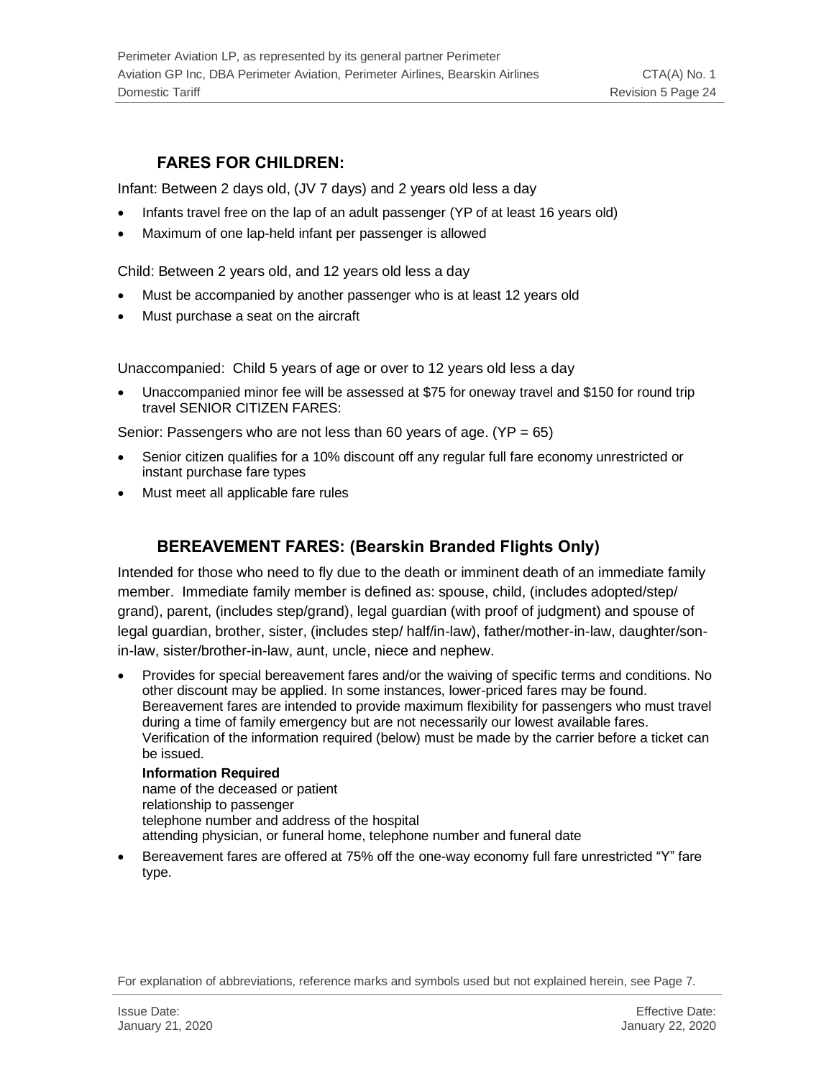### **FARES FOR CHILDREN:**

<span id="page-23-0"></span>Infant: Between 2 days old, (JV 7 days) and 2 years old less a day

- Infants travel free on the lap of an adult passenger (YP of at least 16 years old)
- Maximum of one lap-held infant per passenger is allowed

Child: Between 2 years old, and 12 years old less a day

- Must be accompanied by another passenger who is at least 12 years old
- Must purchase a seat on the aircraft

Unaccompanied: Child 5 years of age or over to 12 years old less a day

• Unaccompanied minor fee will be assessed at \$75 for oneway travel and \$150 for round trip travel SENIOR CITIZEN FARES:

Senior: Passengers who are not less than 60 years of age. (YP = 65)

- Senior citizen qualifies for a 10% discount off any regular full fare economy unrestricted or instant purchase fare types
- <span id="page-23-1"></span>• Must meet all applicable fare rules

### **BEREAVEMENT FARES: (Bearskin Branded Flights Only)**

Intended for those who need to fly due to the death or imminent death of an immediate family member. Immediate family member is defined as: spouse, child, (includes adopted/step/ grand), parent, (includes step/grand), legal guardian (with proof of judgment) and spouse of legal guardian, brother, sister, (includes step/ half/in-law), father/mother-in-law, daughter/sonin-law, sister/brother-in-law, aunt, uncle, niece and nephew.

• Provides for special bereavement fares and/or the waiving of specific terms and conditions. No other discount may be applied. In some instances, lower-priced fares may be found. Bereavement fares are intended to provide maximum flexibility for passengers who must travel during a time of family emergency but are not necessarily our lowest available fares. Verification of the information required (below) must be made by the carrier before a ticket can be issued.

#### **Information Required**

name of the deceased or patient relationship to passenger telephone number and address of the hospital attending physician, or funeral home, telephone number and funeral date

• Bereavement fares are offered at 75% off the one-way economy full fare unrestricted "Y" fare type.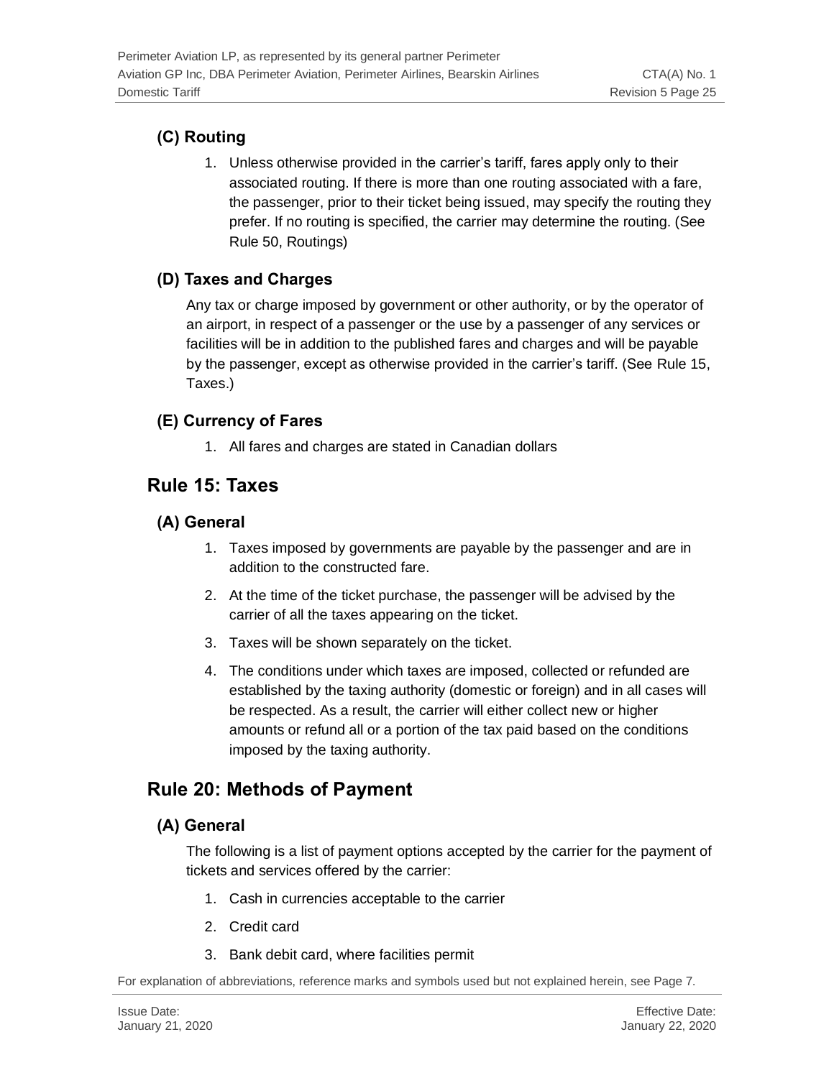# <span id="page-24-0"></span>**(C) Routing**

1. Unless otherwise provided in the carrier's tariff, fares apply only to their associated routing. If there is more than one routing associated with a fare, the passenger, prior to their ticket being issued, may specify the routing they prefer. If no routing is specified, the carrier may determine the routing. (See Rule 50, Routings)

# <span id="page-24-1"></span>**(D) Taxes and Charges**

Any tax or charge imposed by government or other authority, or by the operator of an airport, in respect of a passenger or the use by a passenger of any services or facilities will be in addition to the published fares and charges and will be payable by the passenger, except as otherwise provided in the carrier's tariff. (See Rule 15, Taxes.)

# <span id="page-24-2"></span>**(E) Currency of Fares**

1. All fares and charges are stated in Canadian dollars

# <span id="page-24-3"></span>**Rule 15: Taxes**

### <span id="page-24-4"></span>**(A) General**

- 1. Taxes imposed by governments are payable by the passenger and are in addition to the constructed fare.
- 2. At the time of the ticket purchase, the passenger will be advised by the carrier of all the taxes appearing on the ticket.
- 3. Taxes will be shown separately on the ticket.
- 4. The conditions under which taxes are imposed, collected or refunded are established by the taxing authority (domestic or foreign) and in all cases will be respected. As a result, the carrier will either collect new or higher amounts or refund all or a portion of the tax paid based on the conditions imposed by the taxing authority.

# <span id="page-24-5"></span>**Rule 20: Methods of Payment**

# <span id="page-24-6"></span>**(A) General**

The following is a list of payment options accepted by the carrier for the payment of tickets and services offered by the carrier:

- 1. Cash in currencies acceptable to the carrier
- 2. Credit card
- 3. Bank debit card, where facilities permit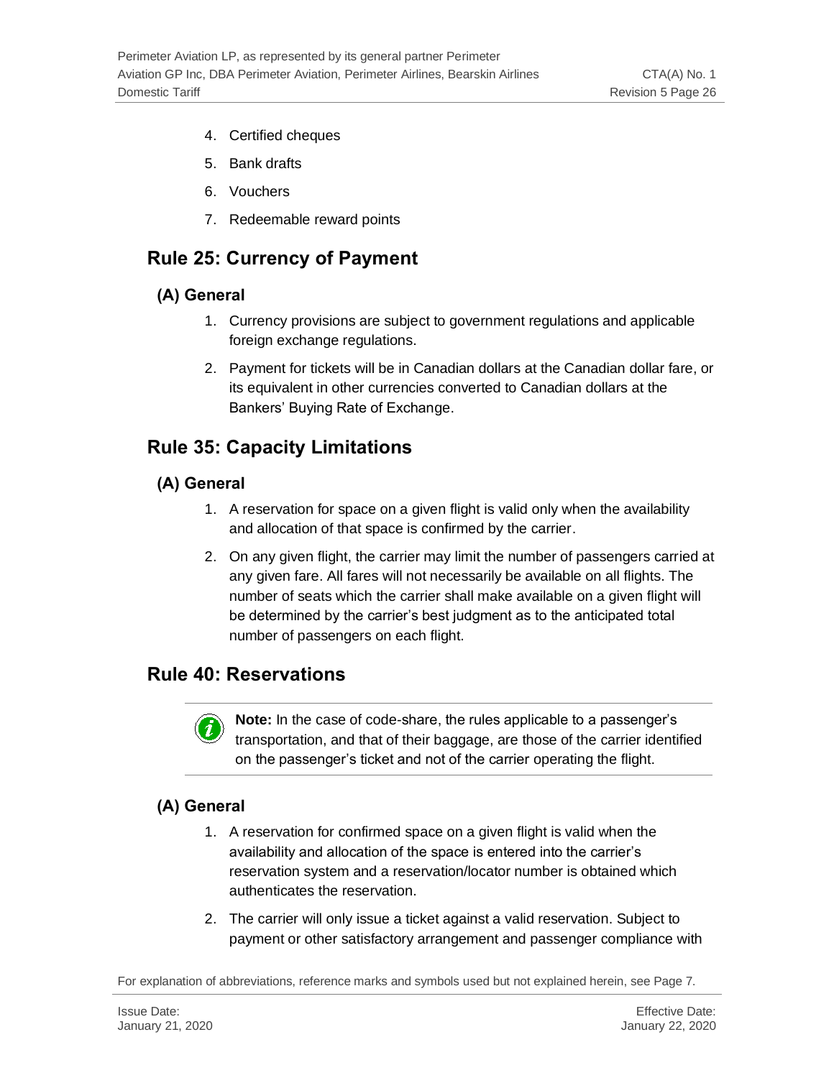- 4. Certified cheques
- 5. Bank drafts
- 6. Vouchers
- 7. Redeemable reward points

# <span id="page-25-0"></span>**Rule 25: Currency of Payment**

### <span id="page-25-1"></span>**(A) General**

- 1. Currency provisions are subject to government regulations and applicable foreign exchange regulations.
- 2. Payment for tickets will be in Canadian dollars at the Canadian dollar fare, or its equivalent in other currencies converted to Canadian dollars at the Bankers' Buying Rate of Exchange.

# <span id="page-25-2"></span>**Rule 35: Capacity Limitations**

### <span id="page-25-3"></span>**(A) General**

- 1. A reservation for space on a given flight is valid only when the availability and allocation of that space is confirmed by the carrier.
- 2. On any given flight, the carrier may limit the number of passengers carried at any given fare. All fares will not necessarily be available on all flights. The number of seats which the carrier shall make available on a given flight will be determined by the carrier's best judgment as to the anticipated total number of passengers on each flight.

# <span id="page-25-4"></span>**Rule 40: Reservations**



**Note:** In the case of code-share, the rules applicable to a passenger's transportation, and that of their baggage, are those of the carrier identified on the passenger's ticket and not of the carrier operating the flight.

### <span id="page-25-5"></span>**(A) General**

- 1. A reservation for confirmed space on a given flight is valid when the availability and allocation of the space is entered into the carrier's reservation system and a reservation/locator number is obtained which authenticates the reservation.
- 2. The carrier will only issue a ticket against a valid reservation. Subject to payment or other satisfactory arrangement and passenger compliance with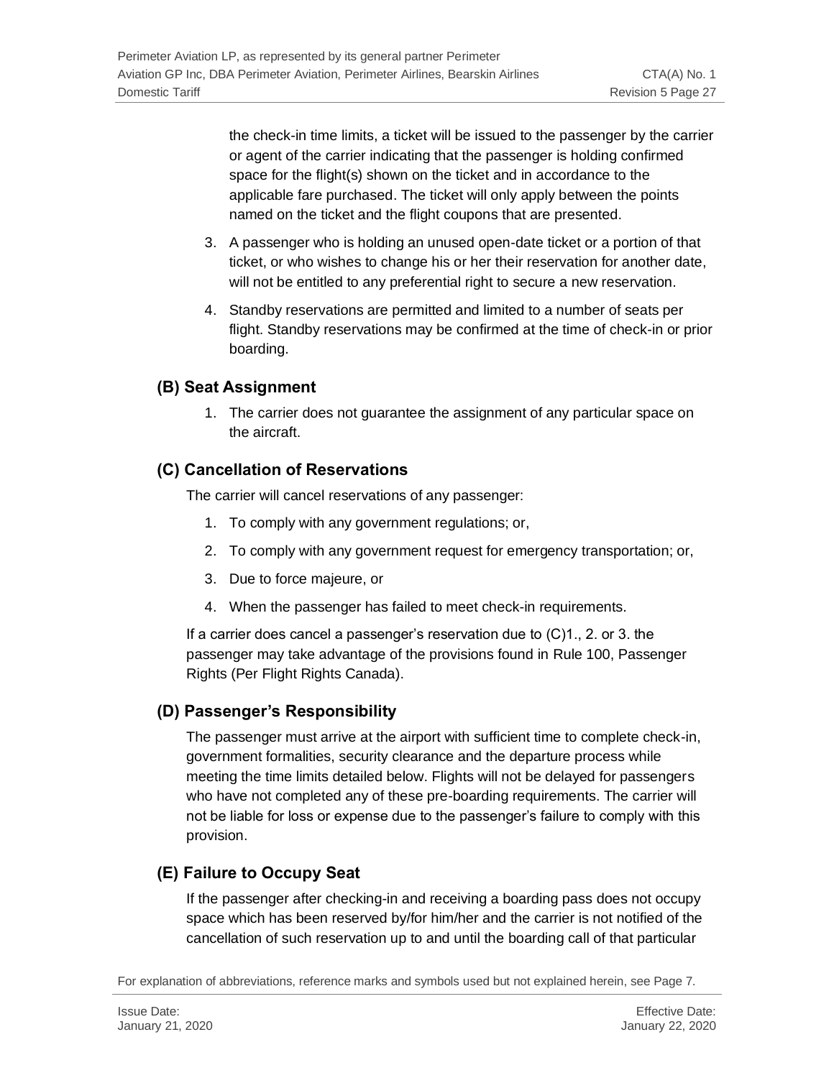the check-in time limits, a ticket will be issued to the passenger by the carrier or agent of the carrier indicating that the passenger is holding confirmed space for the flight(s) shown on the ticket and in accordance to the applicable fare purchased. The ticket will only apply between the points named on the ticket and the flight coupons that are presented.

- 3. A passenger who is holding an unused open-date ticket or a portion of that ticket, or who wishes to change his or her their reservation for another date, will not be entitled to any preferential right to secure a new reservation.
- 4. Standby reservations are permitted and limited to a number of seats per flight. Standby reservations may be confirmed at the time of check-in or prior boarding.

### <span id="page-26-0"></span>**(B) Seat Assignment**

1. The carrier does not guarantee the assignment of any particular space on the aircraft.

### <span id="page-26-1"></span>**(C) Cancellation of Reservations**

The carrier will cancel reservations of any passenger:

- 1. To comply with any government regulations; or,
- 2. To comply with any government request for emergency transportation; or,
- 3. Due to force majeure, or
- 4. When the passenger has failed to meet check-in requirements.

If a carrier does cancel a passenger's reservation due to (C)1., 2. or 3. the passenger may take advantage of the provisions found in Rule 100, Passenger Rights (Per Flight Rights Canada).

### <span id="page-26-2"></span>**(D) Passenger's Responsibility**

The passenger must arrive at the airport with sufficient time to complete check-in, government formalities, security clearance and the departure process while meeting the time limits detailed below. Flights will not be delayed for passengers who have not completed any of these pre-boarding requirements. The carrier will not be liable for loss or expense due to the passenger's failure to comply with this provision.

### <span id="page-26-3"></span>**(E) Failure to Occupy Seat**

If the passenger after checking-in and receiving a boarding pass does not occupy space which has been reserved by/for him/her and the carrier is not notified of the cancellation of such reservation up to and until the boarding call of that particular

For explanation of abbreviations, reference marks and symbols used but not explained herein, see Page 7.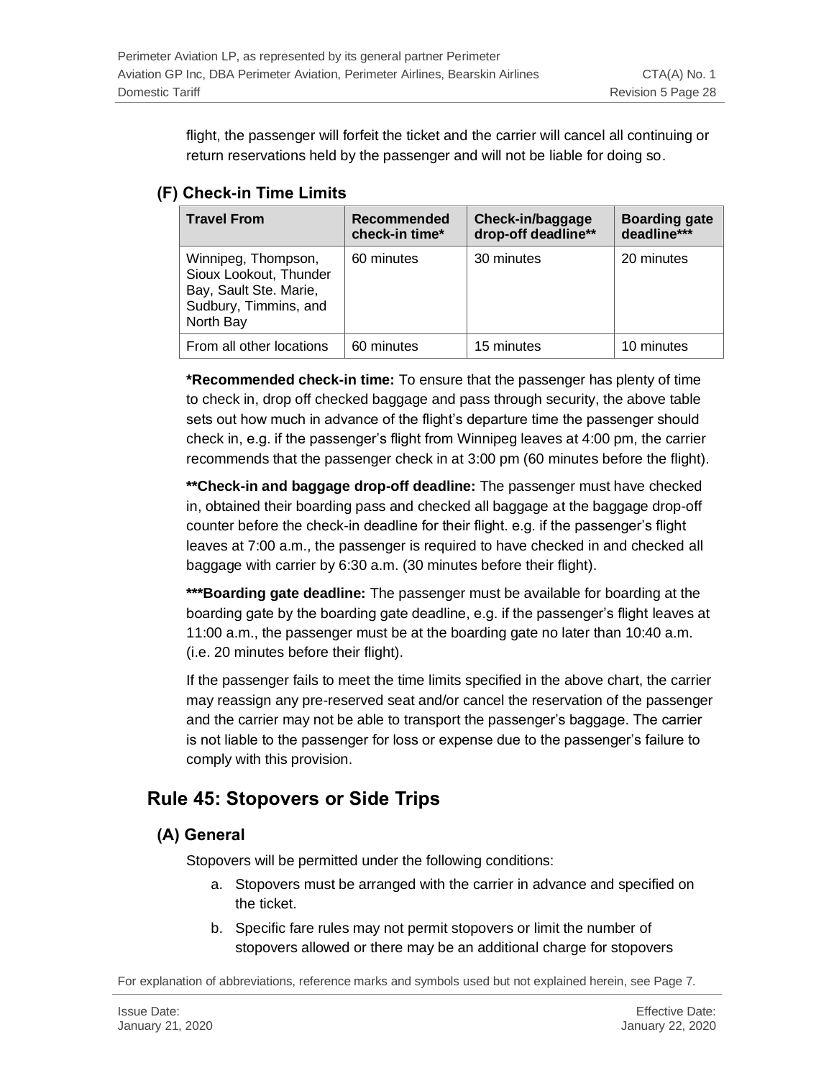flight, the passenger will forfeit the ticket and the carrier will cancel all continuing or return reservations held by the passenger and will not be liable for doing so.

### <span id="page-27-0"></span>**(F) Check-in Time Limits**

| <b>Travel From</b>                                                                                            | Recommended<br>check-in time* | Check-in/baggage<br>drop-off deadline** | <b>Boarding gate</b><br>deadline*** |
|---------------------------------------------------------------------------------------------------------------|-------------------------------|-----------------------------------------|-------------------------------------|
| Winnipeg, Thompson,<br>Sioux Lookout, Thunder<br>Bay, Sault Ste. Marie,<br>Sudbury, Timmins, and<br>North Bay | 60 minutes                    | 30 minutes                              | 20 minutes                          |
| From all other locations                                                                                      | 60 minutes                    | 15 minutes                              | 10 minutes                          |

**\*Recommended check-in time:** To ensure that the passenger has plenty of time to check in, drop off checked baggage and pass through security, the above table sets out how much in advance of the flight's departure time the passenger should check in, e.g. if the passenger's flight from Winnipeg leaves at 4:00 pm, the carrier recommends that the passenger check in at 3:00 pm (60 minutes before the flight).

**\*\*Check-in and baggage drop-off deadline:** The passenger must have checked in, obtained their boarding pass and checked all baggage at the baggage drop-off counter before the check-in deadline for their flight. e.g. if the passenger's flight leaves at 7:00 a.m., the passenger is required to have checked in and checked all baggage with carrier by 6:30 a.m. (30 minutes before their flight).

**\*\*\*Boarding gate deadline:** The passenger must be available for boarding at the boarding gate by the boarding gate deadline, e.g. if the passenger's flight leaves at 11:00 a.m., the passenger must be at the boarding gate no later than 10:40 a.m. (i.e. 20 minutes before their flight).

If the passenger fails to meet the time limits specified in the above chart, the carrier may reassign any pre-reserved seat and/or cancel the reservation of the passenger and the carrier may not be able to transport the passenger's baggage. The carrier is not liable to the passenger for loss or expense due to the passenger's failure to comply with this provision.

# <span id="page-27-1"></span>**Rule 45: Stopovers or Side Trips**

### <span id="page-27-2"></span>**(A) General**

Stopovers will be permitted under the following conditions:

- a. Stopovers must be arranged with the carrier in advance and specified on the ticket.
- b. Specific fare rules may not permit stopovers or limit the number of stopovers allowed or there may be an additional charge for stopovers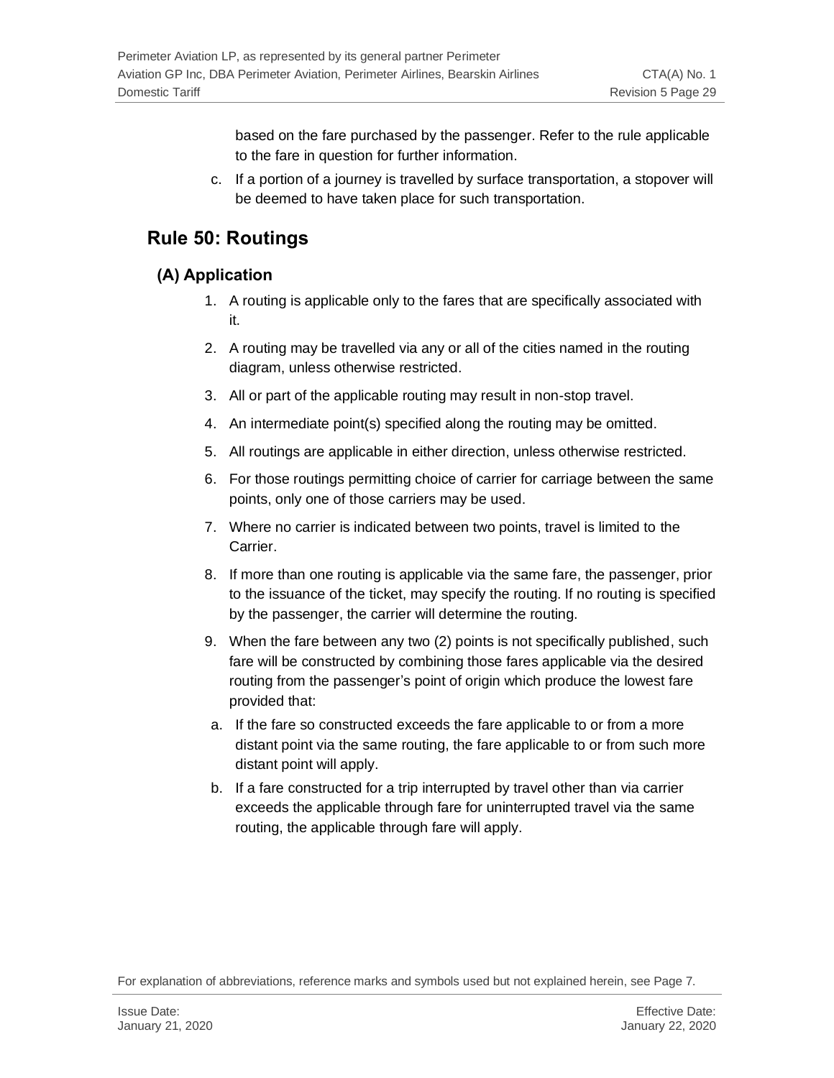based on the fare purchased by the passenger. Refer to the rule applicable to the fare in question for further information.

c. If a portion of a journey is travelled by surface transportation, a stopover will be deemed to have taken place for such transportation.

# <span id="page-28-0"></span>**Rule 50: Routings**

### <span id="page-28-1"></span>**(A) Application**

- 1. A routing is applicable only to the fares that are specifically associated with it.
- 2. A routing may be travelled via any or all of the cities named in the routing diagram, unless otherwise restricted.
- 3. All or part of the applicable routing may result in non-stop travel.
- 4. An intermediate point(s) specified along the routing may be omitted.
- 5. All routings are applicable in either direction, unless otherwise restricted.
- 6. For those routings permitting choice of carrier for carriage between the same points, only one of those carriers may be used.
- 7. Where no carrier is indicated between two points, travel is limited to the Carrier.
- 8. If more than one routing is applicable via the same fare, the passenger, prior to the issuance of the ticket, may specify the routing. If no routing is specified by the passenger, the carrier will determine the routing.
- 9. When the fare between any two (2) points is not specifically published, such fare will be constructed by combining those fares applicable via the desired routing from the passenger's point of origin which produce the lowest fare provided that:
- a. If the fare so constructed exceeds the fare applicable to or from a more distant point via the same routing, the fare applicable to or from such more distant point will apply.
- b. If a fare constructed for a trip interrupted by travel other than via carrier exceeds the applicable through fare for uninterrupted travel via the same routing, the applicable through fare will apply.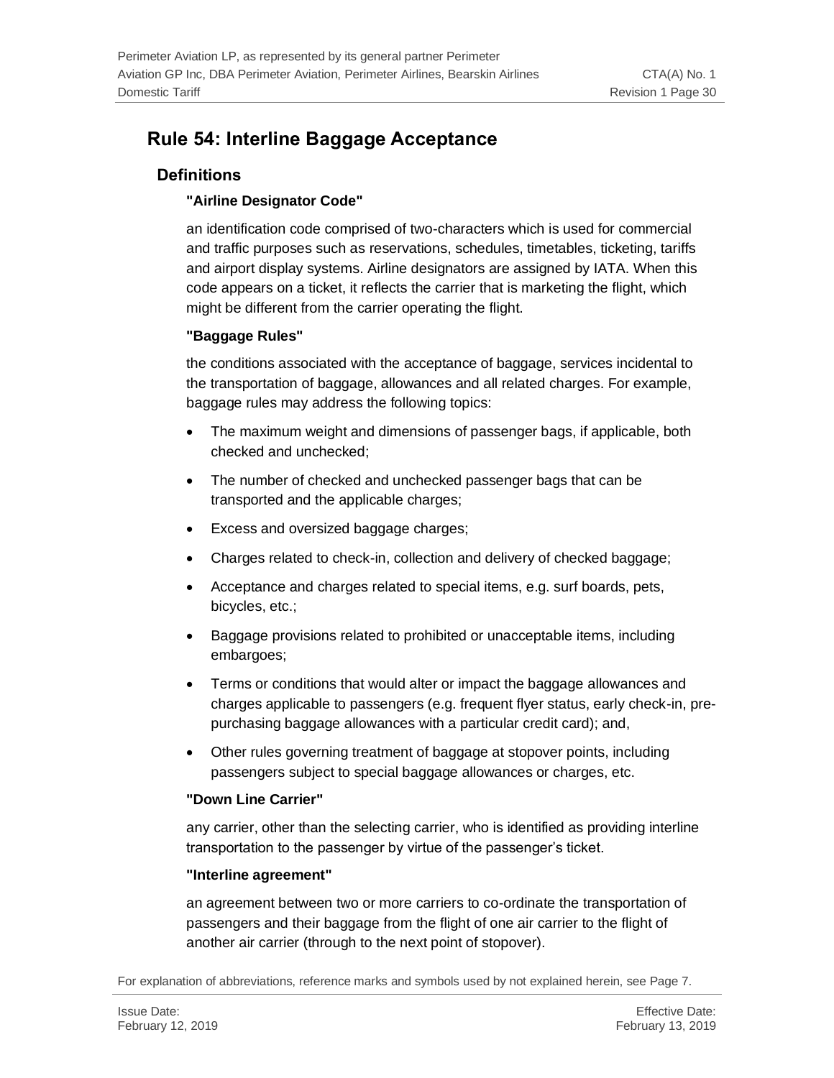# <span id="page-29-0"></span>**Rule 54: Interline Baggage Acceptance**

### <span id="page-29-1"></span>**Definitions**

#### **"Airline Designator Code"**

an identification code comprised of two-characters which is used for commercial and traffic purposes such as reservations, schedules, timetables, ticketing, tariffs and airport display systems. Airline designators are assigned by IATA. When this code appears on a ticket, it reflects the carrier that is marketing the flight, which might be different from the carrier operating the flight.

#### **"Baggage Rules"**

the conditions associated with the acceptance of baggage, services incidental to the transportation of baggage, allowances and all related charges. For example, baggage rules may address the following topics:

- The maximum weight and dimensions of passenger bags, if applicable, both checked and unchecked;
- The number of checked and unchecked passenger bags that can be transported and the applicable charges;
- Excess and oversized baggage charges;
- Charges related to check-in, collection and delivery of checked baggage;
- Acceptance and charges related to special items, e.g. surf boards, pets, bicycles, etc.;
- Baggage provisions related to prohibited or unacceptable items, including embargoes;
- Terms or conditions that would alter or impact the baggage allowances and charges applicable to passengers (e.g. frequent flyer status, early check-in, prepurchasing baggage allowances with a particular credit card); and,
- Other rules governing treatment of baggage at stopover points, including passengers subject to special baggage allowances or charges, etc.

#### **"Down Line Carrier"**

any carrier, other than the selecting carrier, who is identified as providing interline transportation to the passenger by virtue of the passenger's ticket.

#### **"Interline agreement"**

an agreement between two or more carriers to co-ordinate the transportation of passengers and their baggage from the flight of one air carrier to the flight of another air carrier (through to the next point of stopover).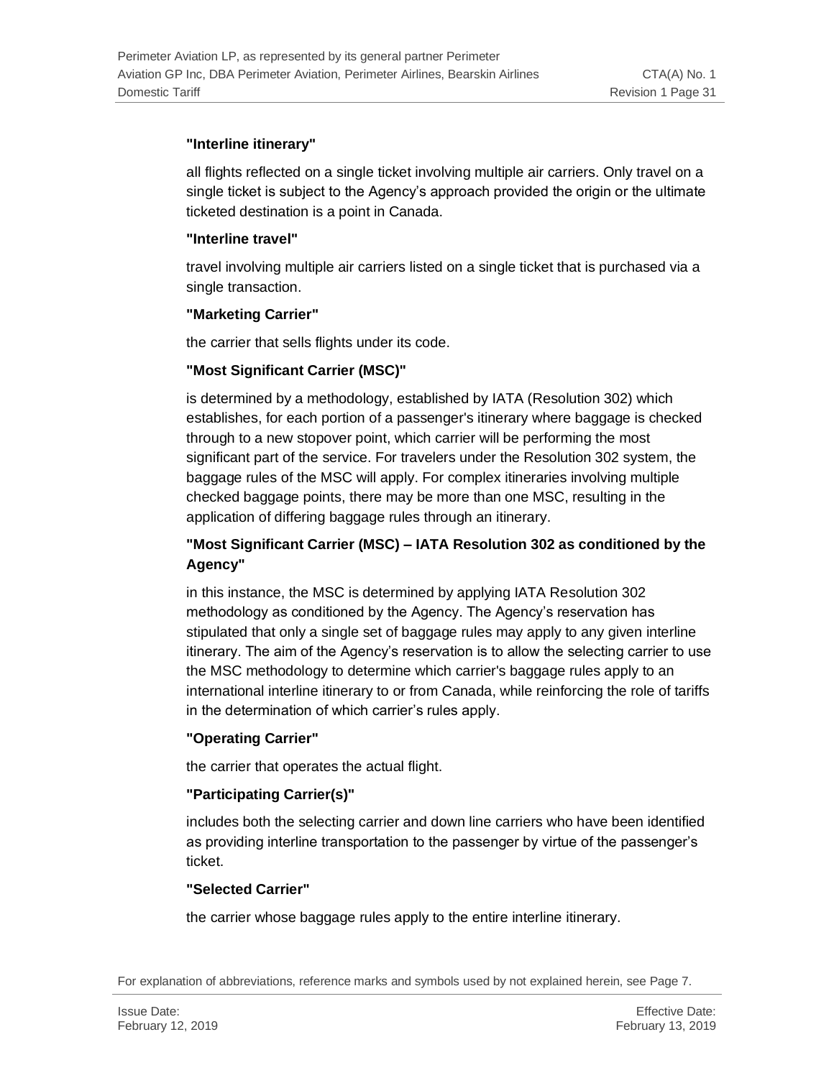#### **"Interline itinerary"**

all flights reflected on a single ticket involving multiple air carriers. Only travel on a single ticket is subject to the Agency's approach provided the origin or the ultimate ticketed destination is a point in Canada.

#### **"Interline travel"**

travel involving multiple air carriers listed on a single ticket that is purchased via a single transaction.

#### **"Marketing Carrier"**

the carrier that sells flights under its code.

#### **"Most Significant Carrier (MSC)"**

is determined by a methodology, established by IATA (Resolution 302) which establishes, for each portion of a passenger's itinerary where baggage is checked through to a new stopover point, which carrier will be performing the most significant part of the service. For travelers under the Resolution 302 system, the baggage rules of the MSC will apply. For complex itineraries involving multiple checked baggage points, there may be more than one MSC, resulting in the application of differing baggage rules through an itinerary.

### **"Most Significant Carrier (MSC) – IATA Resolution 302 as conditioned by the Agency"**

in this instance, the MSC is determined by applying IATA Resolution 302 methodology as conditioned by the Agency. The Agency's reservation has stipulated that only a single set of baggage rules may apply to any given interline itinerary. The aim of the Agency's reservation is to allow the selecting carrier to use the MSC methodology to determine which carrier's baggage rules apply to an international interline itinerary to or from Canada, while reinforcing the role of tariffs in the determination of which carrier's rules apply.

#### **"Operating Carrier"**

the carrier that operates the actual flight.

#### **"Participating Carrier(s)"**

includes both the selecting carrier and down line carriers who have been identified as providing interline transportation to the passenger by virtue of the passenger's ticket.

#### **"Selected Carrier"**

the carrier whose baggage rules apply to the entire interline itinerary.

For explanation of abbreviations, reference marks and symbols used by not explained herein, see Page 7.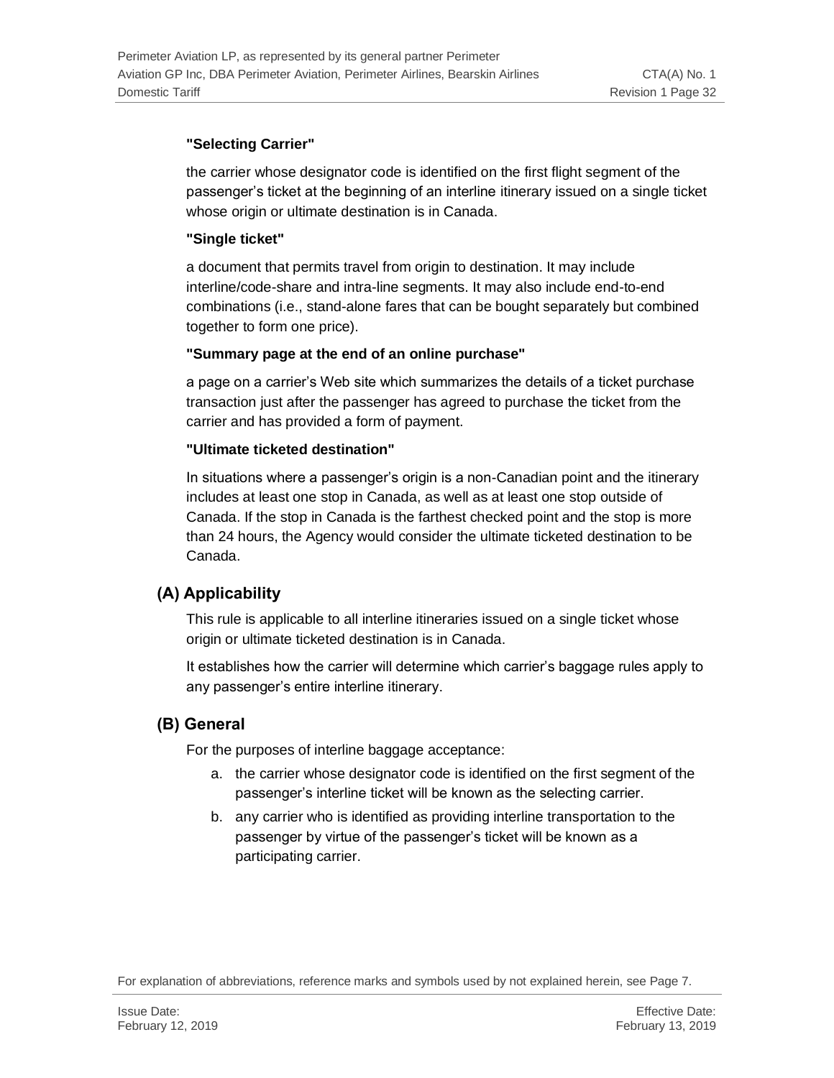#### **"Selecting Carrier"**

the carrier whose designator code is identified on the first flight segment of the passenger's ticket at the beginning of an interline itinerary issued on a single ticket whose origin or ultimate destination is in Canada.

#### **"Single ticket"**

a document that permits travel from origin to destination. It may include interline/code-share and intra-line segments. It may also include end-to-end combinations (i.e., stand-alone fares that can be bought separately but combined together to form one price).

#### **"Summary page at the end of an online purchase"**

a page on a carrier's Web site which summarizes the details of a ticket purchase transaction just after the passenger has agreed to purchase the ticket from the carrier and has provided a form of payment.

#### **"Ultimate ticketed destination"**

In situations where a passenger's origin is a non-Canadian point and the itinerary includes at least one stop in Canada, as well as at least one stop outside of Canada. If the stop in Canada is the farthest checked point and the stop is more than 24 hours, the Agency would consider the ultimate ticketed destination to be Canada.

### <span id="page-31-0"></span>**(A) Applicability**

This rule is applicable to all interline itineraries issued on a single ticket whose origin or ultimate ticketed destination is in Canada.

It establishes how the carrier will determine which carrier's baggage rules apply to any passenger's entire interline itinerary.

### <span id="page-31-1"></span>**(B) General**

For the purposes of interline baggage acceptance:

- a. the carrier whose designator code is identified on the first segment of the passenger's interline ticket will be known as the selecting carrier.
- b. any carrier who is identified as providing interline transportation to the passenger by virtue of the passenger's ticket will be known as a participating carrier.

For explanation of abbreviations, reference marks and symbols used by not explained herein, see Page 7.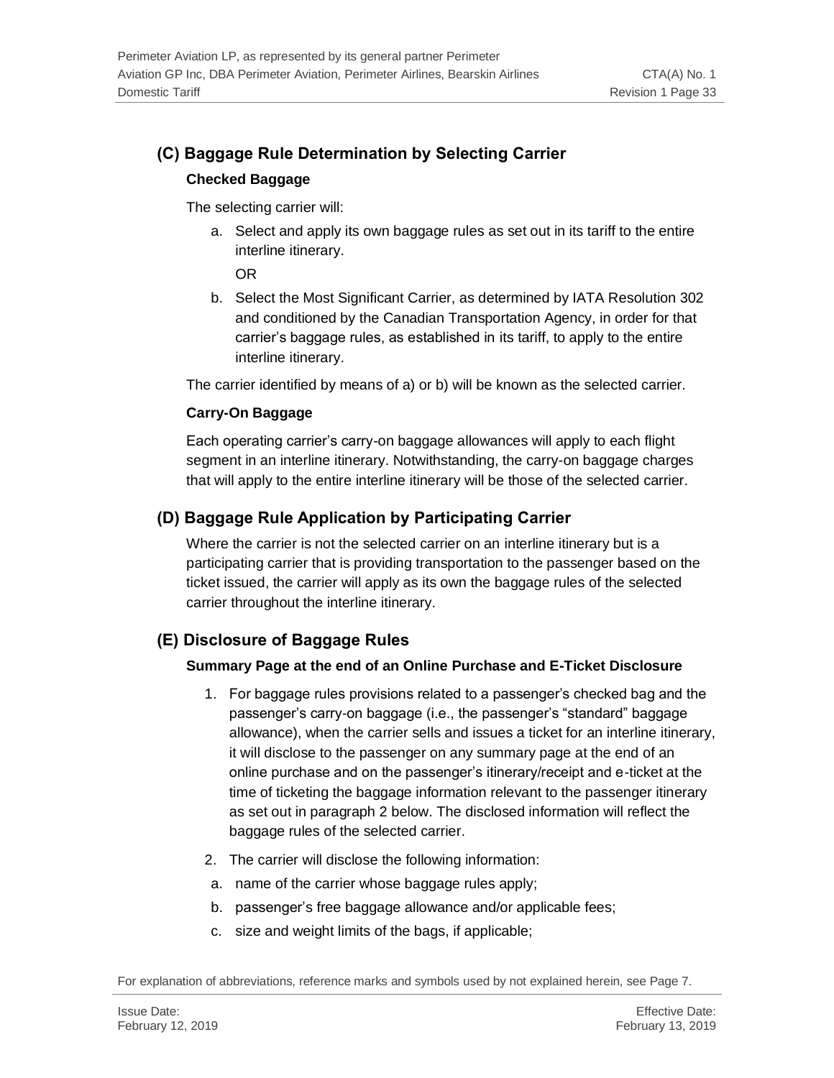# <span id="page-32-0"></span>**(C) Baggage Rule Determination by Selecting Carrier**

#### **Checked Baggage**

The selecting carrier will:

a. Select and apply its own baggage rules as set out in its tariff to the entire interline itinerary.

OR

b. Select the Most Significant Carrier, as determined by IATA Resolution 302 and conditioned by the Canadian Transportation Agency, in order for that carrier's baggage rules, as established in its tariff, to apply to the entire interline itinerary.

The carrier identified by means of a) or b) will be known as the selected carrier.

#### **Carry-On Baggage**

Each operating carrier's carry-on baggage allowances will apply to each flight segment in an interline itinerary. Notwithstanding, the carry-on baggage charges that will apply to the entire interline itinerary will be those of the selected carrier.

### <span id="page-32-1"></span>**(D) Baggage Rule Application by Participating Carrier**

Where the carrier is not the selected carrier on an interline itinerary but is a participating carrier that is providing transportation to the passenger based on the ticket issued, the carrier will apply as its own the baggage rules of the selected carrier throughout the interline itinerary.

### <span id="page-32-2"></span>**(E) Disclosure of Baggage Rules**

#### **Summary Page at the end of an Online Purchase and E-Ticket Disclosure**

- 1. For baggage rules provisions related to a passenger's checked bag and the passenger's carry-on baggage (i.e., the passenger's "standard" baggage allowance), when the carrier sells and issues a ticket for an interline itinerary, it will disclose to the passenger on any summary page at the end of an online purchase and on the passenger's itinerary/receipt and e-ticket at the time of ticketing the baggage information relevant to the passenger itinerary as set out in paragraph 2 below. The disclosed information will reflect the baggage rules of the selected carrier.
- 2. The carrier will disclose the following information:
- a. name of the carrier whose baggage rules apply;
- b. passenger's free baggage allowance and/or applicable fees;
- c. size and weight limits of the bags, if applicable;

For explanation of abbreviations, reference marks and symbols used by not explained herein, see Page 7.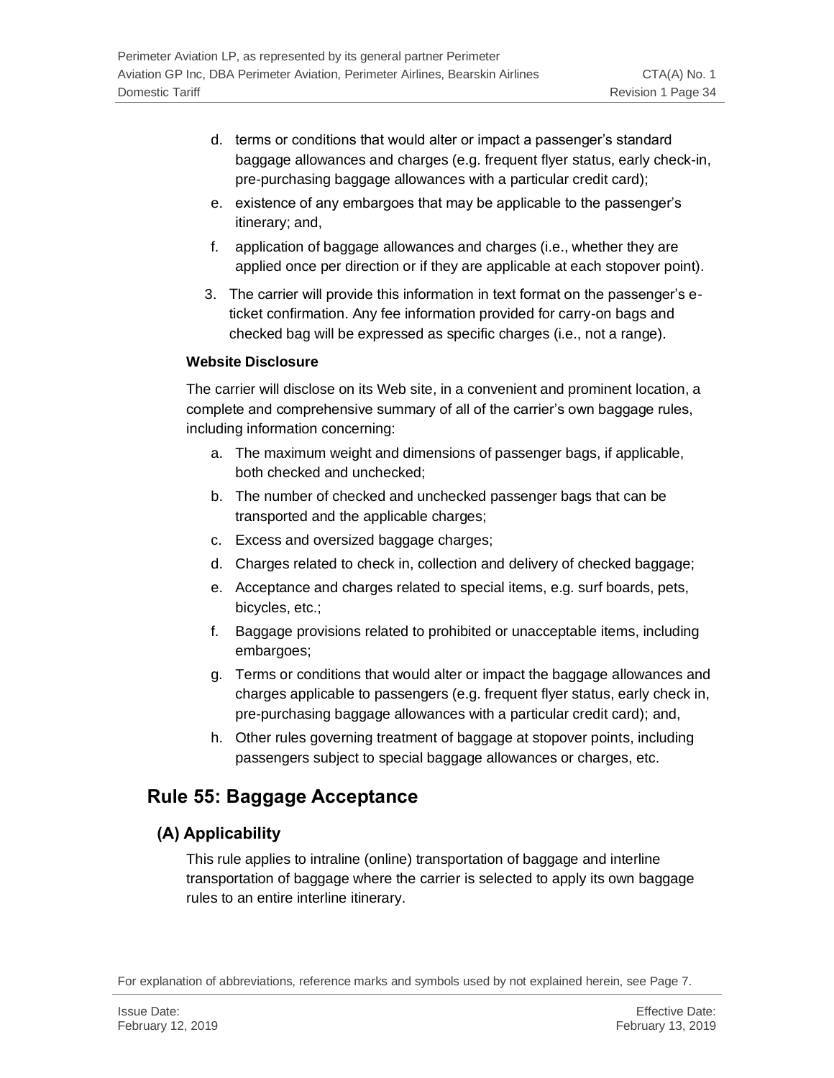- d. terms or conditions that would alter or impact a passenger's standard baggage allowances and charges (e.g. frequent flyer status, early check-in, pre-purchasing baggage allowances with a particular credit card);
- e. existence of any embargoes that may be applicable to the passenger's itinerary; and,
- f. application of baggage allowances and charges (i.e., whether they are applied once per direction or if they are applicable at each stopover point).
- 3. The carrier will provide this information in text format on the passenger's eticket confirmation. Any fee information provided for carry-on bags and checked bag will be expressed as specific charges (i.e., not a range).

#### **Website Disclosure**

The carrier will disclose on its Web site, in a convenient and prominent location, a complete and comprehensive summary of all of the carrier's own baggage rules, including information concerning:

- a. The maximum weight and dimensions of passenger bags, if applicable, both checked and unchecked;
- b. The number of checked and unchecked passenger bags that can be transported and the applicable charges;
- c. Excess and oversized baggage charges;
- d. Charges related to check in, collection and delivery of checked baggage;
- e. Acceptance and charges related to special items, e.g. surf boards, pets, bicycles, etc.;
- f. Baggage provisions related to prohibited or unacceptable items, including embargoes;
- g. Terms or conditions that would alter or impact the baggage allowances and charges applicable to passengers (e.g. frequent flyer status, early check in, pre-purchasing baggage allowances with a particular credit card); and,
- h. Other rules governing treatment of baggage at stopover points, including passengers subject to special baggage allowances or charges, etc.

# <span id="page-33-0"></span>**Rule 55: Baggage Acceptance**

### <span id="page-33-1"></span>**(A) Applicability**

This rule applies to intraline (online) transportation of baggage and interline transportation of baggage where the carrier is selected to apply its own baggage rules to an entire interline itinerary.

For explanation of abbreviations, reference marks and symbols used by not explained herein, see Page 7.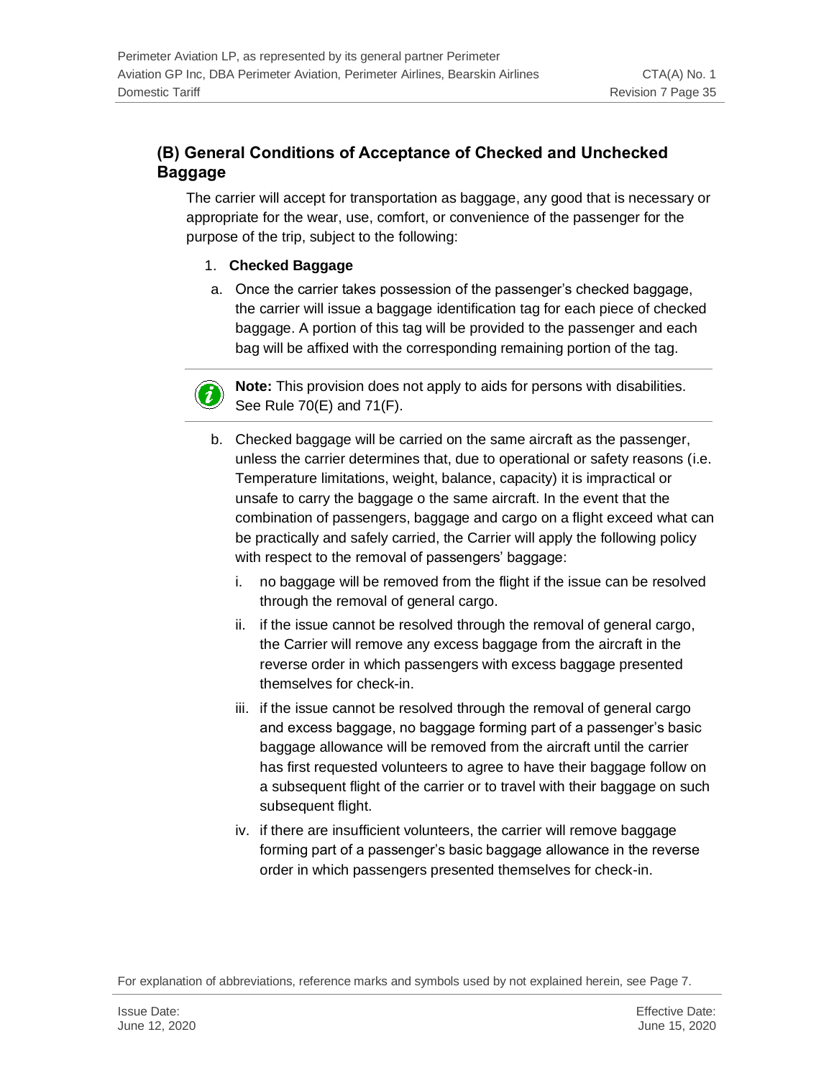### <span id="page-34-0"></span>**(B) General Conditions of Acceptance of Checked and Unchecked Baggage**

The carrier will accept for transportation as baggage, any good that is necessary or appropriate for the wear, use, comfort, or convenience of the passenger for the purpose of the trip, subject to the following:

#### 1. **Checked Baggage**

a. Once the carrier takes possession of the passenger's checked baggage, the carrier will issue a baggage identification tag for each piece of checked baggage. A portion of this tag will be provided to the passenger and each bag will be affixed with the corresponding remaining portion of the tag.



**Note:** This provision does not apply to aids for persons with disabilities. See Rule 70(E) and 71(F).

- b. Checked baggage will be carried on the same aircraft as the passenger, unless the carrier determines that, due to operational or safety reasons (i.e. Temperature limitations, weight, balance, capacity) it is impractical or unsafe to carry the baggage o the same aircraft. In the event that the combination of passengers, baggage and cargo on a flight exceed what can be practically and safely carried, the Carrier will apply the following policy with respect to the removal of passengers' baggage:
	- i. no baggage will be removed from the flight if the issue can be resolved through the removal of general cargo.
	- ii. if the issue cannot be resolved through the removal of general cargo, the Carrier will remove any excess baggage from the aircraft in the reverse order in which passengers with excess baggage presented themselves for check-in.
	- iii. if the issue cannot be resolved through the removal of general cargo and excess baggage, no baggage forming part of a passenger's basic baggage allowance will be removed from the aircraft until the carrier has first requested volunteers to agree to have their baggage follow on a subsequent flight of the carrier or to travel with their baggage on such subsequent flight.
	- iv. if there are insufficient volunteers, the carrier will remove baggage forming part of a passenger's basic baggage allowance in the reverse order in which passengers presented themselves for check-in.

For explanation of abbreviations, reference marks and symbols used by not explained herein, see Page 7.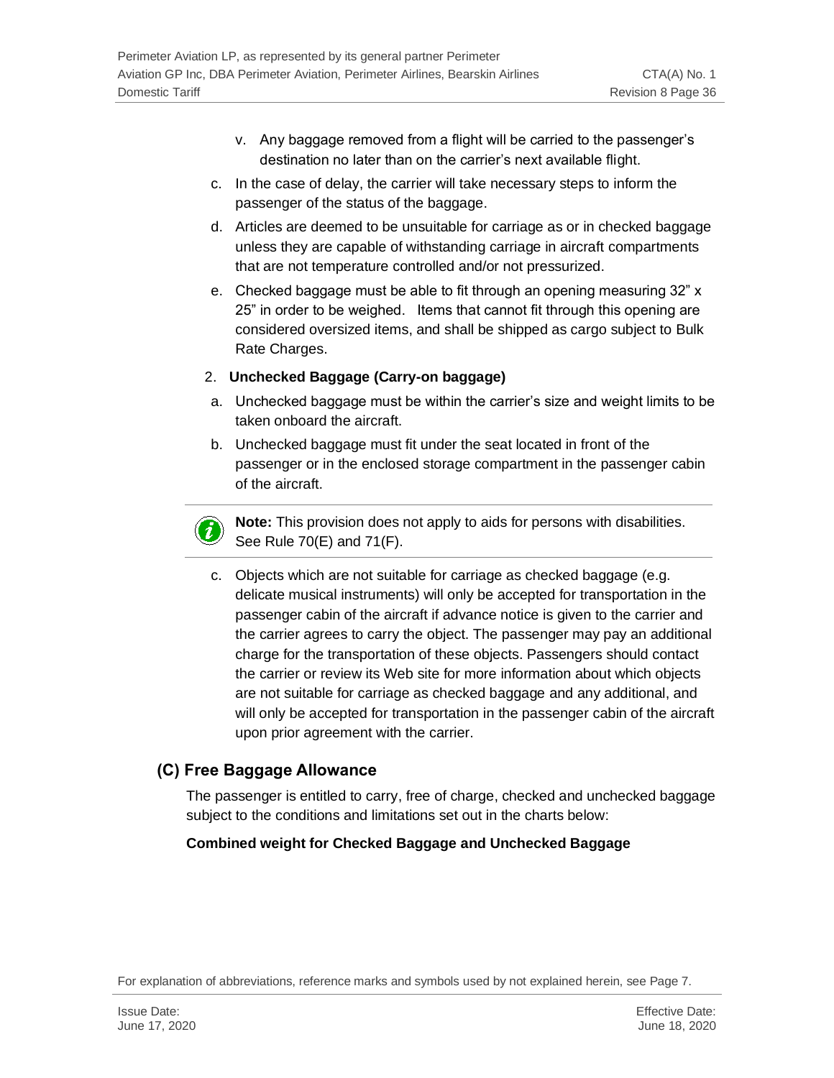- v. Any baggage removed from a flight will be carried to the passenger's destination no later than on the carrier's next available flight.
- c. In the case of delay, the carrier will take necessary steps to inform the passenger of the status of the baggage.
- d. Articles are deemed to be unsuitable for carriage as or in checked baggage unless they are capable of withstanding carriage in aircraft compartments that are not temperature controlled and/or not pressurized.
- e. Checked baggage must be able to fit through an opening measuring 32" x 25" in order to be weighed. Items that cannot fit through this opening are considered oversized items, and shall be shipped as cargo subject to Bulk Rate Charges.

#### 2. **Unchecked Baggage (Carry-on baggage)**

- a. Unchecked baggage must be within the carrier's size and weight limits to be taken onboard the aircraft.
- b. Unchecked baggage must fit under the seat located in front of the passenger or in the enclosed storage compartment in the passenger cabin of the aircraft.

**Note:** This provision does not apply to aids for persons with disabilities. See Rule 70(E) and 71(F).

c. Objects which are not suitable for carriage as checked baggage (e.g. delicate musical instruments) will only be accepted for transportation in the passenger cabin of the aircraft if advance notice is given to the carrier and the carrier agrees to carry the object. The passenger may pay an additional charge for the transportation of these objects. Passengers should contact the carrier or review its Web site for more information about which objects are not suitable for carriage as checked baggage and any additional, and will only be accepted for transportation in the passenger cabin of the aircraft upon prior agreement with the carrier.

### <span id="page-35-0"></span>**(C) Free Baggage Allowance**

 $\boldsymbol{i}$ 

The passenger is entitled to carry, free of charge, checked and unchecked baggage subject to the conditions and limitations set out in the charts below:

### **Combined weight for Checked Baggage and Unchecked Baggage**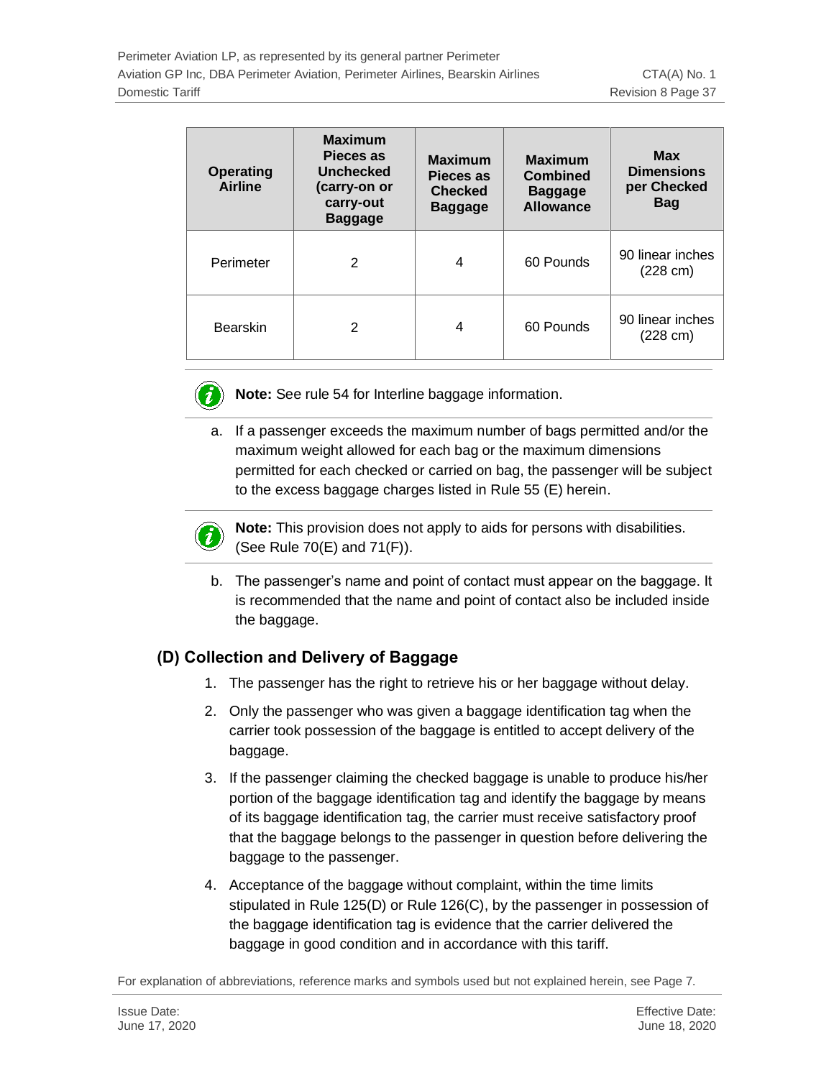| <b>Operating</b><br><b>Airline</b> | <b>Maximum</b><br>Pieces as<br><b>Unchecked</b><br>(carry-on or<br>carry-out<br><b>Baggage</b> | <b>Maximum</b><br>Pieces as<br><b>Checked</b><br><b>Baggage</b> | <b>Maximum</b><br><b>Combined</b><br><b>Baggage</b><br><b>Allowance</b> | <b>Max</b><br><b>Dimensions</b><br>per Checked<br><b>Bag</b> |
|------------------------------------|------------------------------------------------------------------------------------------------|-----------------------------------------------------------------|-------------------------------------------------------------------------|--------------------------------------------------------------|
| Perimeter                          | 2                                                                                              | 4                                                               | 60 Pounds                                                               | 90 linear inches<br>$(228 \text{ cm})$                       |
| <b>Bearskin</b>                    | 2                                                                                              | 4                                                               | 60 Pounds                                                               | 90 linear inches<br>$(228 \text{ cm})$                       |



**Note:** See rule 54 for Interline baggage information.

a. If a passenger exceeds the maximum number of bags permitted and/or the maximum weight allowed for each bag or the maximum dimensions permitted for each checked or carried on bag, the passenger will be subject to the excess baggage charges listed in Rule 55 (E) herein.



**Note:** This provision does not apply to aids for persons with disabilities. (See Rule 70(E) and 71(F)).

b. The passenger's name and point of contact must appear on the baggage. It is recommended that the name and point of contact also be included inside the baggage.

### **(D) Collection and Delivery of Baggage**

- 1. The passenger has the right to retrieve his or her baggage without delay.
- 2. Only the passenger who was given a baggage identification tag when the carrier took possession of the baggage is entitled to accept delivery of the baggage.
- 3. If the passenger claiming the checked baggage is unable to produce his/her portion of the baggage identification tag and identify the baggage by means of its baggage identification tag, the carrier must receive satisfactory proof that the baggage belongs to the passenger in question before delivering the baggage to the passenger.
- 4. Acceptance of the baggage without complaint, within the time limits stipulated in Rule 125(D) or Rule 126(C), by the passenger in possession of the baggage identification tag is evidence that the carrier delivered the baggage in good condition and in accordance with this tariff.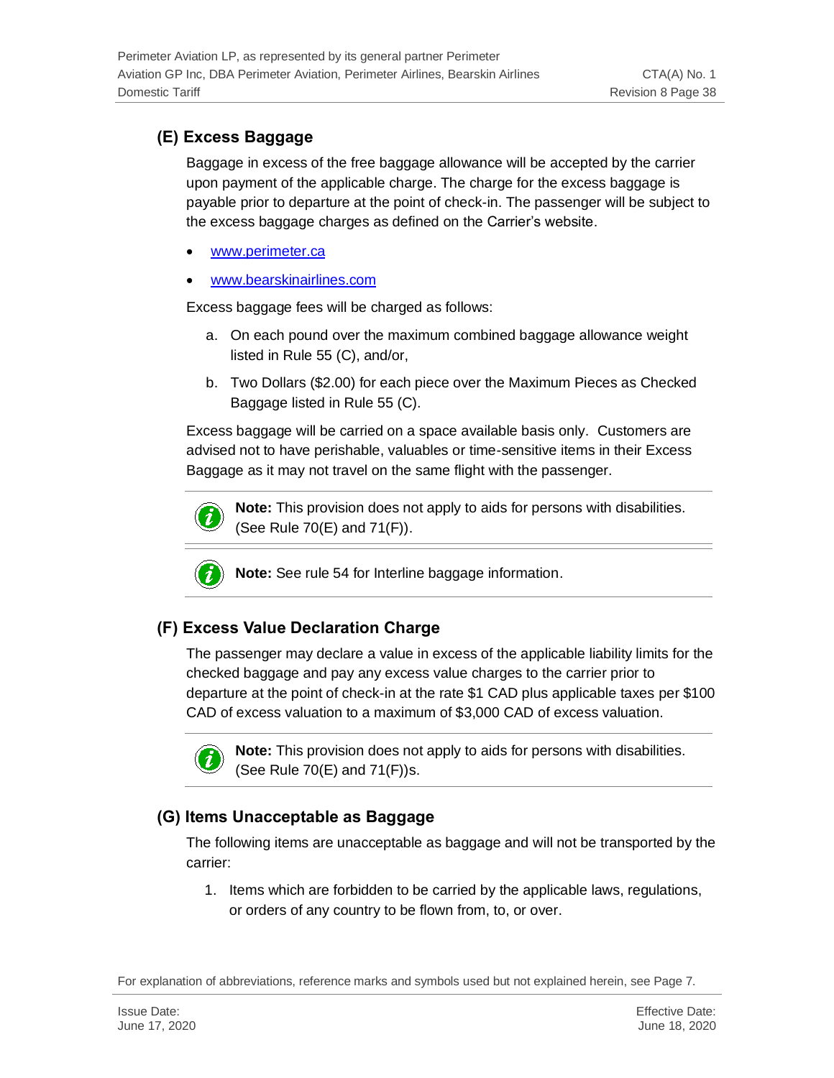## **(E) Excess Baggage**

Baggage in excess of the free baggage allowance will be accepted by the carrier upon payment of the applicable charge. The charge for the excess baggage is payable prior to departure at the point of check-in. The passenger will be subject to the excess baggage charges as defined on the Carrier's website.

- [www.perimeter.ca](http://www.perimeter.ca/)
- [www.bearskinairlines.com](http://www.bearskinairlines.com/)

Excess baggage fees will be charged as follows:

- a. On each pound over the maximum combined baggage allowance weight listed in Rule 55 (C), and/or,
- b. Two Dollars (\$2.00) for each piece over the Maximum Pieces as Checked Baggage listed in Rule 55 (C).

Excess baggage will be carried on a space available basis only. Customers are advised not to have perishable, valuables or time-sensitive items in their Excess Baggage as it may not travel on the same flight with the passenger.



**Note:** This provision does not apply to aids for persons with disabilities. (See Rule 70(E) and 71(F)).



**Note:** See rule 54 for Interline baggage information.

## **(F) Excess Value Declaration Charge**

The passenger may declare a value in excess of the applicable liability limits for the checked baggage and pay any excess value charges to the carrier prior to departure at the point of check-in at the rate \$1 CAD plus applicable taxes per \$100 CAD of excess valuation to a maximum of \$3,000 CAD of excess valuation.



**Note:** This provision does not apply to aids for persons with disabilities. (See Rule 70(E) and 71(F))s.

### **(G) Items Unacceptable as Baggage**

The following items are unacceptable as baggage and will not be transported by the carrier:

1. Items which are forbidden to be carried by the applicable laws, regulations, or orders of any country to be flown from, to, or over.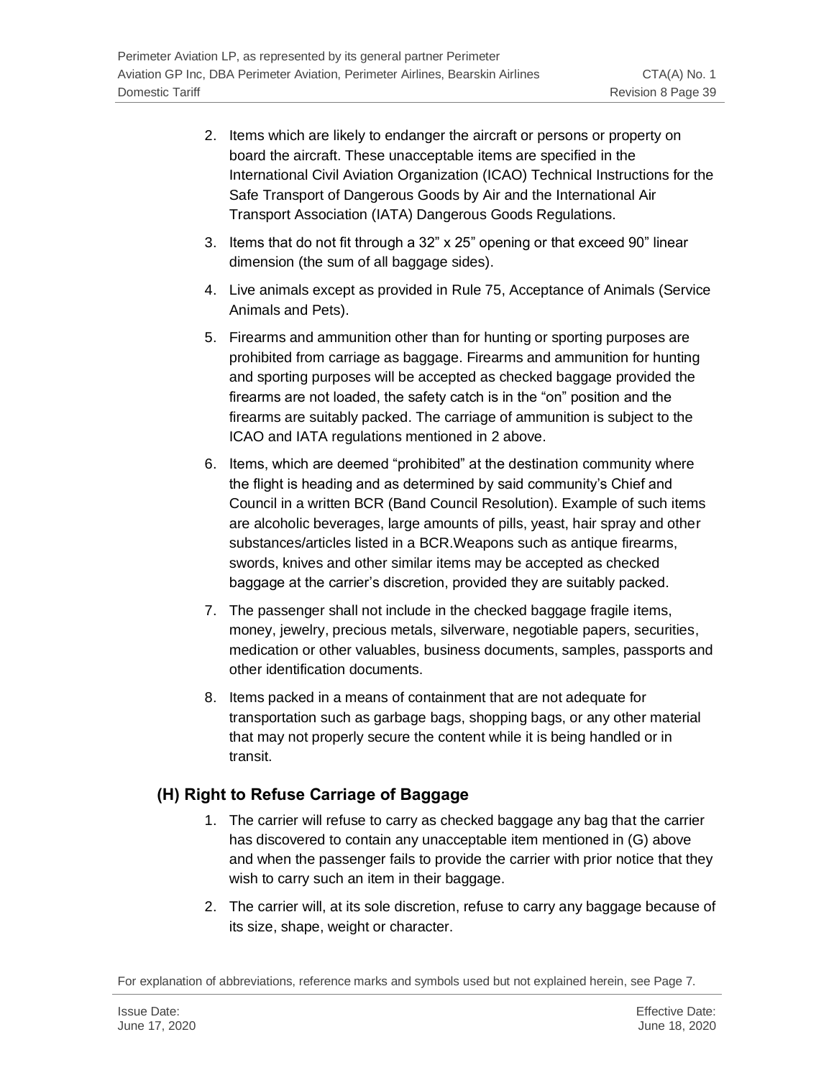- 2. Items which are likely to endanger the aircraft or persons or property on board the aircraft. These unacceptable items are specified in the International Civil Aviation Organization (ICAO) Technical Instructions for the Safe Transport of Dangerous Goods by Air and the International Air Transport Association (IATA) Dangerous Goods Regulations.
- 3. Items that do not fit through a 32" x 25" opening or that exceed 90" linear dimension (the sum of all baggage sides).
- 4. Live animals except as provided in Rule 75, Acceptance of Animals (Service Animals and Pets).
- 5. Firearms and ammunition other than for hunting or sporting purposes are prohibited from carriage as baggage. Firearms and ammunition for hunting and sporting purposes will be accepted as checked baggage provided the firearms are not loaded, the safety catch is in the "on" position and the firearms are suitably packed. The carriage of ammunition is subject to the ICAO and IATA regulations mentioned in 2 above.
- 6. Items, which are deemed "prohibited" at the destination community where the flight is heading and as determined by said community's Chief and Council in a written BCR (Band Council Resolution). Example of such items are alcoholic beverages, large amounts of pills, yeast, hair spray and other substances/articles listed in a BCR.Weapons such as antique firearms, swords, knives and other similar items may be accepted as checked baggage at the carrier's discretion, provided they are suitably packed.
- 7. The passenger shall not include in the checked baggage fragile items, money, jewelry, precious metals, silverware, negotiable papers, securities, medication or other valuables, business documents, samples, passports and other identification documents.
- 8. Items packed in a means of containment that are not adequate for transportation such as garbage bags, shopping bags, or any other material that may not properly secure the content while it is being handled or in transit.

### **(H) Right to Refuse Carriage of Baggage**

- 1. The carrier will refuse to carry as checked baggage any bag that the carrier has discovered to contain any unacceptable item mentioned in (G) above and when the passenger fails to provide the carrier with prior notice that they wish to carry such an item in their baggage.
- 2. The carrier will, at its sole discretion, refuse to carry any baggage because of its size, shape, weight or character.

For explanation of abbreviations, reference marks and symbols used but not explained herein, see Page 7.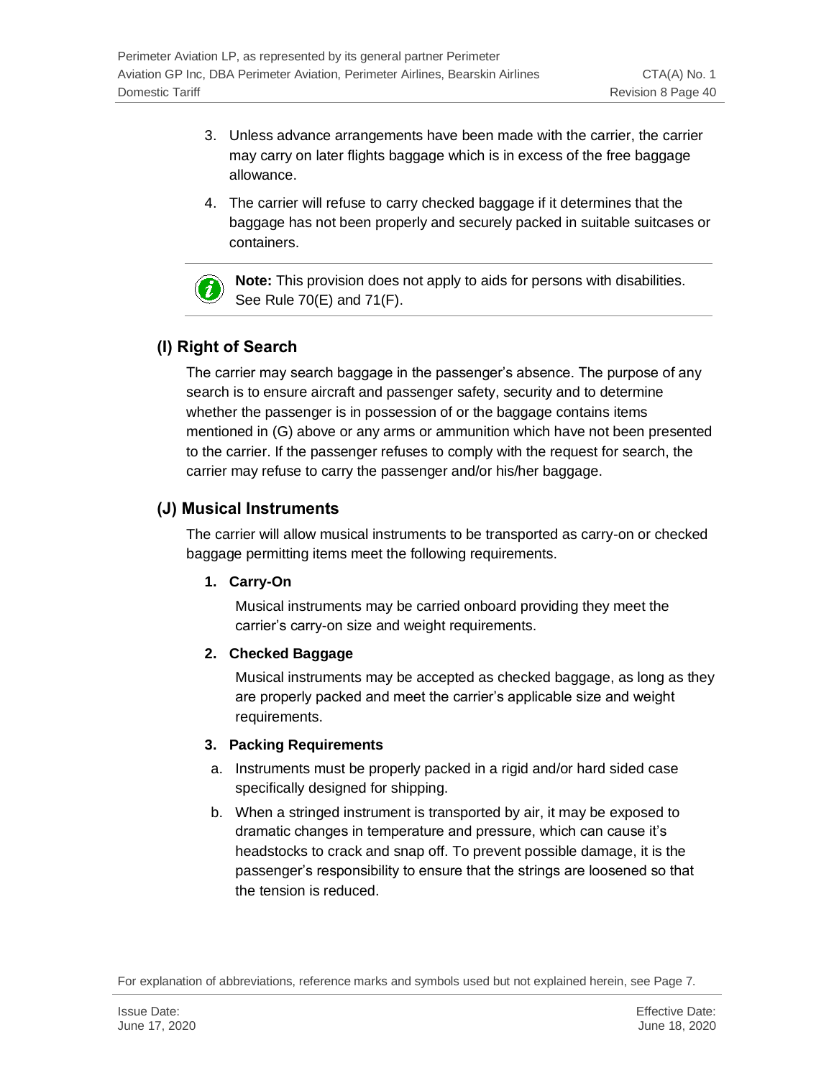- 3. Unless advance arrangements have been made with the carrier, the carrier may carry on later flights baggage which is in excess of the free baggage allowance.
- 4. The carrier will refuse to carry checked baggage if it determines that the baggage has not been properly and securely packed in suitable suitcases or containers.



**Note:** This provision does not apply to aids for persons with disabilities. See Rule 70(E) and 71(F).

## **(I) Right of Search**

The carrier may search baggage in the passenger's absence. The purpose of any search is to ensure aircraft and passenger safety, security and to determine whether the passenger is in possession of or the baggage contains items mentioned in (G) above or any arms or ammunition which have not been presented to the carrier. If the passenger refuses to comply with the request for search, the carrier may refuse to carry the passenger and/or his/her baggage.

## **(J) Musical Instruments**

The carrier will allow musical instruments to be transported as carry-on or checked baggage permitting items meet the following requirements.

### **1. Carry-On**

Musical instruments may be carried onboard providing they meet the carrier's carry-on size and weight requirements.

### **2. Checked Baggage**

Musical instruments may be accepted as checked baggage, as long as they are properly packed and meet the carrier's applicable size and weight requirements.

### **3. Packing Requirements**

- a. Instruments must be properly packed in a rigid and/or hard sided case specifically designed for shipping.
- b. When a stringed instrument is transported by air, it may be exposed to dramatic changes in temperature and pressure, which can cause it's headstocks to crack and snap off. To prevent possible damage, it is the passenger's responsibility to ensure that the strings are loosened so that the tension is reduced.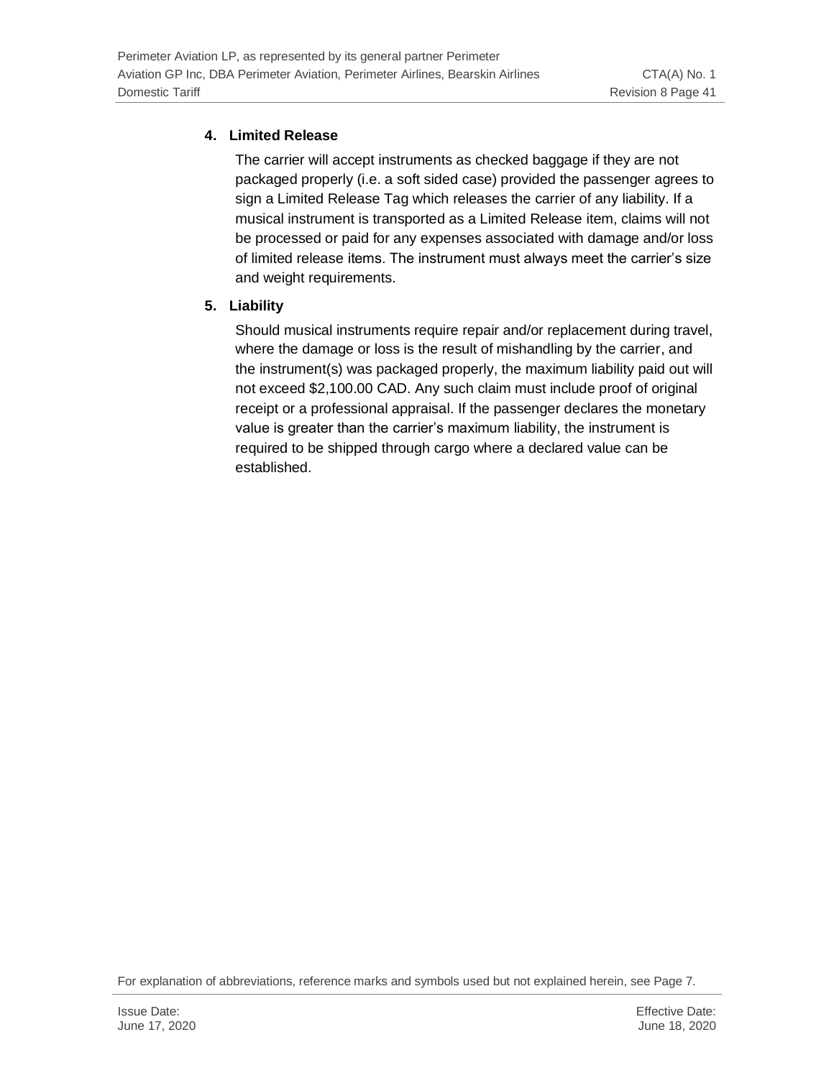#### **4. Limited Release**

The carrier will accept instruments as checked baggage if they are not packaged properly (i.e. a soft sided case) provided the passenger agrees to sign a Limited Release Tag which releases the carrier of any liability. If a musical instrument is transported as a Limited Release item, claims will not be processed or paid for any expenses associated with damage and/or loss of limited release items. The instrument must always meet the carrier's size and weight requirements.

#### **5. Liability**

Should musical instruments require repair and/or replacement during travel, where the damage or loss is the result of mishandling by the carrier, and the instrument(s) was packaged properly, the maximum liability paid out will not exceed \$2,100.00 CAD. Any such claim must include proof of original receipt or a professional appraisal. If the passenger declares the monetary value is greater than the carrier's maximum liability, the instrument is required to be shipped through cargo where a declared value can be established.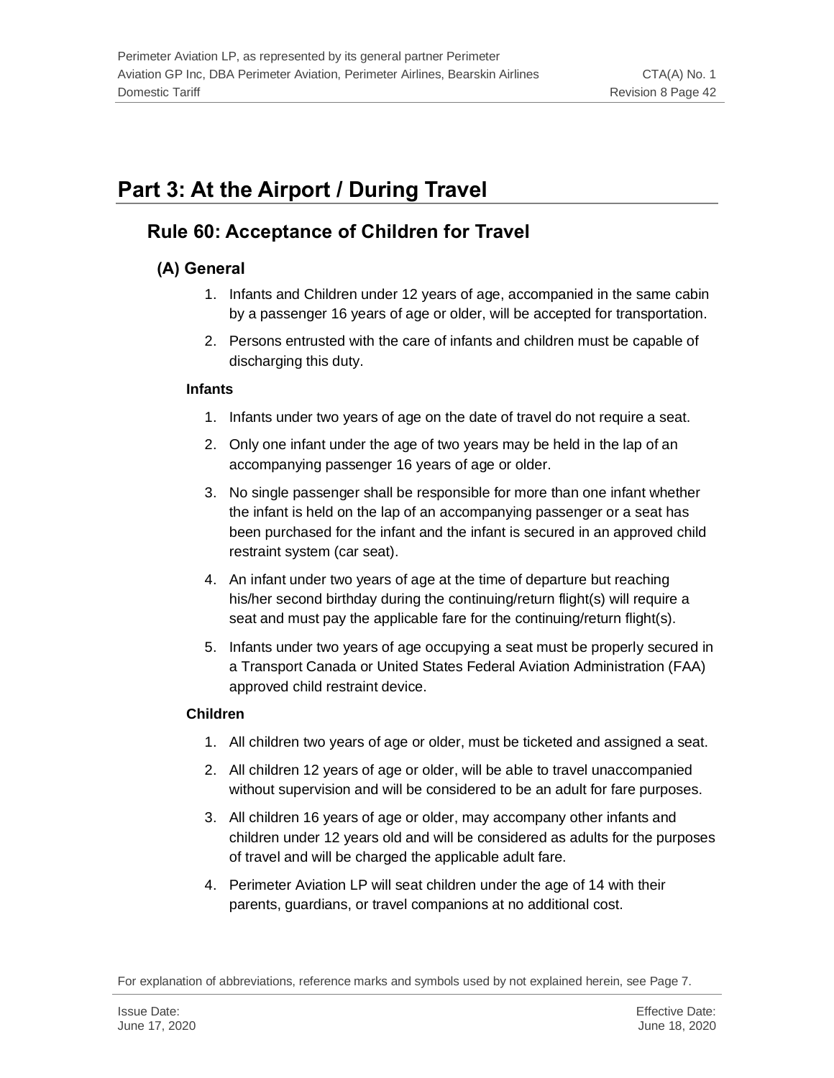# **Part 3: At the Airport / During Travel**

## **Rule 60: Acceptance of Children for Travel**

## **(A) General**

- 1. Infants and Children under 12 years of age, accompanied in the same cabin by a passenger 16 years of age or older, will be accepted for transportation.
- 2. Persons entrusted with the care of infants and children must be capable of discharging this duty.

#### **Infants**

- 1. Infants under two years of age on the date of travel do not require a seat.
- 2. Only one infant under the age of two years may be held in the lap of an accompanying passenger 16 years of age or older.
- 3. No single passenger shall be responsible for more than one infant whether the infant is held on the lap of an accompanying passenger or a seat has been purchased for the infant and the infant is secured in an approved child restraint system (car seat).
- 4. An infant under two years of age at the time of departure but reaching his/her second birthday during the continuing/return flight(s) will require a seat and must pay the applicable fare for the continuing/return flight(s).
- 5. Infants under two years of age occupying a seat must be properly secured in a Transport Canada or United States Federal Aviation Administration (FAA) approved child restraint device.

#### **Children**

- 1. All children two years of age or older, must be ticketed and assigned a seat.
- 2. All children 12 years of age or older, will be able to travel unaccompanied without supervision and will be considered to be an adult for fare purposes.
- 3. All children 16 years of age or older, may accompany other infants and children under 12 years old and will be considered as adults for the purposes of travel and will be charged the applicable adult fare.
- 4. Perimeter Aviation LP will seat children under the age of 14 with their parents, guardians, or travel companions at no additional cost.

For explanation of abbreviations, reference marks and symbols used by not explained herein, see Page 7.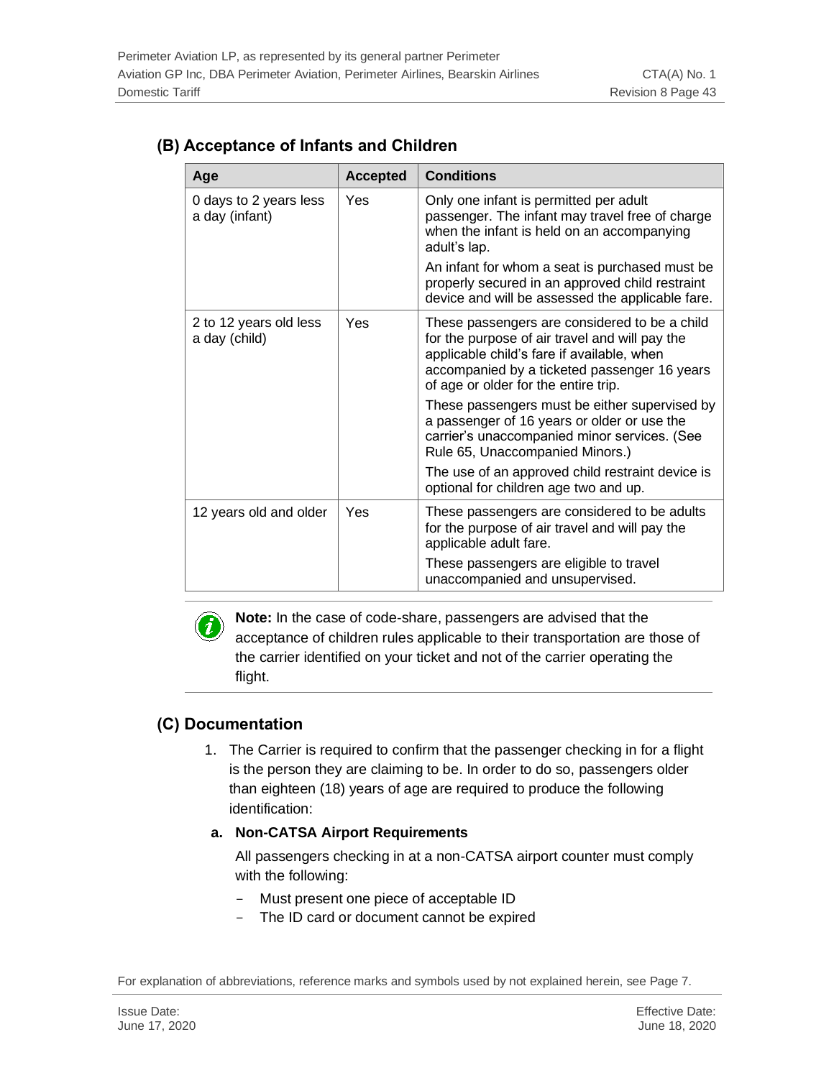| Age                                      | <b>Accepted</b> | <b>Conditions</b>                                                                                                                                                                                                                     |  |
|------------------------------------------|-----------------|---------------------------------------------------------------------------------------------------------------------------------------------------------------------------------------------------------------------------------------|--|
| 0 days to 2 years less<br>a day (infant) | Yes             | Only one infant is permitted per adult<br>passenger. The infant may travel free of charge<br>when the infant is held on an accompanying<br>adult's lap.                                                                               |  |
|                                          |                 | An infant for whom a seat is purchased must be<br>properly secured in an approved child restraint<br>device and will be assessed the applicable fare.                                                                                 |  |
| 2 to 12 years old less<br>a day (child)  | Yes             | These passengers are considered to be a child<br>for the purpose of air travel and will pay the<br>applicable child's fare if available, when<br>accompanied by a ticketed passenger 16 years<br>of age or older for the entire trip. |  |
|                                          |                 | These passengers must be either supervised by<br>a passenger of 16 years or older or use the<br>carrier's unaccompanied minor services. (See<br>Rule 65, Unaccompanied Minors.)                                                       |  |
|                                          |                 | The use of an approved child restraint device is<br>optional for children age two and up.                                                                                                                                             |  |
| 12 years old and older                   | Yes             | These passengers are considered to be adults<br>for the purpose of air travel and will pay the<br>applicable adult fare.                                                                                                              |  |
|                                          |                 | These passengers are eligible to travel<br>unaccompanied and unsupervised.                                                                                                                                                            |  |

### **(B) Acceptance of Infants and Children**



**Note:** In the case of code-share, passengers are advised that the acceptance of children rules applicable to their transportation are those of the carrier identified on your ticket and not of the carrier operating the flight.

## **(C) Documentation**

- 1. The Carrier is required to confirm that the passenger checking in for a flight is the person they are claiming to be. In order to do so, passengers older than eighteen (18) years of age are required to produce the following identification:
- **a. Non-CATSA Airport Requirements**

All passengers checking in at a non-CATSA airport counter must comply with the following:

- Must present one piece of acceptable ID
- The ID card or document cannot be expired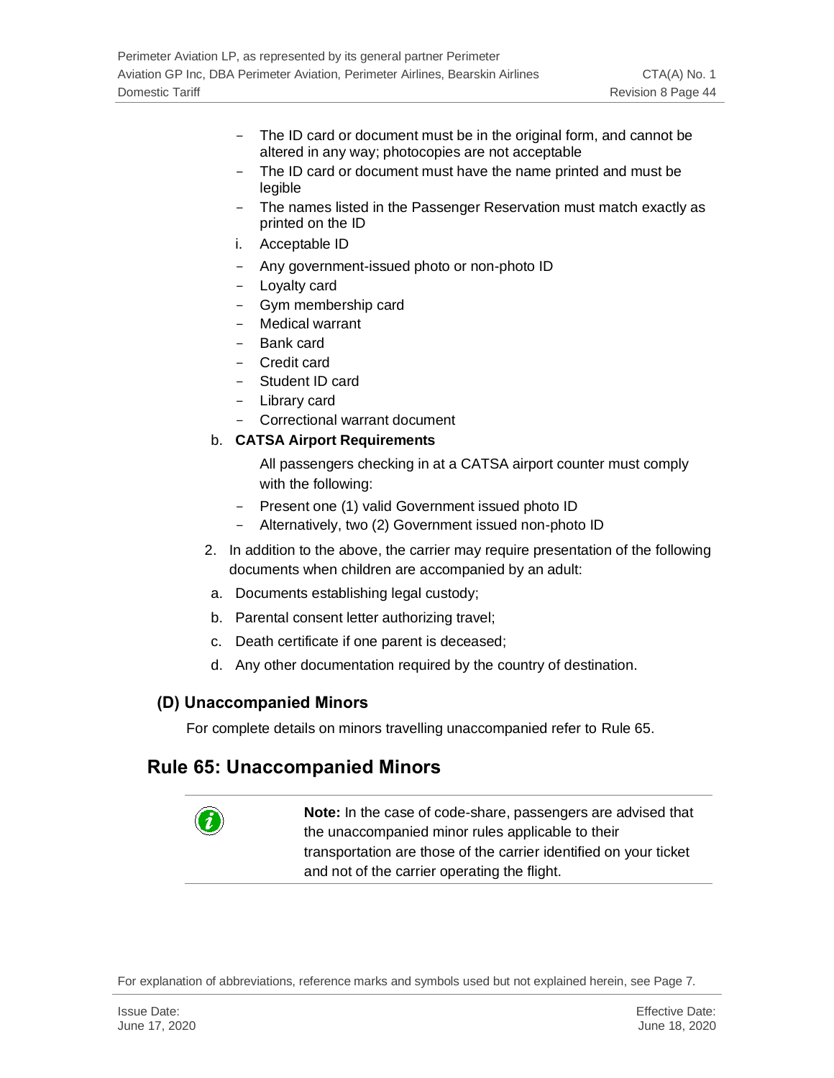- The ID card or document must be in the original form, and cannot be altered in any way; photocopies are not acceptable
- The ID card or document must have the name printed and must be legible
- The names listed in the Passenger Reservation must match exactly as printed on the ID
- i. Acceptable ID
- Any government-issued photo or non-photo ID
- Loyalty card
- Gym membership card
- Medical warrant
- Bank card
- Credit card
- Student ID card
- Library card
- Correctional warrant document

#### b. **CATSA Airport Requirements**

All passengers checking in at a CATSA airport counter must comply with the following:

- Present one (1) valid Government issued photo ID
- Alternatively, two (2) Government issued non-photo ID
- 2. In addition to the above, the carrier may require presentation of the following documents when children are accompanied by an adult:
- a. Documents establishing legal custody;
- b. Parental consent letter authorizing travel;
- c. Death certificate if one parent is deceased;
- d. Any other documentation required by the country of destination.

#### **(D) Unaccompanied Minors**

For complete details on minors travelling unaccompanied refer to Rule 65.

### **Rule 65: Unaccompanied Minors**

**Note:** In the case of code-share, passengers are advised that the unaccompanied minor rules applicable to their transportation are those of the carrier identified on your ticket and not of the carrier operating the flight.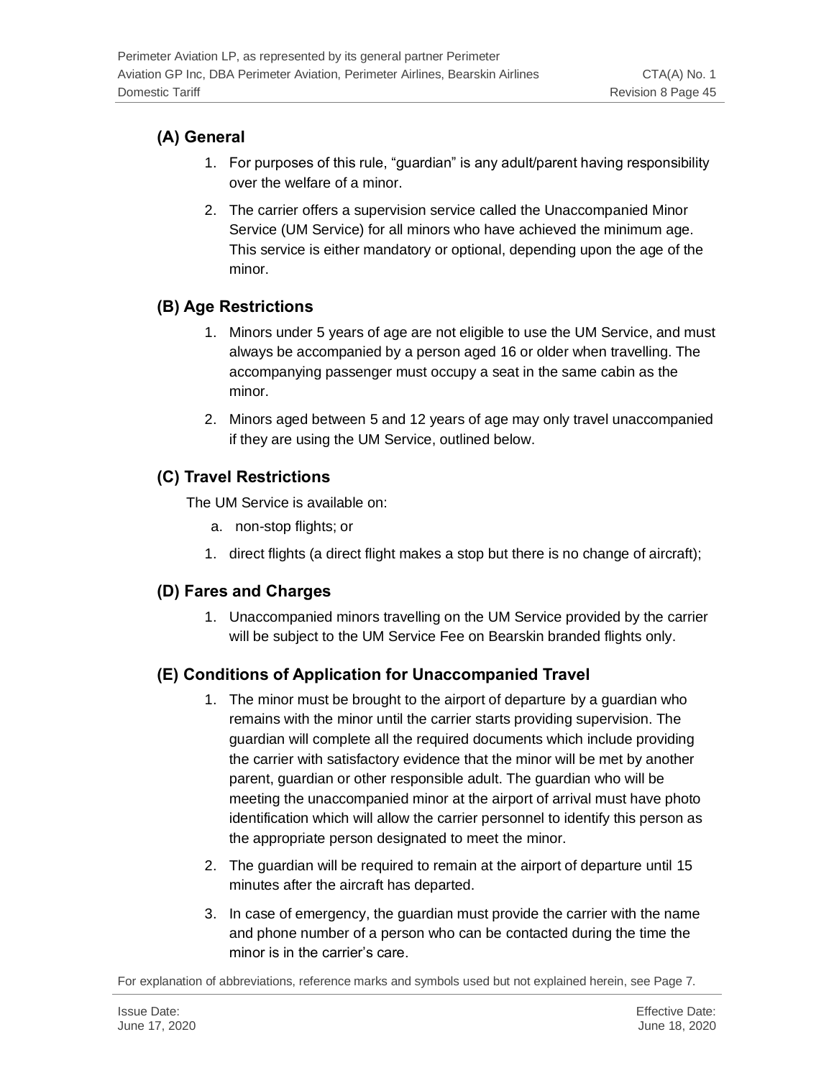## **(A) General**

- 1. For purposes of this rule, "guardian" is any adult/parent having responsibility over the welfare of a minor.
- 2. The carrier offers a supervision service called the Unaccompanied Minor Service (UM Service) for all minors who have achieved the minimum age. This service is either mandatory or optional, depending upon the age of the minor.

## **(B) Age Restrictions**

- 1. Minors under 5 years of age are not eligible to use the UM Service, and must always be accompanied by a person aged 16 or older when travelling. The accompanying passenger must occupy a seat in the same cabin as the minor.
- 2. Minors aged between 5 and 12 years of age may only travel unaccompanied if they are using the UM Service, outlined below.

## **(C) Travel Restrictions**

The UM Service is available on:

- a. non-stop flights; or
- 1. direct flights (a direct flight makes a stop but there is no change of aircraft);

## **(D) Fares and Charges**

1. Unaccompanied minors travelling on the UM Service provided by the carrier will be subject to the UM Service Fee on Bearskin branded flights only.

## **(E) Conditions of Application for Unaccompanied Travel**

- 1. The minor must be brought to the airport of departure by a guardian who remains with the minor until the carrier starts providing supervision. The guardian will complete all the required documents which include providing the carrier with satisfactory evidence that the minor will be met by another parent, guardian or other responsible adult. The guardian who will be meeting the unaccompanied minor at the airport of arrival must have photo identification which will allow the carrier personnel to identify this person as the appropriate person designated to meet the minor.
- 2. The guardian will be required to remain at the airport of departure until 15 minutes after the aircraft has departed.
- 3. In case of emergency, the guardian must provide the carrier with the name and phone number of a person who can be contacted during the time the minor is in the carrier's care.

For explanation of abbreviations, reference marks and symbols used but not explained herein, see Page 7.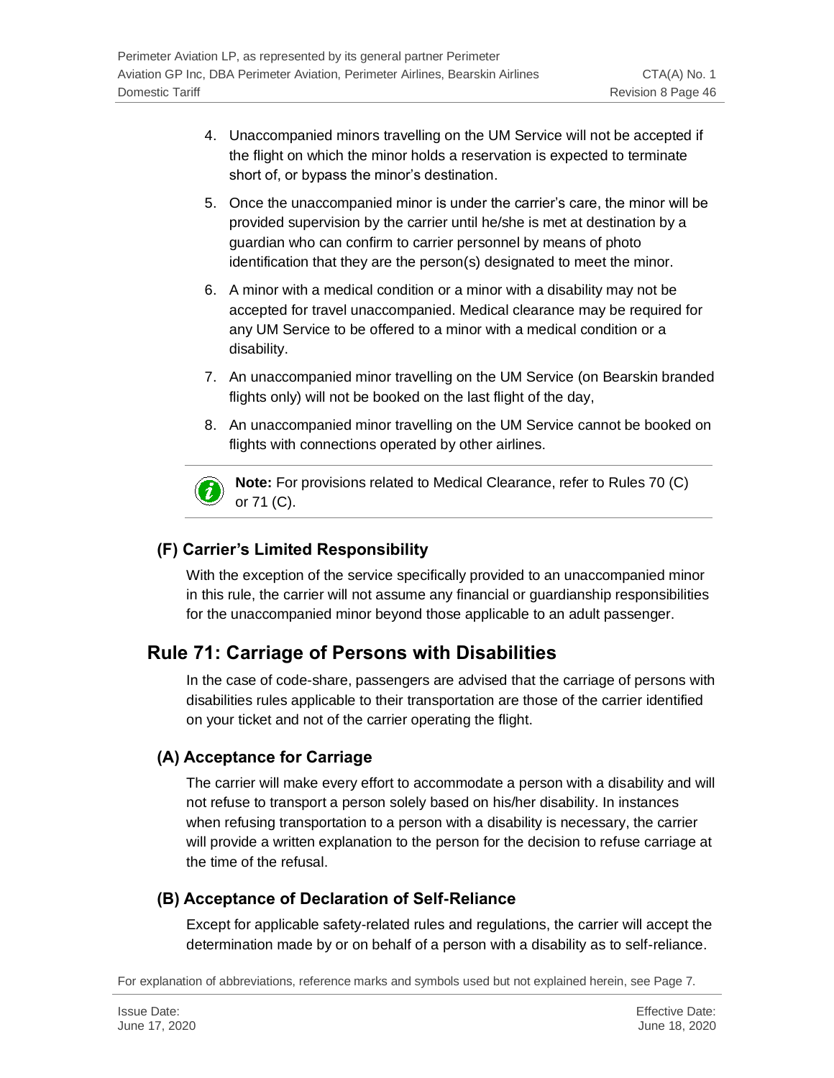- 4. Unaccompanied minors travelling on the UM Service will not be accepted if the flight on which the minor holds a reservation is expected to terminate short of, or bypass the minor's destination.
- 5. Once the unaccompanied minor is under the carrier's care, the minor will be provided supervision by the carrier until he/she is met at destination by a guardian who can confirm to carrier personnel by means of photo identification that they are the person(s) designated to meet the minor.
- 6. A minor with a medical condition or a minor with a disability may not be accepted for travel unaccompanied. Medical clearance may be required for any UM Service to be offered to a minor with a medical condition or a disability.
- 7. An unaccompanied minor travelling on the UM Service (on Bearskin branded flights only) will not be booked on the last flight of the day,
- 8. An unaccompanied minor travelling on the UM Service cannot be booked on flights with connections operated by other airlines.



**Note:** For provisions related to Medical Clearance, refer to Rules 70 (C) or 71 (C).

## **(F) Carrier's Limited Responsibility**

With the exception of the service specifically provided to an unaccompanied minor in this rule, the carrier will not assume any financial or guardianship responsibilities for the unaccompanied minor beyond those applicable to an adult passenger.

## **Rule 71: Carriage of Persons with Disabilities**

In the case of code-share, passengers are advised that the carriage of persons with disabilities rules applicable to their transportation are those of the carrier identified on your ticket and not of the carrier operating the flight.

## **(A) Acceptance for Carriage**

The carrier will make every effort to accommodate a person with a disability and will not refuse to transport a person solely based on his/her disability. In instances when refusing transportation to a person with a disability is necessary, the carrier will provide a written explanation to the person for the decision to refuse carriage at the time of the refusal.

## **(B) Acceptance of Declaration of Self-Reliance**

Except for applicable safety-related rules and regulations, the carrier will accept the determination made by or on behalf of a person with a disability as to self-reliance.

For explanation of abbreviations, reference marks and symbols used but not explained herein, see Page 7.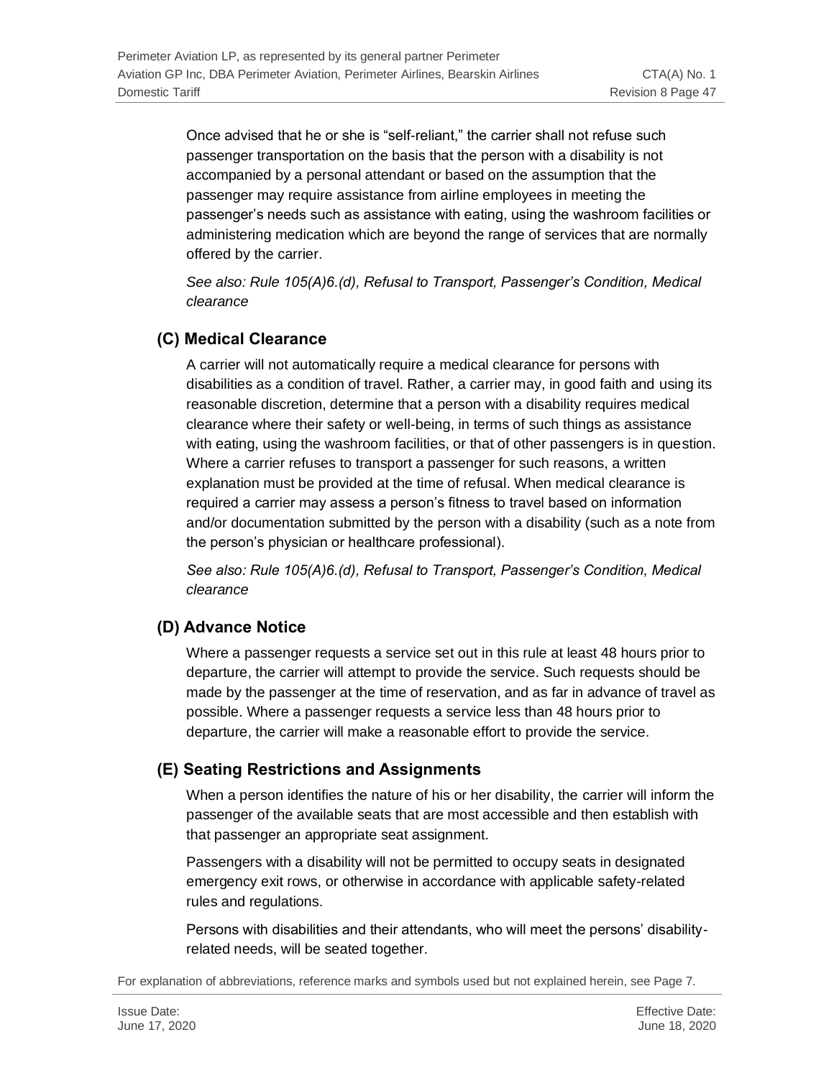Once advised that he or she is "self-reliant," the carrier shall not refuse such passenger transportation on the basis that the person with a disability is not accompanied by a personal attendant or based on the assumption that the passenger may require assistance from airline employees in meeting the passenger's needs such as assistance with eating, using the washroom facilities or administering medication which are beyond the range of services that are normally offered by the carrier.

*See also: Rule 105(A)6.(d), Refusal to Transport, Passenger's Condition, Medical clearance*

### **(C) Medical Clearance**

A carrier will not automatically require a medical clearance for persons with disabilities as a condition of travel. Rather, a carrier may, in good faith and using its reasonable discretion, determine that a person with a disability requires medical clearance where their safety or well-being, in terms of such things as assistance with eating, using the washroom facilities, or that of other passengers is in question. Where a carrier refuses to transport a passenger for such reasons, a written explanation must be provided at the time of refusal. When medical clearance is required a carrier may assess a person's fitness to travel based on information and/or documentation submitted by the person with a disability (such as a note from the person's physician or healthcare professional).

*See also: Rule 105(A)6.(d), Refusal to Transport, Passenger's Condition, Medical clearance*

## **(D) Advance Notice**

Where a passenger requests a service set out in this rule at least 48 hours prior to departure, the carrier will attempt to provide the service. Such requests should be made by the passenger at the time of reservation, and as far in advance of travel as possible. Where a passenger requests a service less than 48 hours prior to departure, the carrier will make a reasonable effort to provide the service.

## **(E) Seating Restrictions and Assignments**

When a person identifies the nature of his or her disability, the carrier will inform the passenger of the available seats that are most accessible and then establish with that passenger an appropriate seat assignment.

Passengers with a disability will not be permitted to occupy seats in designated emergency exit rows, or otherwise in accordance with applicable safety-related rules and regulations.

Persons with disabilities and their attendants, who will meet the persons' disabilityrelated needs, will be seated together.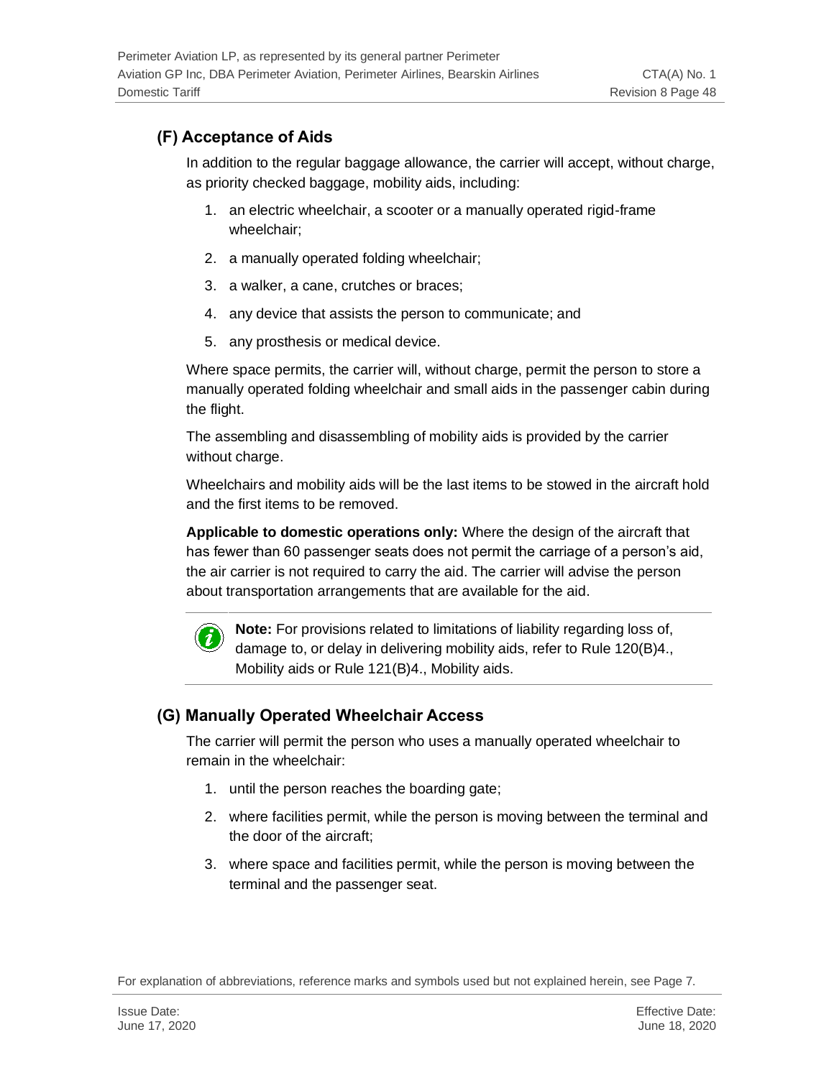## **(F) Acceptance of Aids**

In addition to the regular baggage allowance, the carrier will accept, without charge, as priority checked baggage, mobility aids, including:

- 1. an electric wheelchair, a scooter or a manually operated rigid-frame wheelchair;
- 2. a manually operated folding wheelchair;
- 3. a walker, a cane, crutches or braces;
- 4. any device that assists the person to communicate; and
- 5. any prosthesis or medical device.

Where space permits, the carrier will, without charge, permit the person to store a manually operated folding wheelchair and small aids in the passenger cabin during the flight.

The assembling and disassembling of mobility aids is provided by the carrier without charge.

Wheelchairs and mobility aids will be the last items to be stowed in the aircraft hold and the first items to be removed.

**Applicable to domestic operations only:** Where the design of the aircraft that has fewer than 60 passenger seats does not permit the carriage of a person's aid, the air carrier is not required to carry the aid. The carrier will advise the person about transportation arrangements that are available for the aid.



**Note:** For provisions related to limitations of liability regarding loss of, damage to, or delay in delivering mobility aids, refer to Rule 120(B)4., Mobility aids or Rule 121(B)4., Mobility aids.

## **(G) Manually Operated Wheelchair Access**

The carrier will permit the person who uses a manually operated wheelchair to remain in the wheelchair:

- 1. until the person reaches the boarding gate;
- 2. where facilities permit, while the person is moving between the terminal and the door of the aircraft;
- 3. where space and facilities permit, while the person is moving between the terminal and the passenger seat.

For explanation of abbreviations, reference marks and symbols used but not explained herein, see Page 7.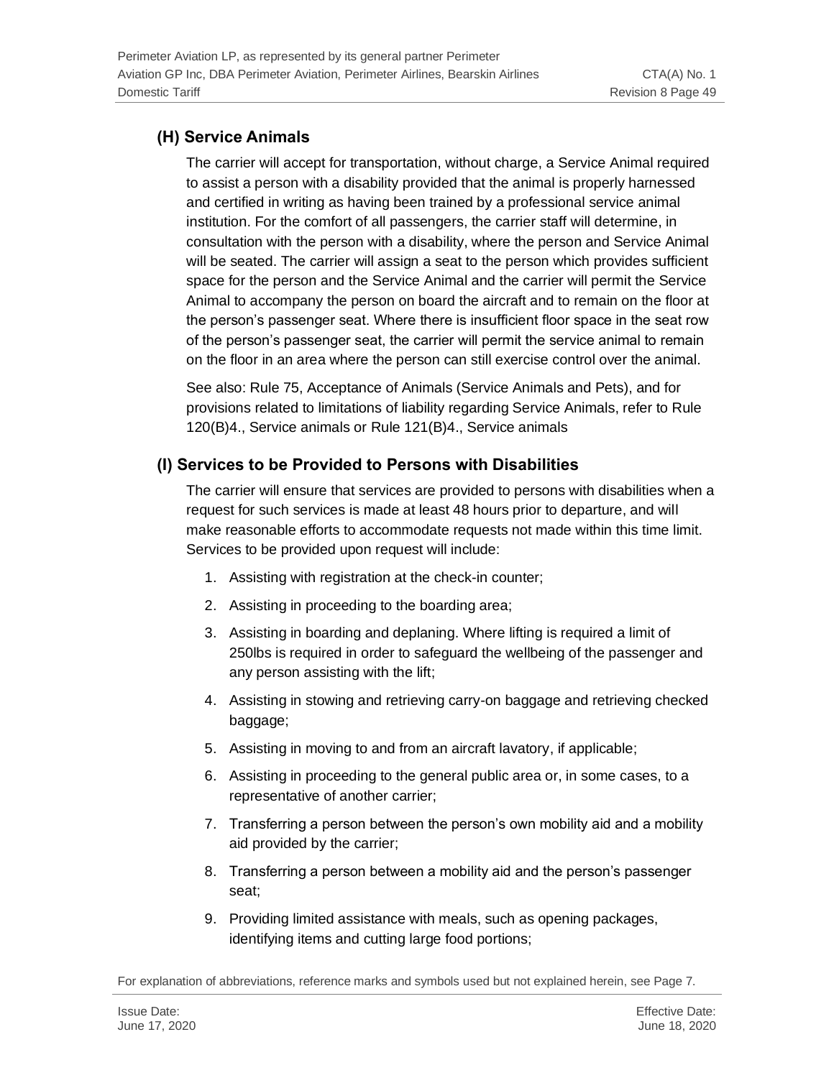## **(H) Service Animals**

The carrier will accept for transportation, without charge, a Service Animal required to assist a person with a disability provided that the animal is properly harnessed and certified in writing as having been trained by a professional service animal institution. For the comfort of all passengers, the carrier staff will determine, in consultation with the person with a disability, where the person and Service Animal will be seated. The carrier will assign a seat to the person which provides sufficient space for the person and the Service Animal and the carrier will permit the Service Animal to accompany the person on board the aircraft and to remain on the floor at the person's passenger seat. Where there is insufficient floor space in the seat row of the person's passenger seat, the carrier will permit the service animal to remain on the floor in an area where the person can still exercise control over the animal.

See also: Rule 75, Acceptance of Animals (Service Animals and Pets), and for provisions related to limitations of liability regarding Service Animals, refer to Rule 120(B)4., Service animals or Rule 121(B)4., Service animals

## **(I) Services to be Provided to Persons with Disabilities**

The carrier will ensure that services are provided to persons with disabilities when a request for such services is made at least 48 hours prior to departure, and will make reasonable efforts to accommodate requests not made within this time limit. Services to be provided upon request will include:

- 1. Assisting with registration at the check-in counter;
- 2. Assisting in proceeding to the boarding area;
- 3. Assisting in boarding and deplaning. Where lifting is required a limit of 250lbs is required in order to safeguard the wellbeing of the passenger and any person assisting with the lift;
- 4. Assisting in stowing and retrieving carry-on baggage and retrieving checked baggage;
- 5. Assisting in moving to and from an aircraft lavatory, if applicable;
- 6. Assisting in proceeding to the general public area or, in some cases, to a representative of another carrier;
- 7. Transferring a person between the person's own mobility aid and a mobility aid provided by the carrier;
- 8. Transferring a person between a mobility aid and the person's passenger seat;
- 9. Providing limited assistance with meals, such as opening packages, identifying items and cutting large food portions;

For explanation of abbreviations, reference marks and symbols used but not explained herein, see Page 7.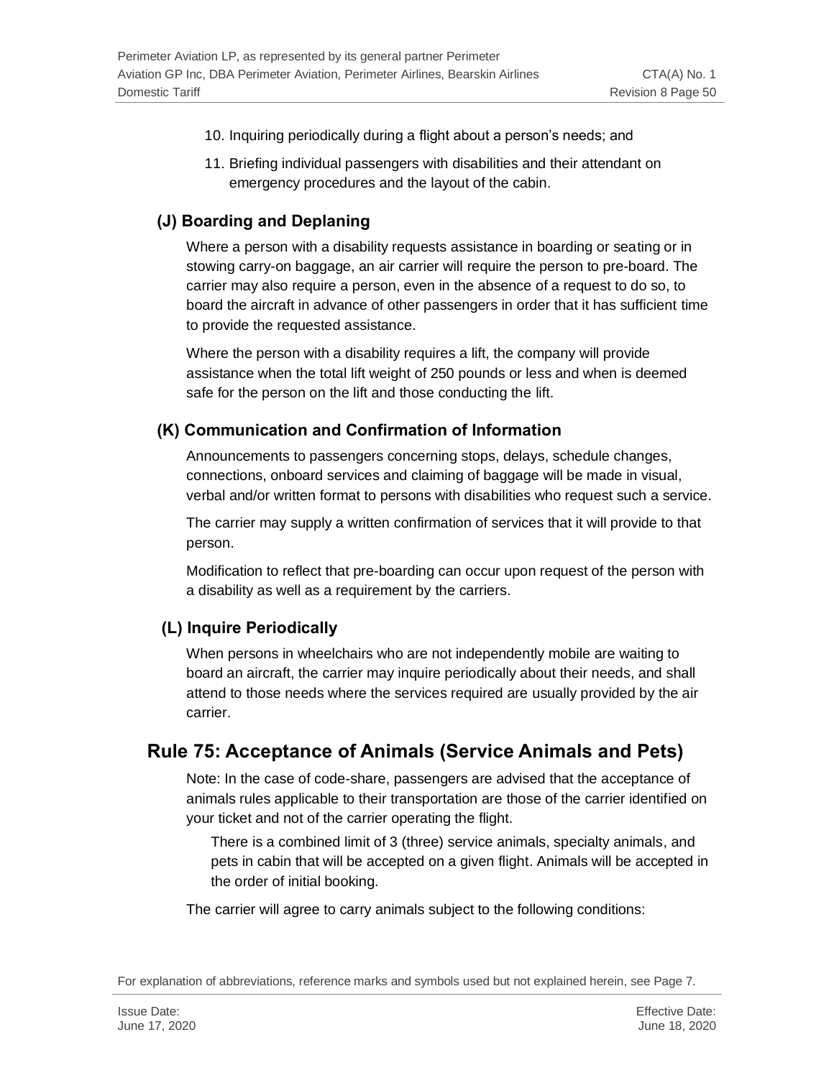- 10. Inquiring periodically during a flight about a person's needs; and
- 11. Briefing individual passengers with disabilities and their attendant on emergency procedures and the layout of the cabin.

#### **(J) Boarding and Deplaning**

Where a person with a disability requests assistance in boarding or seating or in stowing carry-on baggage, an air carrier will require the person to pre-board. The carrier may also require a person, even in the absence of a request to do so, to board the aircraft in advance of other passengers in order that it has sufficient time to provide the requested assistance.

Where the person with a disability requires a lift, the company will provide assistance when the total lift weight of 250 pounds or less and when is deemed safe for the person on the lift and those conducting the lift.

#### **(K) Communication and Confirmation of Information**

Announcements to passengers concerning stops, delays, schedule changes, connections, onboard services and claiming of baggage will be made in visual, verbal and/or written format to persons with disabilities who request such a service.

The carrier may supply a written confirmation of services that it will provide to that person.

Modification to reflect that pre-boarding can occur upon request of the person with a disability as well as a requirement by the carriers.

#### **(L) Inquire Periodically**

When persons in wheelchairs who are not independently mobile are waiting to board an aircraft, the carrier may inquire periodically about their needs, and shall attend to those needs where the services required are usually provided by the air carrier.

## **Rule 75: Acceptance of Animals (Service Animals and Pets)**

Note: In the case of code-share, passengers are advised that the acceptance of animals rules applicable to their transportation are those of the carrier identified on your ticket and not of the carrier operating the flight.

There is a combined limit of 3 (three) service animals, specialty animals, and pets in cabin that will be accepted on a given flight. Animals will be accepted in the order of initial booking.

The carrier will agree to carry animals subject to the following conditions:

For explanation of abbreviations, reference marks and symbols used but not explained herein, see Page 7.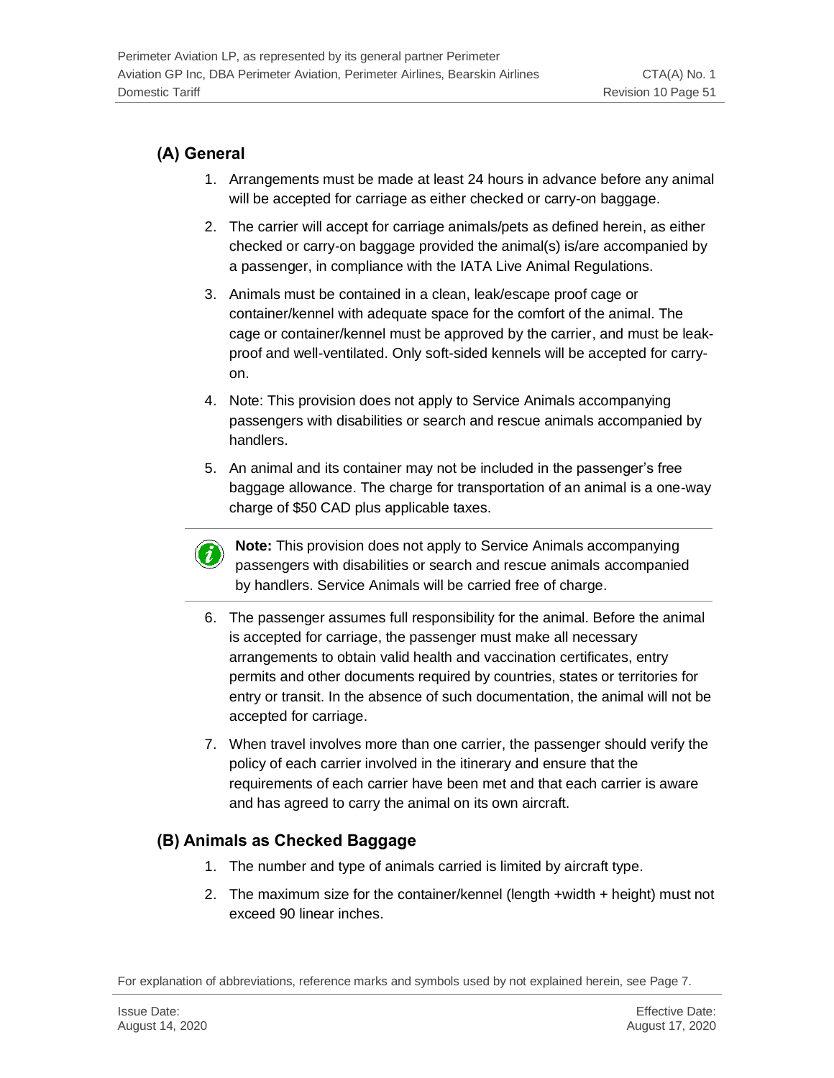## **(A) General**

- 1. Arrangements must be made at least 24 hours in advance before any animal will be accepted for carriage as either checked or carry-on baggage.
- 2. The carrier will accept for carriage animals/pets as defined herein, as either checked or carry-on baggage provided the animal(s) is/are accompanied by a passenger, in compliance with the IATA Live Animal Regulations.
- 3. Animals must be contained in a clean, leak/escape proof cage or container/kennel with adequate space for the comfort of the animal. The cage or container/kennel must be approved by the carrier, and must be leakproof and well-ventilated. Only soft-sided kennels will be accepted for carryon.
- 4. Note: This provision does not apply to Service Animals accompanying passengers with disabilities or search and rescue animals accompanied by handlers.
- 5. An animal and its container may not be included in the passenger's free baggage allowance. The charge for transportation of an animal is a one-way charge of \$50 CAD plus applicable taxes.
	- **Note:** This provision does not apply to Service Animals accompanying passengers with disabilities or search and rescue animals accompanied by handlers. Service Animals will be carried free of charge.
- 6. The passenger assumes full responsibility for the animal. Before the animal is accepted for carriage, the passenger must make all necessary arrangements to obtain valid health and vaccination certificates, entry permits and other documents required by countries, states or territories for entry or transit. In the absence of such documentation, the animal will not be accepted for carriage.
- 7. When travel involves more than one carrier, the passenger should verify the policy of each carrier involved in the itinerary and ensure that the requirements of each carrier have been met and that each carrier is aware and has agreed to carry the animal on its own aircraft.

## **(B) Animals as Checked Baggage**

- 1. The number and type of animals carried is limited by aircraft type.
- 2. The maximum size for the container/kennel (length +width + height) must not exceed 90 linear inches.

For explanation of abbreviations, reference marks and symbols used by not explained herein, see Page 7.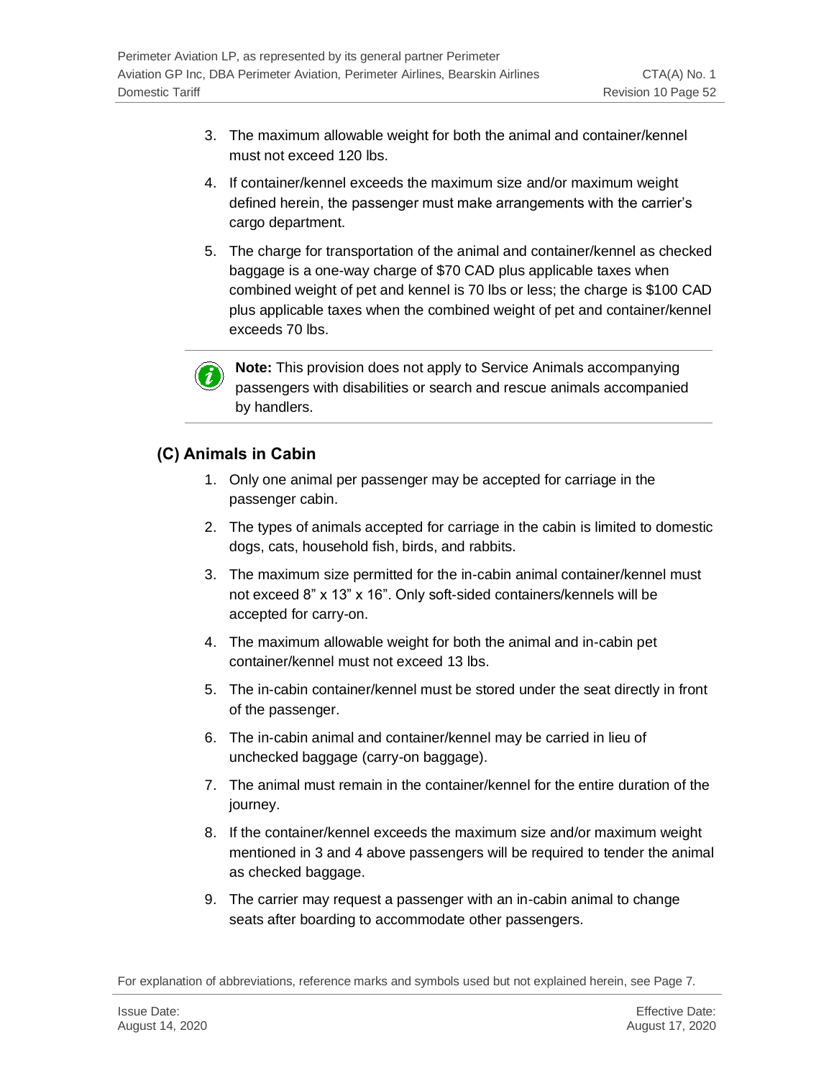- 3. The maximum allowable weight for both the animal and container/kennel must not exceed 120 lbs.
- 4. If container/kennel exceeds the maximum size and/or maximum weight defined herein, the passenger must make arrangements with the carrier's cargo department.
- 5. The charge for transportation of the animal and container/kennel as checked baggage is a one-way charge of \$70 CAD plus applicable taxes when combined weight of pet and kennel is 70 lbs or less; the charge is \$100 CAD plus applicable taxes when the combined weight of pet and container/kennel exceeds 70 lbs.



**Note:** This provision does not apply to Service Animals accompanying passengers with disabilities or search and rescue animals accompanied by handlers.

### **(C) Animals in Cabin**

- 1. Only one animal per passenger may be accepted for carriage in the passenger cabin.
- 2. The types of animals accepted for carriage in the cabin is limited to domestic dogs, cats, household fish, birds, and rabbits.
- 3. The maximum size permitted for the in-cabin animal container/kennel must not exceed 8" x 13" x 16". Only soft-sided containers/kennels will be accepted for carry-on.
- 4. The maximum allowable weight for both the animal and in-cabin pet container/kennel must not exceed 13 lbs.
- 5. The in-cabin container/kennel must be stored under the seat directly in front of the passenger.
- 6. The in-cabin animal and container/kennel may be carried in lieu of unchecked baggage (carry-on baggage).
- 7. The animal must remain in the container/kennel for the entire duration of the journey.
- 8. If the container/kennel exceeds the maximum size and/or maximum weight mentioned in 3 and 4 above passengers will be required to tender the animal as checked baggage.
- 9. The carrier may request a passenger with an in-cabin animal to change seats after boarding to accommodate other passengers.

For explanation of abbreviations, reference marks and symbols used but not explained herein, see Page 7.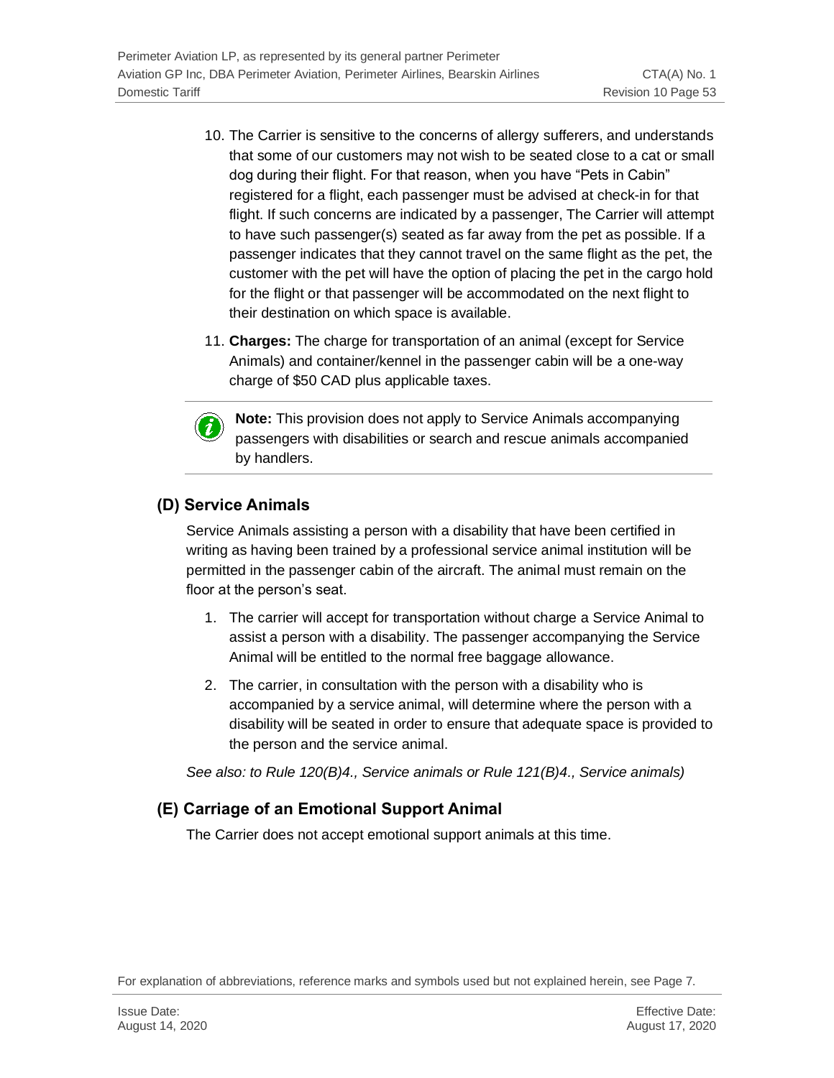- 10. The Carrier is sensitive to the concerns of allergy sufferers, and understands that some of our customers may not wish to be seated close to a cat or small dog during their flight. For that reason, when you have "Pets in Cabin" registered for a flight, each passenger must be advised at check-in for that flight. If such concerns are indicated by a passenger, The Carrier will attempt to have such passenger(s) seated as far away from the pet as possible. If a passenger indicates that they cannot travel on the same flight as the pet, the customer with the pet will have the option of placing the pet in the cargo hold for the flight or that passenger will be accommodated on the next flight to their destination on which space is available.
- 11. **Charges:** The charge for transportation of an animal (except for Service Animals) and container/kennel in the passenger cabin will be a one-way charge of \$50 CAD plus applicable taxes.



**Note:** This provision does not apply to Service Animals accompanying passengers with disabilities or search and rescue animals accompanied by handlers.

## **(D) Service Animals**

Service Animals assisting a person with a disability that have been certified in writing as having been trained by a professional service animal institution will be permitted in the passenger cabin of the aircraft. The animal must remain on the floor at the person's seat.

- 1. The carrier will accept for transportation without charge a Service Animal to assist a person with a disability. The passenger accompanying the Service Animal will be entitled to the normal free baggage allowance.
- 2. The carrier, in consultation with the person with a disability who is accompanied by a service animal, will determine where the person with a disability will be seated in order to ensure that adequate space is provided to the person and the service animal.

*See also: to Rule 120(B)4., Service animals or Rule 121(B)4., Service animals)*

## **(E) Carriage of an Emotional Support Animal**

The Carrier does not accept emotional support animals at this time.

For explanation of abbreviations, reference marks and symbols used but not explained herein, see Page 7.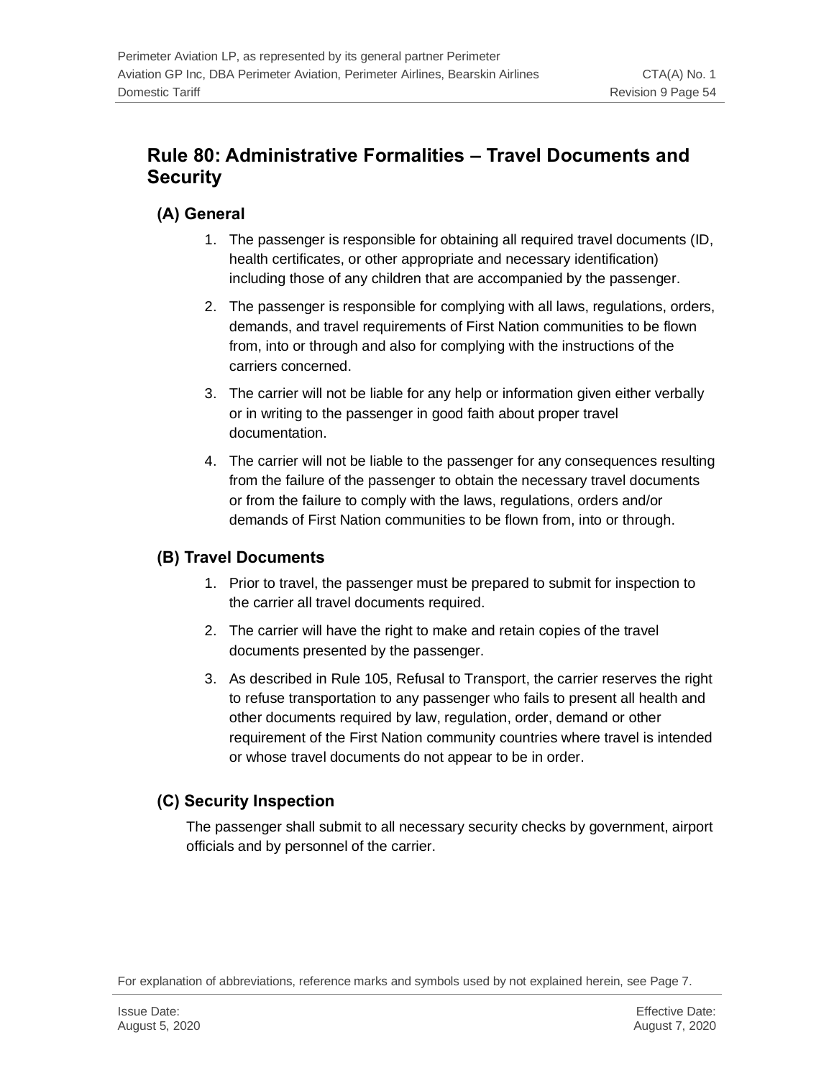## **Rule 80: Administrative Formalities – Travel Documents and Security**

### **(A) General**

- 1. The passenger is responsible for obtaining all required travel documents (ID, health certificates, or other appropriate and necessary identification) including those of any children that are accompanied by the passenger.
- 2. The passenger is responsible for complying with all laws, regulations, orders, demands, and travel requirements of First Nation communities to be flown from, into or through and also for complying with the instructions of the carriers concerned.
- 3. The carrier will not be liable for any help or information given either verbally or in writing to the passenger in good faith about proper travel documentation.
- 4. The carrier will not be liable to the passenger for any consequences resulting from the failure of the passenger to obtain the necessary travel documents or from the failure to comply with the laws, regulations, orders and/or demands of First Nation communities to be flown from, into or through.

### **(B) Travel Documents**

- 1. Prior to travel, the passenger must be prepared to submit for inspection to the carrier all travel documents required.
- 2. The carrier will have the right to make and retain copies of the travel documents presented by the passenger.
- 3. As described in Rule 105, Refusal to Transport, the carrier reserves the right to refuse transportation to any passenger who fails to present all health and other documents required by law, regulation, order, demand or other requirement of the First Nation community countries where travel is intended or whose travel documents do not appear to be in order.

### **(C) Security Inspection**

The passenger shall submit to all necessary security checks by government, airport officials and by personnel of the carrier.

For explanation of abbreviations, reference marks and symbols used by not explained herein, see Page 7.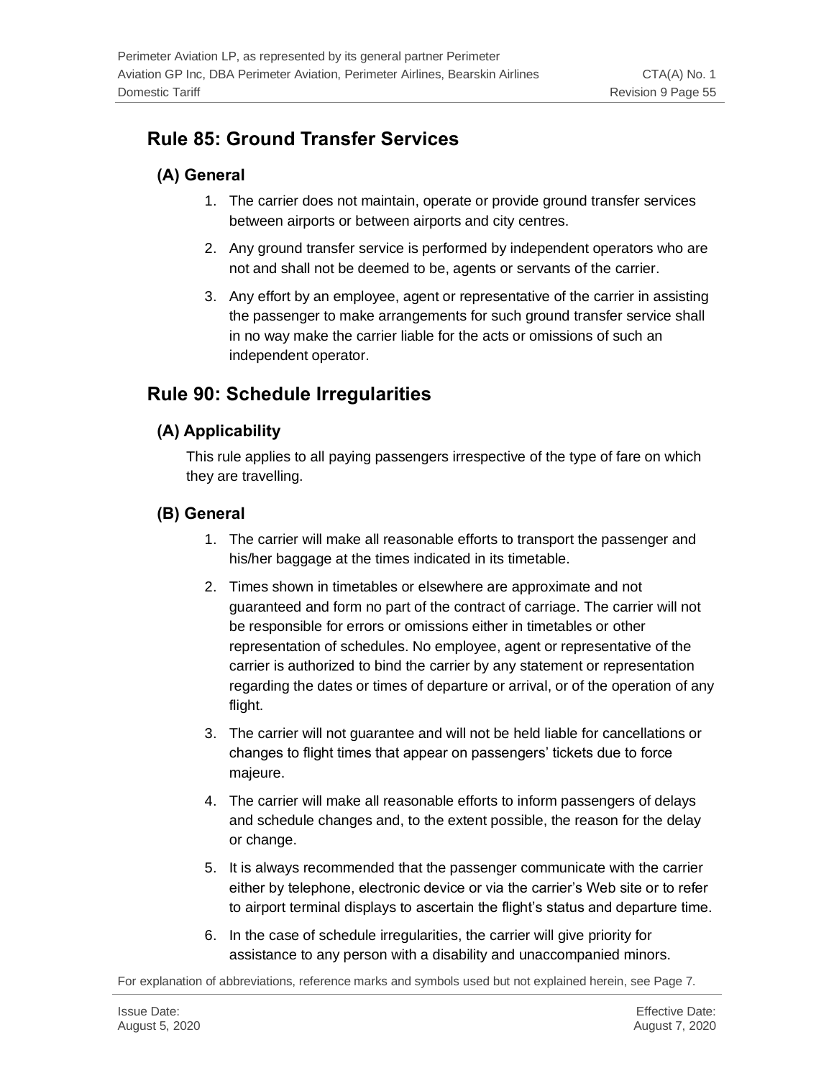## **Rule 85: Ground Transfer Services**

## **(A) General**

- 1. The carrier does not maintain, operate or provide ground transfer services between airports or between airports and city centres.
- 2. Any ground transfer service is performed by independent operators who are not and shall not be deemed to be, agents or servants of the carrier.
- 3. Any effort by an employee, agent or representative of the carrier in assisting the passenger to make arrangements for such ground transfer service shall in no way make the carrier liable for the acts or omissions of such an independent operator.

## **Rule 90: Schedule Irregularities**

### **(A) Applicability**

This rule applies to all paying passengers irrespective of the type of fare on which they are travelling.

### **(B) General**

- 1. The carrier will make all reasonable efforts to transport the passenger and his/her baggage at the times indicated in its timetable.
- 2. Times shown in timetables or elsewhere are approximate and not guaranteed and form no part of the contract of carriage. The carrier will not be responsible for errors or omissions either in timetables or other representation of schedules. No employee, agent or representative of the carrier is authorized to bind the carrier by any statement or representation regarding the dates or times of departure or arrival, or of the operation of any flight.
- 3. The carrier will not guarantee and will not be held liable for cancellations or changes to flight times that appear on passengers' tickets due to force majeure.
- 4. The carrier will make all reasonable efforts to inform passengers of delays and schedule changes and, to the extent possible, the reason for the delay or change.
- 5. It is always recommended that the passenger communicate with the carrier either by telephone, electronic device or via the carrier's Web site or to refer to airport terminal displays to ascertain the flight's status and departure time.
- 6. In the case of schedule irregularities, the carrier will give priority for assistance to any person with a disability and unaccompanied minors.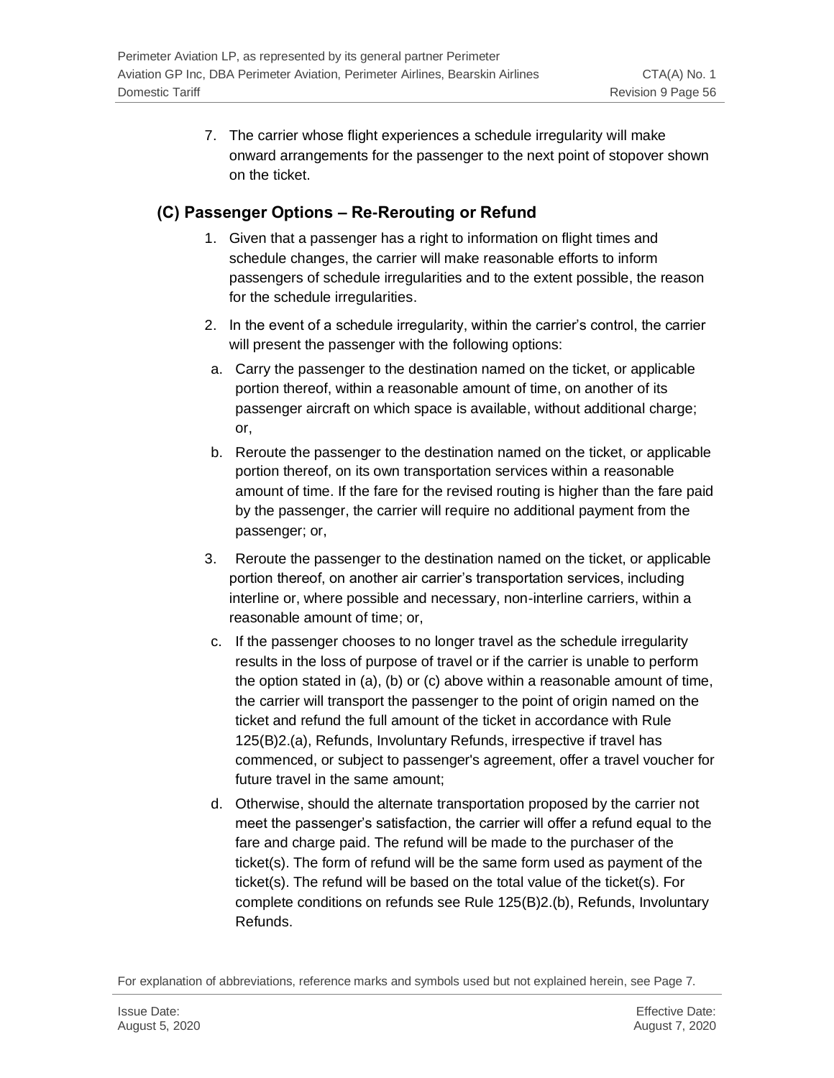7. The carrier whose flight experiences a schedule irregularity will make onward arrangements for the passenger to the next point of stopover shown on the ticket.

### **(C) Passenger Options – Re-Rerouting or Refund**

- 1. Given that a passenger has a right to information on flight times and schedule changes, the carrier will make reasonable efforts to inform passengers of schedule irregularities and to the extent possible, the reason for the schedule irregularities.
- 2. In the event of a schedule irregularity, within the carrier's control, the carrier will present the passenger with the following options:
- a. Carry the passenger to the destination named on the ticket, or applicable portion thereof, within a reasonable amount of time, on another of its passenger aircraft on which space is available, without additional charge; or,
- b. Reroute the passenger to the destination named on the ticket, or applicable portion thereof, on its own transportation services within a reasonable amount of time. If the fare for the revised routing is higher than the fare paid by the passenger, the carrier will require no additional payment from the passenger; or,
- 3. Reroute the passenger to the destination named on the ticket, or applicable portion thereof, on another air carrier's transportation services, including interline or, where possible and necessary, non-interline carriers, within a reasonable amount of time; or,
- c. If the passenger chooses to no longer travel as the schedule irregularity results in the loss of purpose of travel or if the carrier is unable to perform the option stated in (a), (b) or (c) above within a reasonable amount of time, the carrier will transport the passenger to the point of origin named on the ticket and refund the full amount of the ticket in accordance with Rule 125(B)2.(a), Refunds, Involuntary Refunds, irrespective if travel has commenced, or subject to passenger's agreement, offer a travel voucher for future travel in the same amount;
- d. Otherwise, should the alternate transportation proposed by the carrier not meet the passenger's satisfaction, the carrier will offer a refund equal to the fare and charge paid. The refund will be made to the purchaser of the ticket(s). The form of refund will be the same form used as payment of the ticket(s). The refund will be based on the total value of the ticket(s). For complete conditions on refunds see Rule 125(B)2.(b), Refunds, Involuntary Refunds.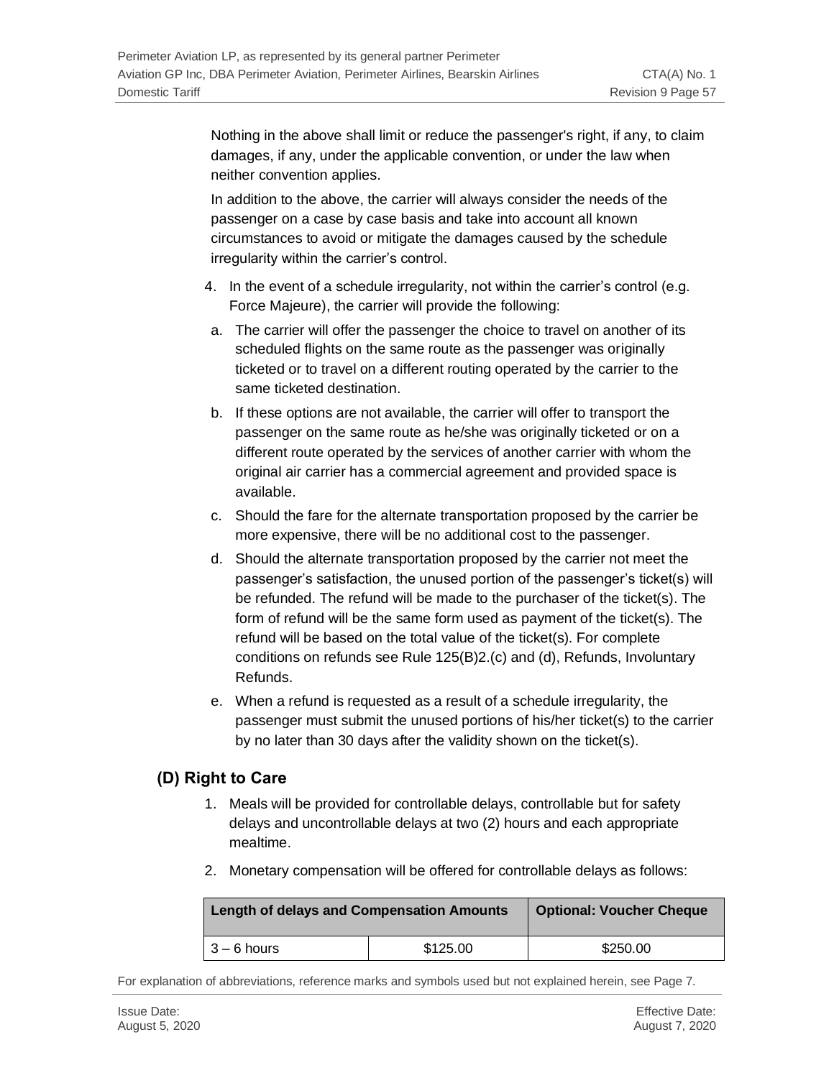Nothing in the above shall limit or reduce the passenger's right, if any, to claim damages, if any, under the applicable convention, or under the law when neither convention applies.

In addition to the above, the carrier will always consider the needs of the passenger on a case by case basis and take into account all known circumstances to avoid or mitigate the damages caused by the schedule irregularity within the carrier's control.

- 4. In the event of a schedule irregularity, not within the carrier's control (e.g. Force Majeure), the carrier will provide the following:
- a. The carrier will offer the passenger the choice to travel on another of its scheduled flights on the same route as the passenger was originally ticketed or to travel on a different routing operated by the carrier to the same ticketed destination.
- b. If these options are not available, the carrier will offer to transport the passenger on the same route as he/she was originally ticketed or on a different route operated by the services of another carrier with whom the original air carrier has a commercial agreement and provided space is available.
- c. Should the fare for the alternate transportation proposed by the carrier be more expensive, there will be no additional cost to the passenger.
- d. Should the alternate transportation proposed by the carrier not meet the passenger's satisfaction, the unused portion of the passenger's ticket(s) will be refunded. The refund will be made to the purchaser of the ticket(s). The form of refund will be the same form used as payment of the ticket(s). The refund will be based on the total value of the ticket(s). For complete conditions on refunds see Rule 125(B)2.(c) and (d), Refunds, Involuntary Refunds.
- e. When a refund is requested as a result of a schedule irregularity, the passenger must submit the unused portions of his/her ticket(s) to the carrier by no later than 30 days after the validity shown on the ticket(s).

### **(D) Right to Care**

- 1. Meals will be provided for controllable delays, controllable but for safety delays and uncontrollable delays at two (2) hours and each appropriate mealtime.
- 2. Monetary compensation will be offered for controllable delays as follows:

| <b>Length of delays and Compensation Amounts</b> | <b>Optional: Voucher Cheque</b> |          |
|--------------------------------------------------|---------------------------------|----------|
| l 3 – 6 hours                                    | \$125.00                        | \$250.00 |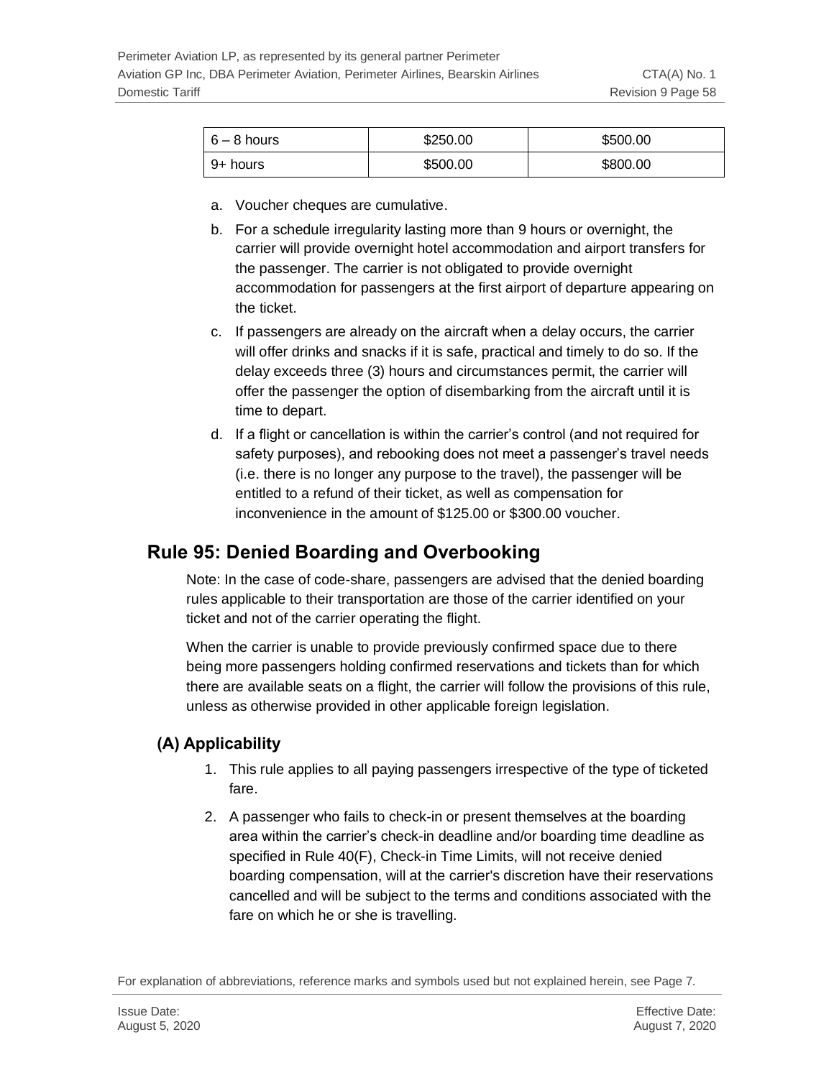| $6-8$ hours | \$250.00 | \$500.00 |
|-------------|----------|----------|
| 9+ hours    | \$500.00 | \$800.00 |

- a. Voucher cheques are cumulative.
- b. For a schedule irregularity lasting more than 9 hours or overnight, the carrier will provide overnight hotel accommodation and airport transfers for the passenger. The carrier is not obligated to provide overnight accommodation for passengers at the first airport of departure appearing on the ticket.
- c. If passengers are already on the aircraft when a delay occurs, the carrier will offer drinks and snacks if it is safe, practical and timely to do so. If the delay exceeds three (3) hours and circumstances permit, the carrier will offer the passenger the option of disembarking from the aircraft until it is time to depart.
- d. If a flight or cancellation is within the carrier's control (and not required for safety purposes), and rebooking does not meet a passenger's travel needs (i.e. there is no longer any purpose to the travel), the passenger will be entitled to a refund of their ticket, as well as compensation for inconvenience in the amount of \$125.00 or \$300.00 voucher.

## **Rule 95: Denied Boarding and Overbooking**

Note: In the case of code-share, passengers are advised that the denied boarding rules applicable to their transportation are those of the carrier identified on your ticket and not of the carrier operating the flight.

When the carrier is unable to provide previously confirmed space due to there being more passengers holding confirmed reservations and tickets than for which there are available seats on a flight, the carrier will follow the provisions of this rule, unless as otherwise provided in other applicable foreign legislation.

### **(A) Applicability**

- 1. This rule applies to all paying passengers irrespective of the type of ticketed fare.
- 2. A passenger who fails to check-in or present themselves at the boarding area within the carrier's check-in deadline and/or boarding time deadline as specified in Rule 40(F), Check-in Time Limits, will not receive denied boarding compensation, will at the carrier's discretion have their reservations cancelled and will be subject to the terms and conditions associated with the fare on which he or she is travelling.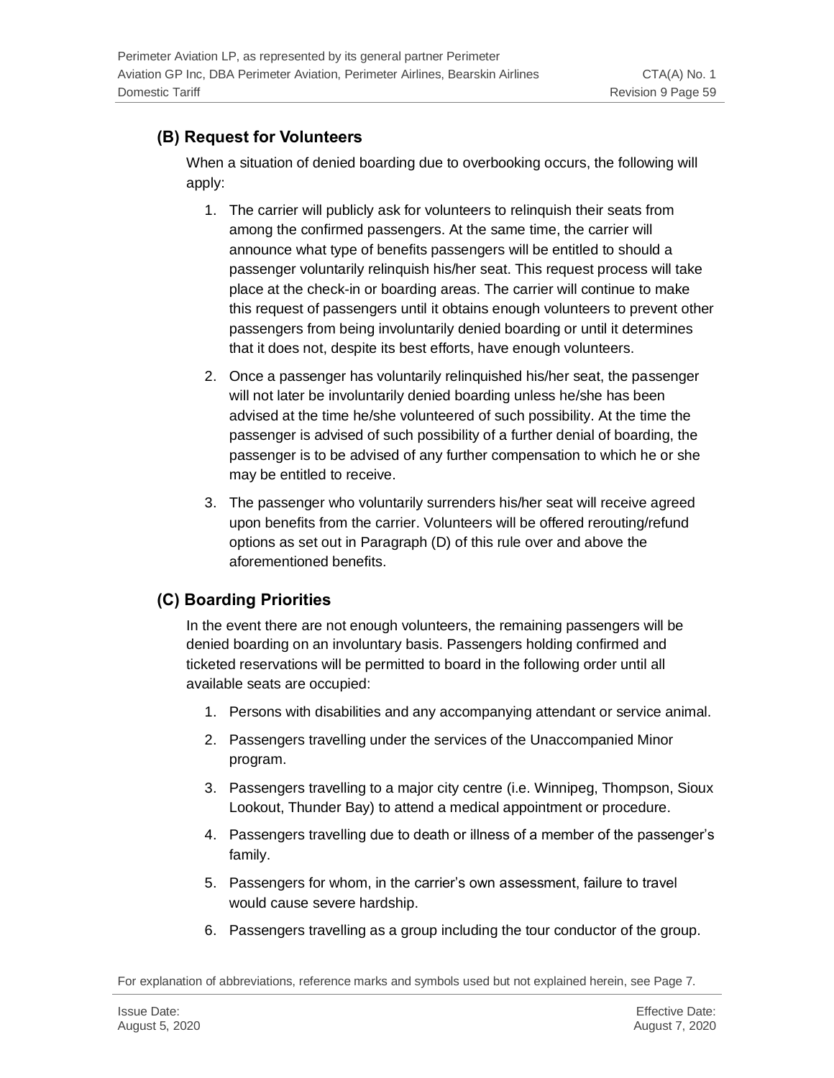## **(B) Request for Volunteers**

When a situation of denied boarding due to overbooking occurs, the following will apply:

- 1. The carrier will publicly ask for volunteers to relinquish their seats from among the confirmed passengers. At the same time, the carrier will announce what type of benefits passengers will be entitled to should a passenger voluntarily relinquish his/her seat. This request process will take place at the check-in or boarding areas. The carrier will continue to make this request of passengers until it obtains enough volunteers to prevent other passengers from being involuntarily denied boarding or until it determines that it does not, despite its best efforts, have enough volunteers.
- 2. Once a passenger has voluntarily relinquished his/her seat, the passenger will not later be involuntarily denied boarding unless he/she has been advised at the time he/she volunteered of such possibility. At the time the passenger is advised of such possibility of a further denial of boarding, the passenger is to be advised of any further compensation to which he or she may be entitled to receive.
- 3. The passenger who voluntarily surrenders his/her seat will receive agreed upon benefits from the carrier. Volunteers will be offered rerouting/refund options as set out in Paragraph (D) of this rule over and above the aforementioned benefits.

## **(C) Boarding Priorities**

In the event there are not enough volunteers, the remaining passengers will be denied boarding on an involuntary basis. Passengers holding confirmed and ticketed reservations will be permitted to board in the following order until all available seats are occupied:

- 1. Persons with disabilities and any accompanying attendant or service animal.
- 2. Passengers travelling under the services of the Unaccompanied Minor program.
- 3. Passengers travelling to a major city centre (i.e. Winnipeg, Thompson, Sioux Lookout, Thunder Bay) to attend a medical appointment or procedure.
- 4. Passengers travelling due to death or illness of a member of the passenger's family.
- 5. Passengers for whom, in the carrier's own assessment, failure to travel would cause severe hardship.
- 6. Passengers travelling as a group including the tour conductor of the group.

For explanation of abbreviations, reference marks and symbols used but not explained herein, see Page 7.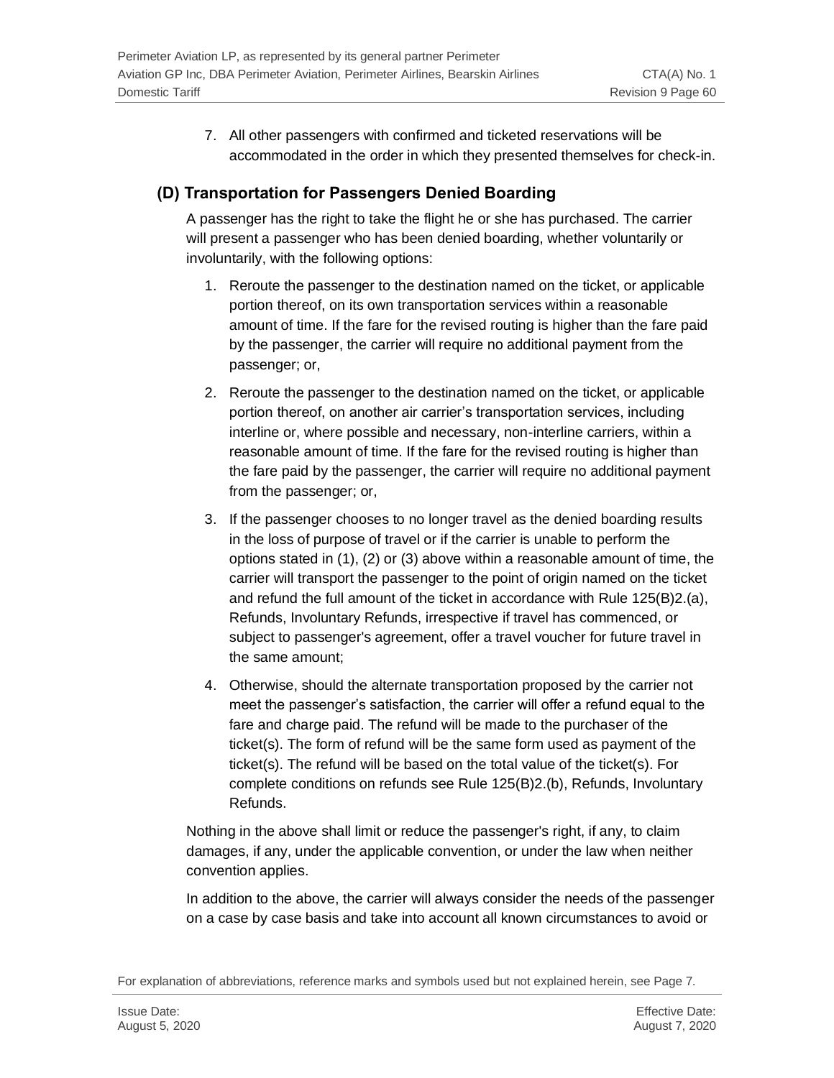7. All other passengers with confirmed and ticketed reservations will be accommodated in the order in which they presented themselves for check-in.

### **(D) Transportation for Passengers Denied Boarding**

A passenger has the right to take the flight he or she has purchased. The carrier will present a passenger who has been denied boarding, whether voluntarily or involuntarily, with the following options:

- 1. Reroute the passenger to the destination named on the ticket, or applicable portion thereof, on its own transportation services within a reasonable amount of time. If the fare for the revised routing is higher than the fare paid by the passenger, the carrier will require no additional payment from the passenger; or,
- 2. Reroute the passenger to the destination named on the ticket, or applicable portion thereof, on another air carrier's transportation services, including interline or, where possible and necessary, non-interline carriers, within a reasonable amount of time. If the fare for the revised routing is higher than the fare paid by the passenger, the carrier will require no additional payment from the passenger; or,
- 3. If the passenger chooses to no longer travel as the denied boarding results in the loss of purpose of travel or if the carrier is unable to perform the options stated in (1), (2) or (3) above within a reasonable amount of time, the carrier will transport the passenger to the point of origin named on the ticket and refund the full amount of the ticket in accordance with Rule 125(B)2.(a), Refunds, Involuntary Refunds, irrespective if travel has commenced, or subject to passenger's agreement, offer a travel voucher for future travel in the same amount;
- 4. Otherwise, should the alternate transportation proposed by the carrier not meet the passenger's satisfaction, the carrier will offer a refund equal to the fare and charge paid. The refund will be made to the purchaser of the ticket(s). The form of refund will be the same form used as payment of the ticket(s). The refund will be based on the total value of the ticket(s). For complete conditions on refunds see Rule 125(B)2.(b), Refunds, Involuntary Refunds.

Nothing in the above shall limit or reduce the passenger's right, if any, to claim damages, if any, under the applicable convention, or under the law when neither convention applies.

In addition to the above, the carrier will always consider the needs of the passenger on a case by case basis and take into account all known circumstances to avoid or

For explanation of abbreviations, reference marks and symbols used but not explained herein, see Page 7.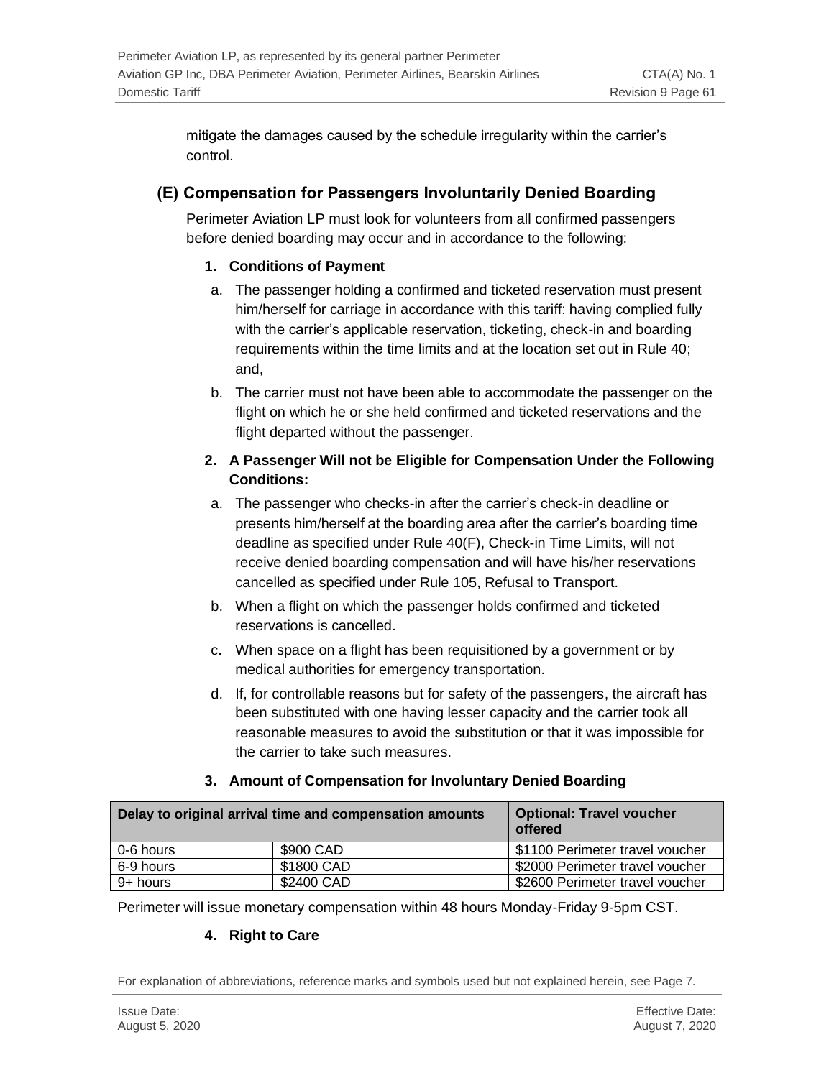mitigate the damages caused by the schedule irregularity within the carrier's control.

#### **(E) Compensation for Passengers Involuntarily Denied Boarding**

Perimeter Aviation LP must look for volunteers from all confirmed passengers before denied boarding may occur and in accordance to the following:

#### **1. Conditions of Payment**

- a. The passenger holding a confirmed and ticketed reservation must present him/herself for carriage in accordance with this tariff: having complied fully with the carrier's applicable reservation, ticketing, check-in and boarding requirements within the time limits and at the location set out in Rule 40; and,
- b. The carrier must not have been able to accommodate the passenger on the flight on which he or she held confirmed and ticketed reservations and the flight departed without the passenger.

#### **2. A Passenger Will not be Eligible for Compensation Under the Following Conditions:**

- a. The passenger who checks-in after the carrier's check-in deadline or presents him/herself at the boarding area after the carrier's boarding time deadline as specified under Rule 40(F), Check-in Time Limits, will not receive denied boarding compensation and will have his/her reservations cancelled as specified under Rule 105, Refusal to Transport.
- b. When a flight on which the passenger holds confirmed and ticketed reservations is cancelled.
- c. When space on a flight has been requisitioned by a government or by medical authorities for emergency transportation.
- d. If, for controllable reasons but for safety of the passengers, the aircraft has been substituted with one having lesser capacity and the carrier took all reasonable measures to avoid the substitution or that it was impossible for the carrier to take such measures.

#### **3. Amount of Compensation for Involuntary Denied Boarding**

| Delay to original arrival time and compensation amounts |            | <b>Optional: Travel voucher</b><br>offered |
|---------------------------------------------------------|------------|--------------------------------------------|
| 0-6 hours                                               | \$900 CAD  | \$1100 Perimeter travel voucher            |
| 6-9 hours                                               | \$1800 CAD | \$2000 Perimeter travel voucher            |
| 9+ hours                                                | \$2400 CAD | \$2600 Perimeter travel voucher            |

Perimeter will issue monetary compensation within 48 hours Monday-Friday 9-5pm CST.

#### **4. Right to Care**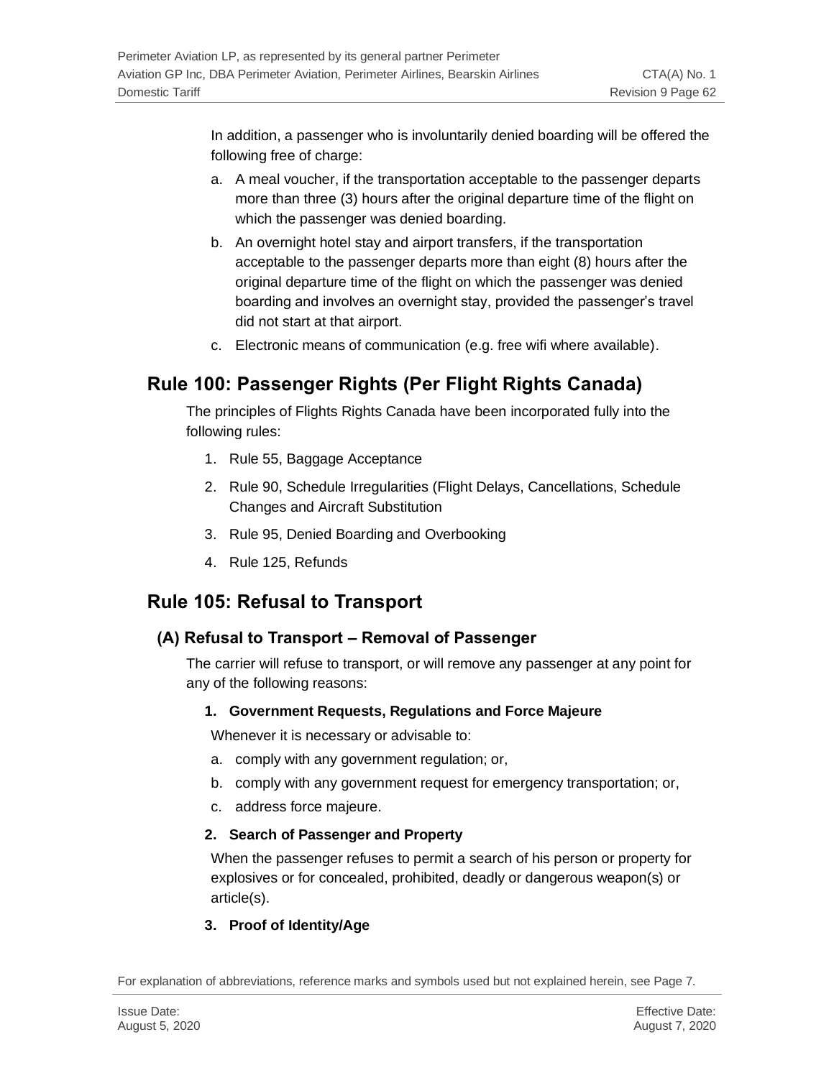In addition, a passenger who is involuntarily denied boarding will be offered the following free of charge:

- a. A meal voucher, if the transportation acceptable to the passenger departs more than three (3) hours after the original departure time of the flight on which the passenger was denied boarding.
- b. An overnight hotel stay and airport transfers, if the transportation acceptable to the passenger departs more than eight (8) hours after the original departure time of the flight on which the passenger was denied boarding and involves an overnight stay, provided the passenger's travel did not start at that airport.
- c. Electronic means of communication (e.g. free wifi where available).

## **Rule 100: Passenger Rights (Per Flight Rights Canada)**

The principles of Flights Rights Canada have been incorporated fully into the following rules:

- 1. Rule 55, Baggage Acceptance
- 2. Rule 90, Schedule Irregularities (Flight Delays, Cancellations, Schedule Changes and Aircraft Substitution
- 3. Rule 95, Denied Boarding and Overbooking
- 4. Rule 125, Refunds

## **Rule 105: Refusal to Transport**

### **(A) Refusal to Transport – Removal of Passenger**

The carrier will refuse to transport, or will remove any passenger at any point for any of the following reasons:

#### **1. Government Requests, Regulations and Force Majeure**

Whenever it is necessary or advisable to:

- a. comply with any government regulation; or,
- b. comply with any government request for emergency transportation; or,
- c. address force majeure.

#### **2. Search of Passenger and Property**

When the passenger refuses to permit a search of his person or property for explosives or for concealed, prohibited, deadly or dangerous weapon(s) or article(s).

#### **3. Proof of Identity/Age**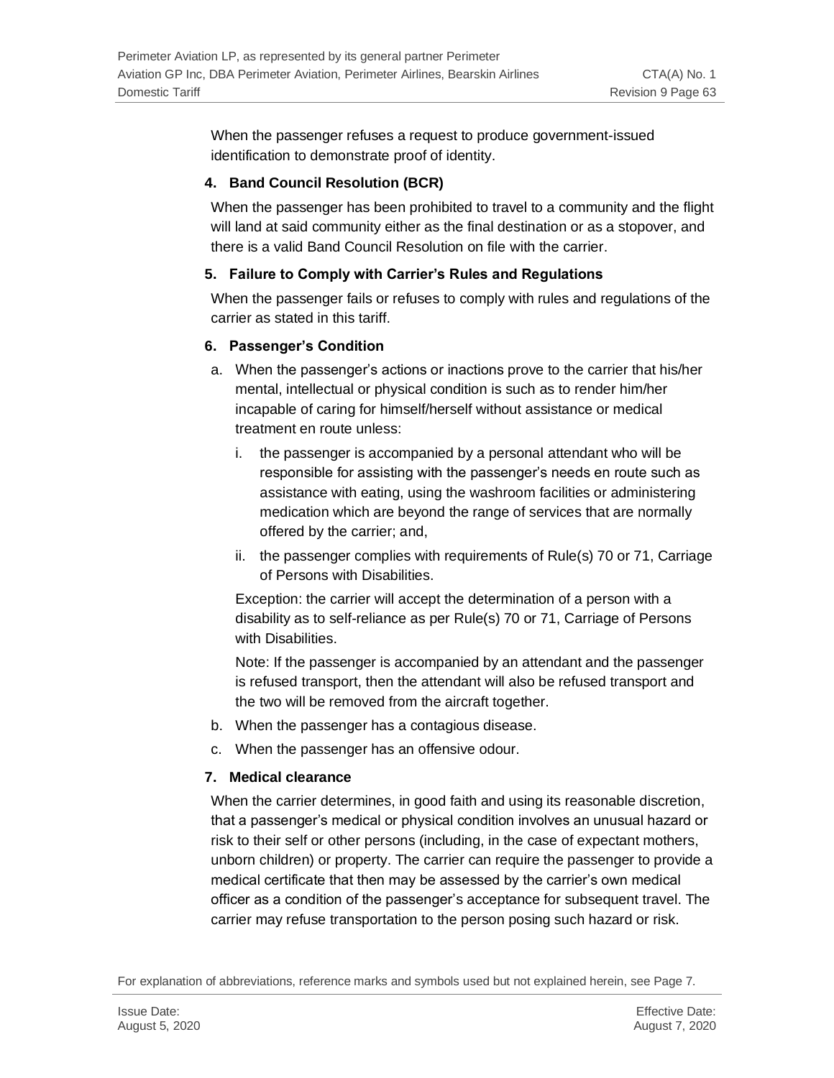When the passenger refuses a request to produce government-issued identification to demonstrate proof of identity.

#### **4. Band Council Resolution (BCR)**

When the passenger has been prohibited to travel to a community and the flight will land at said community either as the final destination or as a stopover, and there is a valid Band Council Resolution on file with the carrier.

#### **5. Failure to Comply with Carrier's Rules and Regulations**

When the passenger fails or refuses to comply with rules and regulations of the carrier as stated in this tariff.

#### **6. Passenger's Condition**

- a. When the passenger's actions or inactions prove to the carrier that his/her mental, intellectual or physical condition is such as to render him/her incapable of caring for himself/herself without assistance or medical treatment en route unless:
	- i. the passenger is accompanied by a personal attendant who will be responsible for assisting with the passenger's needs en route such as assistance with eating, using the washroom facilities or administering medication which are beyond the range of services that are normally offered by the carrier; and,
	- ii. the passenger complies with requirements of Rule(s) 70 or 71, Carriage of Persons with Disabilities.

Exception: the carrier will accept the determination of a person with a disability as to self-reliance as per Rule(s) 70 or 71, Carriage of Persons with Disabilities.

Note: If the passenger is accompanied by an attendant and the passenger is refused transport, then the attendant will also be refused transport and the two will be removed from the aircraft together.

- b. When the passenger has a contagious disease.
- c. When the passenger has an offensive odour.

#### **7. Medical clearance**

When the carrier determines, in good faith and using its reasonable discretion, that a passenger's medical or physical condition involves an unusual hazard or risk to their self or other persons (including, in the case of expectant mothers, unborn children) or property. The carrier can require the passenger to provide a medical certificate that then may be assessed by the carrier's own medical officer as a condition of the passenger's acceptance for subsequent travel. The carrier may refuse transportation to the person posing such hazard or risk.

For explanation of abbreviations, reference marks and symbols used but not explained herein, see Page 7.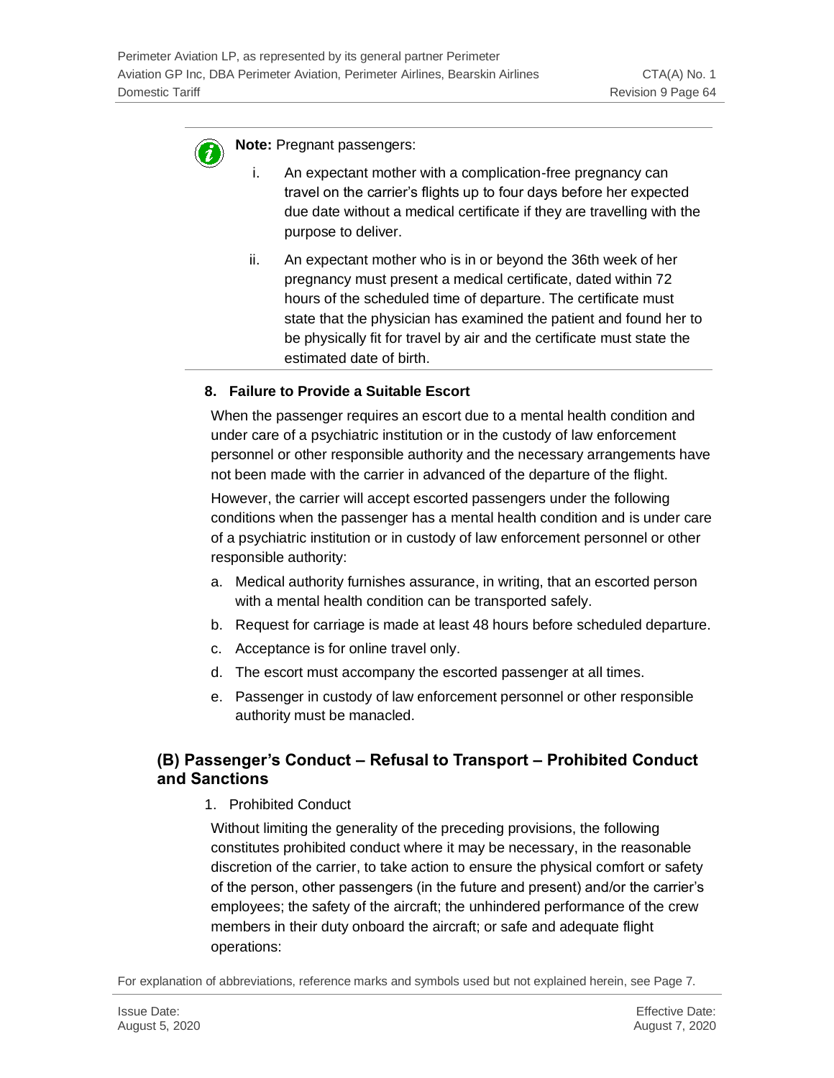

**Note:** Pregnant passengers:

- i. An expectant mother with a complication-free pregnancy can travel on the carrier's flights up to four days before her expected due date without a medical certificate if they are travelling with the purpose to deliver.
- ii. An expectant mother who is in or beyond the 36th week of her pregnancy must present a medical certificate, dated within 72 hours of the scheduled time of departure. The certificate must state that the physician has examined the patient and found her to be physically fit for travel by air and the certificate must state the estimated date of birth.

#### **8. Failure to Provide a Suitable Escort**

When the passenger requires an escort due to a mental health condition and under care of a psychiatric institution or in the custody of law enforcement personnel or other responsible authority and the necessary arrangements have not been made with the carrier in advanced of the departure of the flight.

However, the carrier will accept escorted passengers under the following conditions when the passenger has a mental health condition and is under care of a psychiatric institution or in custody of law enforcement personnel or other responsible authority:

- a. Medical authority furnishes assurance, in writing, that an escorted person with a mental health condition can be transported safely.
- b. Request for carriage is made at least 48 hours before scheduled departure.
- c. Acceptance is for online travel only.
- d. The escort must accompany the escorted passenger at all times.
- e. Passenger in custody of law enforcement personnel or other responsible authority must be manacled.

#### **(B) Passenger's Conduct – Refusal to Transport – Prohibited Conduct and Sanctions**

1. Prohibited Conduct

Without limiting the generality of the preceding provisions, the following constitutes prohibited conduct where it may be necessary, in the reasonable discretion of the carrier, to take action to ensure the physical comfort or safety of the person, other passengers (in the future and present) and/or the carrier's employees; the safety of the aircraft; the unhindered performance of the crew members in their duty onboard the aircraft; or safe and adequate flight operations: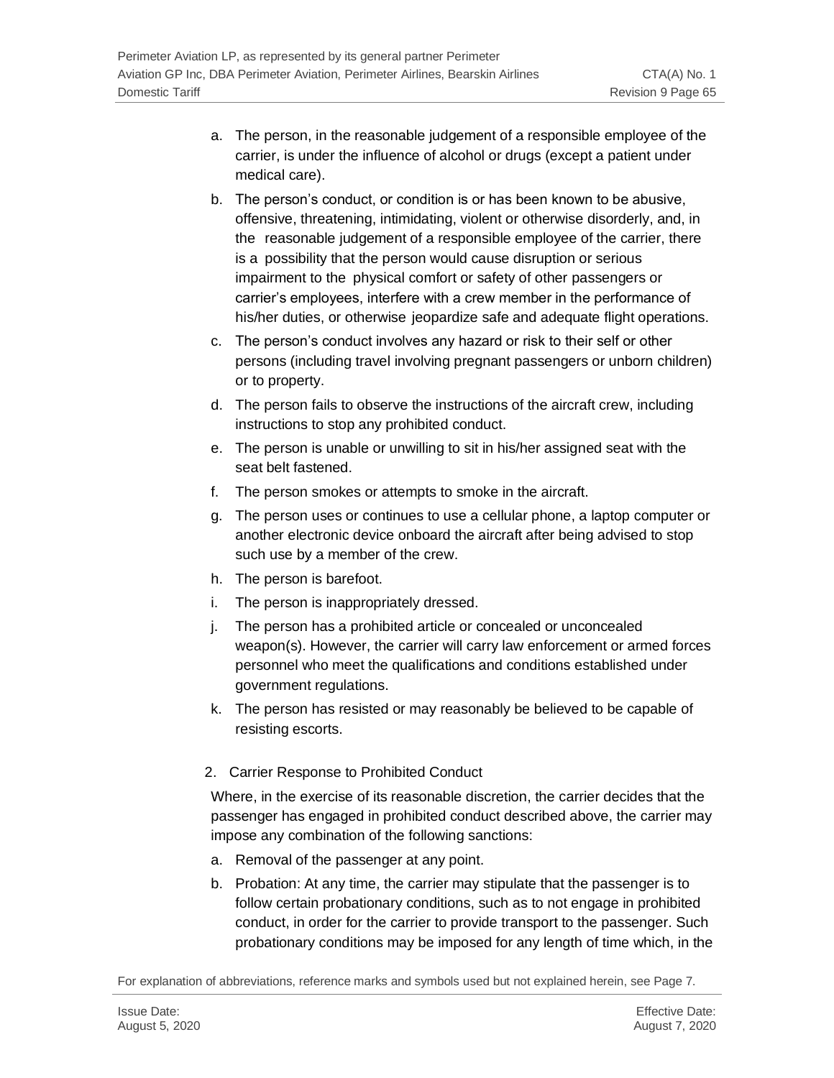- a. The person, in the reasonable judgement of a responsible employee of the carrier, is under the influence of alcohol or drugs (except a patient under medical care).
- b. The person's conduct, or condition is or has been known to be abusive, offensive, threatening, intimidating, violent or otherwise disorderly, and, in the reasonable judgement of a responsible employee of the carrier, there is a possibility that the person would cause disruption or serious impairment to the physical comfort or safety of other passengers or carrier's employees, interfere with a crew member in the performance of his/her duties, or otherwise jeopardize safe and adequate flight operations.
- c. The person's conduct involves any hazard or risk to their self or other persons (including travel involving pregnant passengers or unborn children) or to property.
- d. The person fails to observe the instructions of the aircraft crew, including instructions to stop any prohibited conduct.
- e. The person is unable or unwilling to sit in his/her assigned seat with the seat belt fastened.
- f. The person smokes or attempts to smoke in the aircraft.
- g. The person uses or continues to use a cellular phone, a laptop computer or another electronic device onboard the aircraft after being advised to stop such use by a member of the crew.
- h. The person is barefoot.
- i. The person is inappropriately dressed.
- j. The person has a prohibited article or concealed or unconcealed weapon(s). However, the carrier will carry law enforcement or armed forces personnel who meet the qualifications and conditions established under government regulations.
- k. The person has resisted or may reasonably be believed to be capable of resisting escorts.
- 2. Carrier Response to Prohibited Conduct

Where, in the exercise of its reasonable discretion, the carrier decides that the passenger has engaged in prohibited conduct described above, the carrier may impose any combination of the following sanctions:

- a. Removal of the passenger at any point.
- b. Probation: At any time, the carrier may stipulate that the passenger is to follow certain probationary conditions, such as to not engage in prohibited conduct, in order for the carrier to provide transport to the passenger. Such probationary conditions may be imposed for any length of time which, in the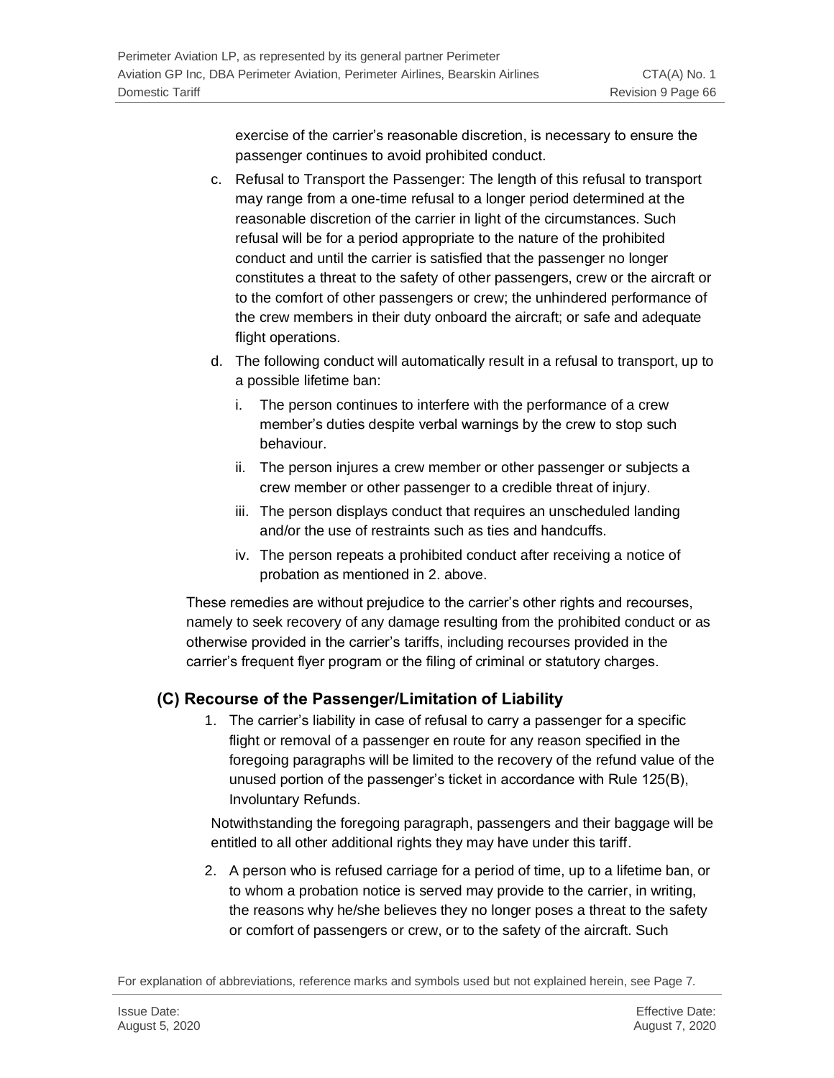exercise of the carrier's reasonable discretion, is necessary to ensure the passenger continues to avoid prohibited conduct.

- c. Refusal to Transport the Passenger: The length of this refusal to transport may range from a one-time refusal to a longer period determined at the reasonable discretion of the carrier in light of the circumstances. Such refusal will be for a period appropriate to the nature of the prohibited conduct and until the carrier is satisfied that the passenger no longer constitutes a threat to the safety of other passengers, crew or the aircraft or to the comfort of other passengers or crew; the unhindered performance of the crew members in their duty onboard the aircraft; or safe and adequate flight operations.
- d. The following conduct will automatically result in a refusal to transport, up to a possible lifetime ban:
	- i. The person continues to interfere with the performance of a crew member's duties despite verbal warnings by the crew to stop such behaviour.
	- ii. The person injures a crew member or other passenger or subjects a crew member or other passenger to a credible threat of injury.
	- iii. The person displays conduct that requires an unscheduled landing and/or the use of restraints such as ties and handcuffs.
	- iv. The person repeats a prohibited conduct after receiving a notice of probation as mentioned in 2. above.

These remedies are without prejudice to the carrier's other rights and recourses, namely to seek recovery of any damage resulting from the prohibited conduct or as otherwise provided in the carrier's tariffs, including recourses provided in the carrier's frequent flyer program or the filing of criminal or statutory charges.

### **(C) Recourse of the Passenger/Limitation of Liability**

1. The carrier's liability in case of refusal to carry a passenger for a specific flight or removal of a passenger en route for any reason specified in the foregoing paragraphs will be limited to the recovery of the refund value of the unused portion of the passenger's ticket in accordance with Rule 125(B), Involuntary Refunds.

Notwithstanding the foregoing paragraph, passengers and their baggage will be entitled to all other additional rights they may have under this tariff.

2. A person who is refused carriage for a period of time, up to a lifetime ban, or to whom a probation notice is served may provide to the carrier, in writing, the reasons why he/she believes they no longer poses a threat to the safety or comfort of passengers or crew, or to the safety of the aircraft. Such

For explanation of abbreviations, reference marks and symbols used but not explained herein, see Page 7.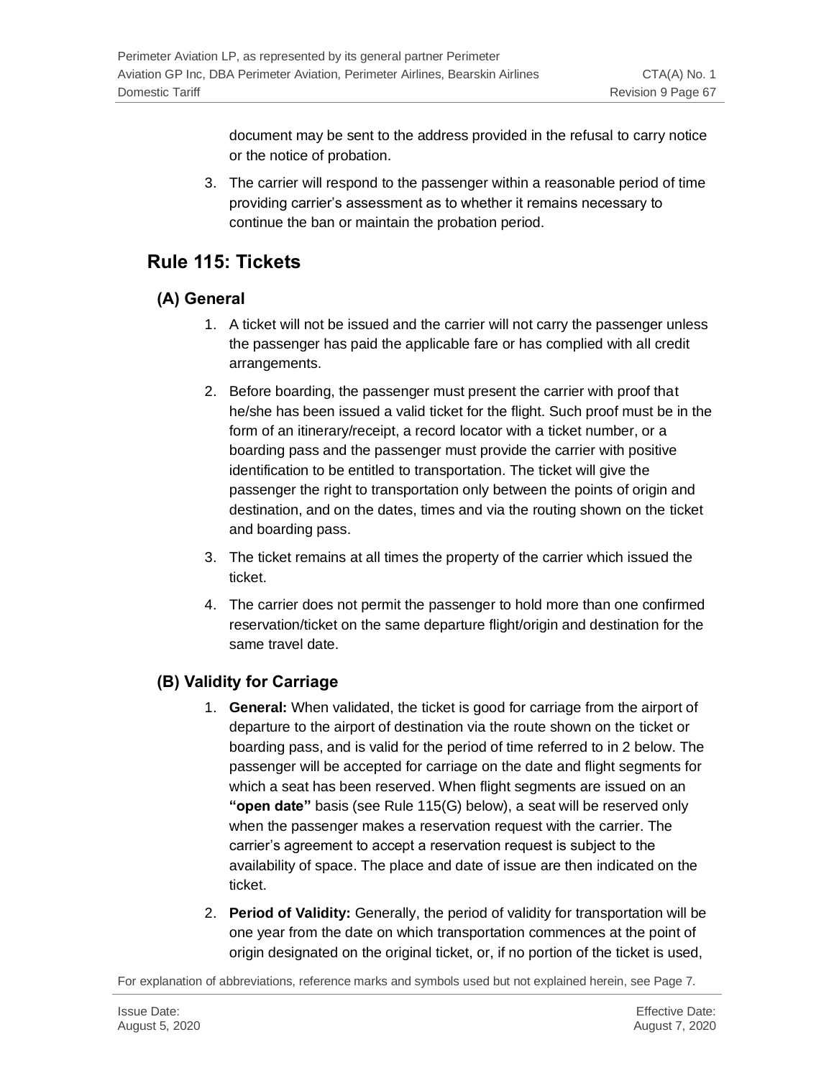document may be sent to the address provided in the refusal to carry notice or the notice of probation.

3. The carrier will respond to the passenger within a reasonable period of time providing carrier's assessment as to whether it remains necessary to continue the ban or maintain the probation period.

## **Rule 115: Tickets**

### **(A) General**

- 1. A ticket will not be issued and the carrier will not carry the passenger unless the passenger has paid the applicable fare or has complied with all credit arrangements.
- 2. Before boarding, the passenger must present the carrier with proof that he/she has been issued a valid ticket for the flight. Such proof must be in the form of an itinerary/receipt, a record locator with a ticket number, or a boarding pass and the passenger must provide the carrier with positive identification to be entitled to transportation. The ticket will give the passenger the right to transportation only between the points of origin and destination, and on the dates, times and via the routing shown on the ticket and boarding pass.
- 3. The ticket remains at all times the property of the carrier which issued the ticket.
- 4. The carrier does not permit the passenger to hold more than one confirmed reservation/ticket on the same departure flight/origin and destination for the same travel date.

## **(B) Validity for Carriage**

- 1. **General:** When validated, the ticket is good for carriage from the airport of departure to the airport of destination via the route shown on the ticket or boarding pass, and is valid for the period of time referred to in 2 below. The passenger will be accepted for carriage on the date and flight segments for which a seat has been reserved. When flight segments are issued on an **"open date"** basis (see Rule 115(G) below), a seat will be reserved only when the passenger makes a reservation request with the carrier. The carrier's agreement to accept a reservation request is subject to the availability of space. The place and date of issue are then indicated on the ticket.
- 2. **Period of Validity:** Generally, the period of validity for transportation will be one year from the date on which transportation commences at the point of origin designated on the original ticket, or, if no portion of the ticket is used,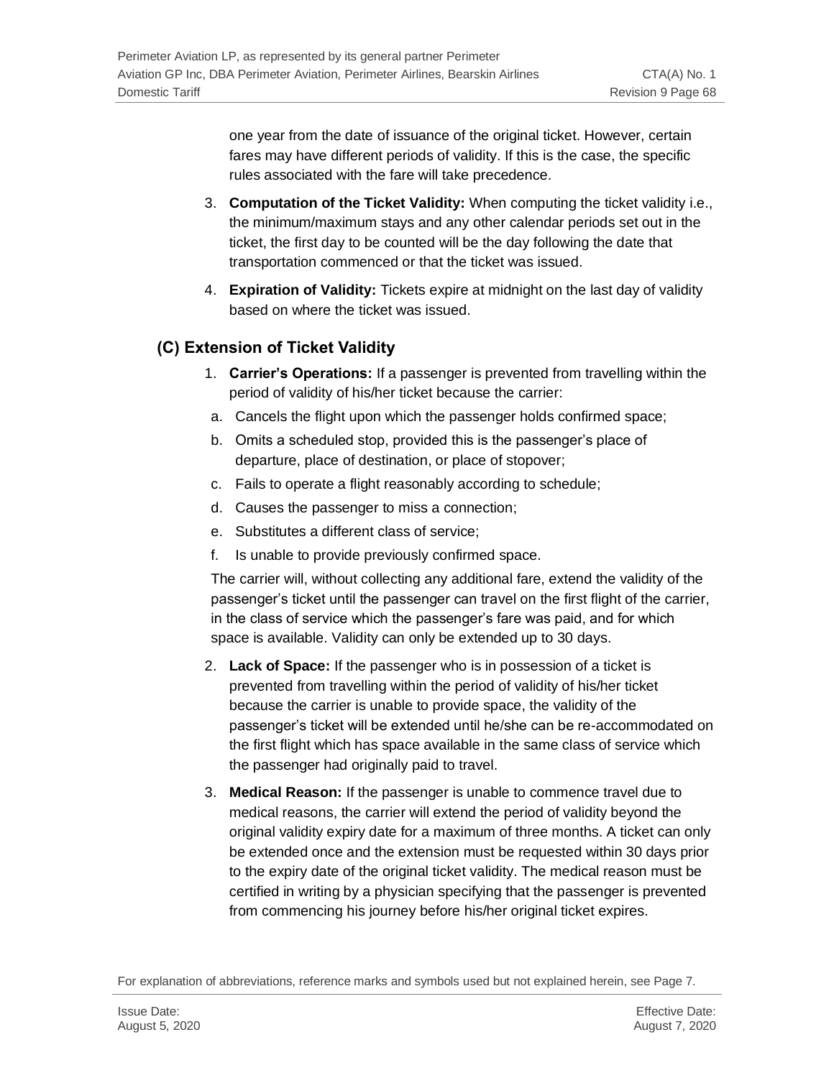one year from the date of issuance of the original ticket. However, certain fares may have different periods of validity. If this is the case, the specific rules associated with the fare will take precedence.

- 3. **Computation of the Ticket Validity:** When computing the ticket validity i.e., the minimum/maximum stays and any other calendar periods set out in the ticket, the first day to be counted will be the day following the date that transportation commenced or that the ticket was issued.
- 4. **Expiration of Validity:** Tickets expire at midnight on the last day of validity based on where the ticket was issued.

## **(C) Extension of Ticket Validity**

- 1. **Carrier's Operations:** If a passenger is prevented from travelling within the period of validity of his/her ticket because the carrier:
- a. Cancels the flight upon which the passenger holds confirmed space;
- b. Omits a scheduled stop, provided this is the passenger's place of departure, place of destination, or place of stopover;
- c. Fails to operate a flight reasonably according to schedule;
- d. Causes the passenger to miss a connection;
- e. Substitutes a different class of service;
- f. Is unable to provide previously confirmed space.

The carrier will, without collecting any additional fare, extend the validity of the passenger's ticket until the passenger can travel on the first flight of the carrier, in the class of service which the passenger's fare was paid, and for which space is available. Validity can only be extended up to 30 days.

- 2. **Lack of Space:** If the passenger who is in possession of a ticket is prevented from travelling within the period of validity of his/her ticket because the carrier is unable to provide space, the validity of the passenger's ticket will be extended until he/she can be re-accommodated on the first flight which has space available in the same class of service which the passenger had originally paid to travel.
- 3. **Medical Reason:** If the passenger is unable to commence travel due to medical reasons, the carrier will extend the period of validity beyond the original validity expiry date for a maximum of three months. A ticket can only be extended once and the extension must be requested within 30 days prior to the expiry date of the original ticket validity. The medical reason must be certified in writing by a physician specifying that the passenger is prevented from commencing his journey before his/her original ticket expires.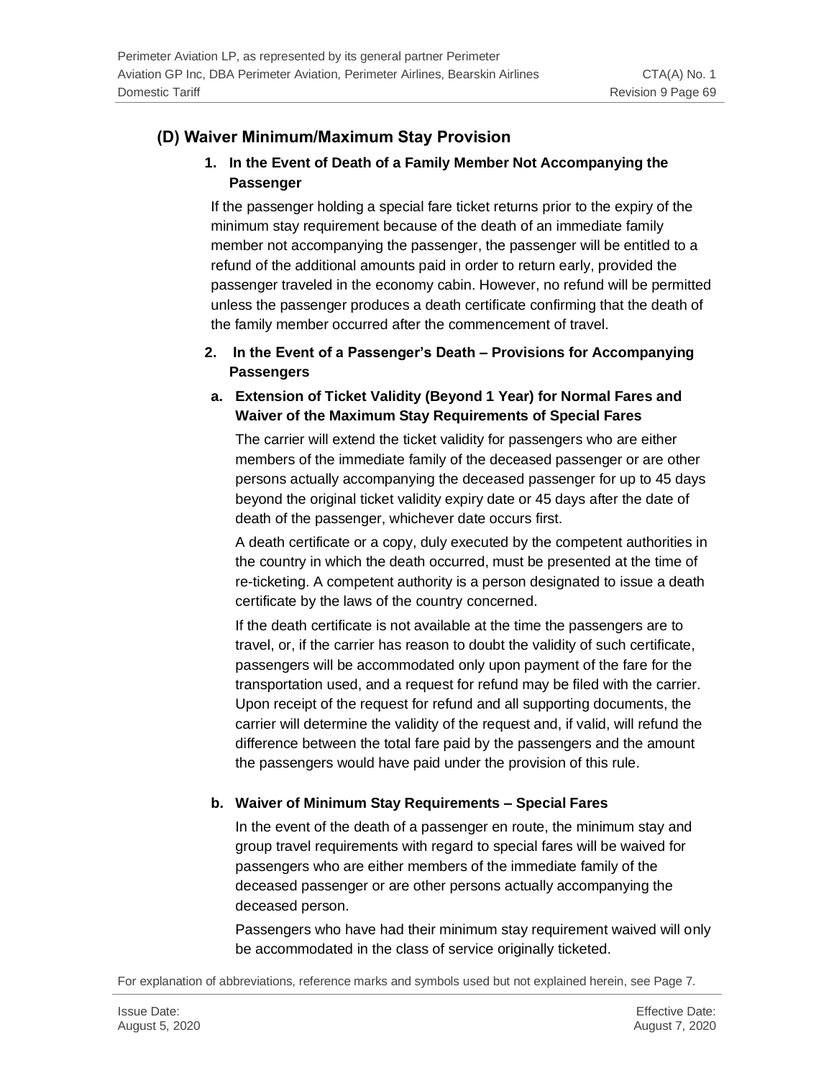#### **(D) Waiver Minimum/Maximum Stay Provision**

#### **1. In the Event of Death of a Family Member Not Accompanying the Passenger**

If the passenger holding a special fare ticket returns prior to the expiry of the minimum stay requirement because of the death of an immediate family member not accompanying the passenger, the passenger will be entitled to a refund of the additional amounts paid in order to return early, provided the passenger traveled in the economy cabin. However, no refund will be permitted unless the passenger produces a death certificate confirming that the death of the family member occurred after the commencement of travel.

#### **2. In the Event of a Passenger's Death – Provisions for Accompanying Passengers**

#### **a. Extension of Ticket Validity (Beyond 1 Year) for Normal Fares and Waiver of the Maximum Stay Requirements of Special Fares**

The carrier will extend the ticket validity for passengers who are either members of the immediate family of the deceased passenger or are other persons actually accompanying the deceased passenger for up to 45 days beyond the original ticket validity expiry date or 45 days after the date of death of the passenger, whichever date occurs first.

A death certificate or a copy, duly executed by the competent authorities in the country in which the death occurred, must be presented at the time of re-ticketing. A competent authority is a person designated to issue a death certificate by the laws of the country concerned.

If the death certificate is not available at the time the passengers are to travel, or, if the carrier has reason to doubt the validity of such certificate, passengers will be accommodated only upon payment of the fare for the transportation used, and a request for refund may be filed with the carrier. Upon receipt of the request for refund and all supporting documents, the carrier will determine the validity of the request and, if valid, will refund the difference between the total fare paid by the passengers and the amount the passengers would have paid under the provision of this rule.

#### **b. Waiver of Minimum Stay Requirements – Special Fares**

In the event of the death of a passenger en route, the minimum stay and group travel requirements with regard to special fares will be waived for passengers who are either members of the immediate family of the deceased passenger or are other persons actually accompanying the deceased person.

Passengers who have had their minimum stay requirement waived will only be accommodated in the class of service originally ticketed.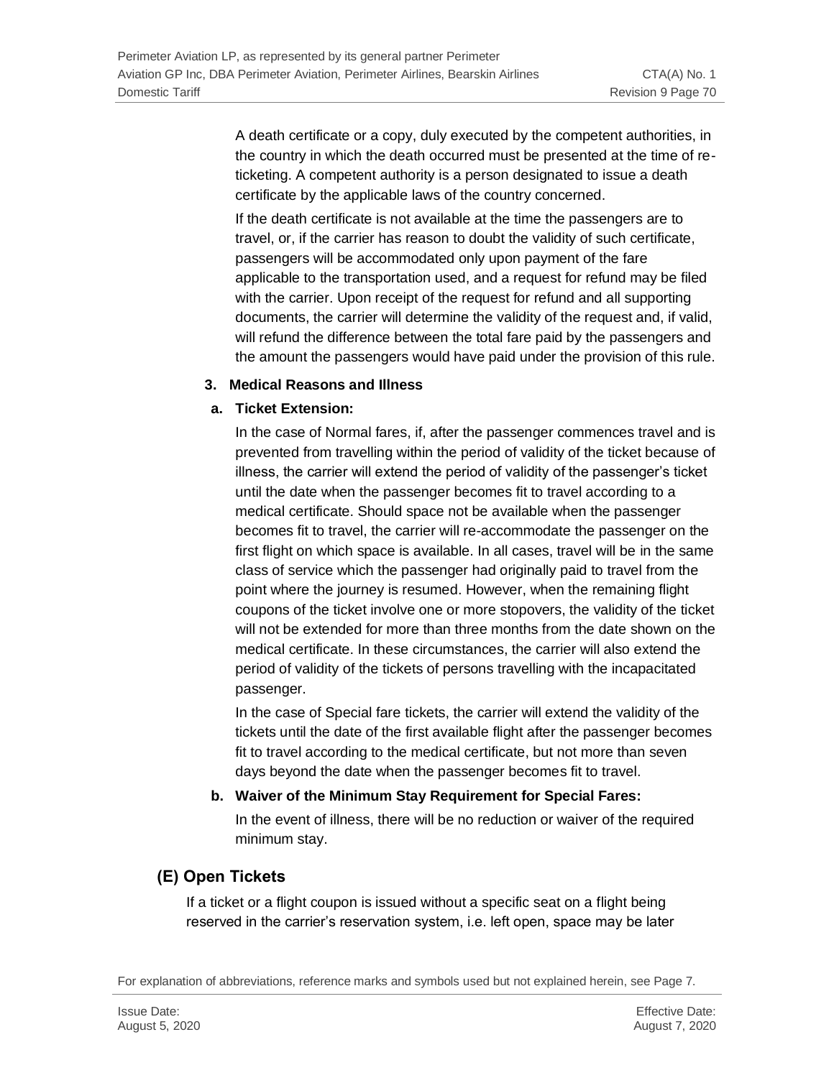A death certificate or a copy, duly executed by the competent authorities, in the country in which the death occurred must be presented at the time of reticketing. A competent authority is a person designated to issue a death certificate by the applicable laws of the country concerned.

If the death certificate is not available at the time the passengers are to travel, or, if the carrier has reason to doubt the validity of such certificate, passengers will be accommodated only upon payment of the fare applicable to the transportation used, and a request for refund may be filed with the carrier. Upon receipt of the request for refund and all supporting documents, the carrier will determine the validity of the request and, if valid, will refund the difference between the total fare paid by the passengers and the amount the passengers would have paid under the provision of this rule.

#### **3. Medical Reasons and Illness**

#### **a. Ticket Extension:**

In the case of Normal fares, if, after the passenger commences travel and is prevented from travelling within the period of validity of the ticket because of illness, the carrier will extend the period of validity of the passenger's ticket until the date when the passenger becomes fit to travel according to a medical certificate. Should space not be available when the passenger becomes fit to travel, the carrier will re-accommodate the passenger on the first flight on which space is available. In all cases, travel will be in the same class of service which the passenger had originally paid to travel from the point where the journey is resumed. However, when the remaining flight coupons of the ticket involve one or more stopovers, the validity of the ticket will not be extended for more than three months from the date shown on the medical certificate. In these circumstances, the carrier will also extend the period of validity of the tickets of persons travelling with the incapacitated passenger.

In the case of Special fare tickets, the carrier will extend the validity of the tickets until the date of the first available flight after the passenger becomes fit to travel according to the medical certificate, but not more than seven days beyond the date when the passenger becomes fit to travel.

#### **b. Waiver of the Minimum Stay Requirement for Special Fares:**

In the event of illness, there will be no reduction or waiver of the required minimum stay.

### **(E) Open Tickets**

If a ticket or a flight coupon is issued without a specific seat on a flight being reserved in the carrier's reservation system, i.e. left open, space may be later

For explanation of abbreviations, reference marks and symbols used but not explained herein, see Page 7.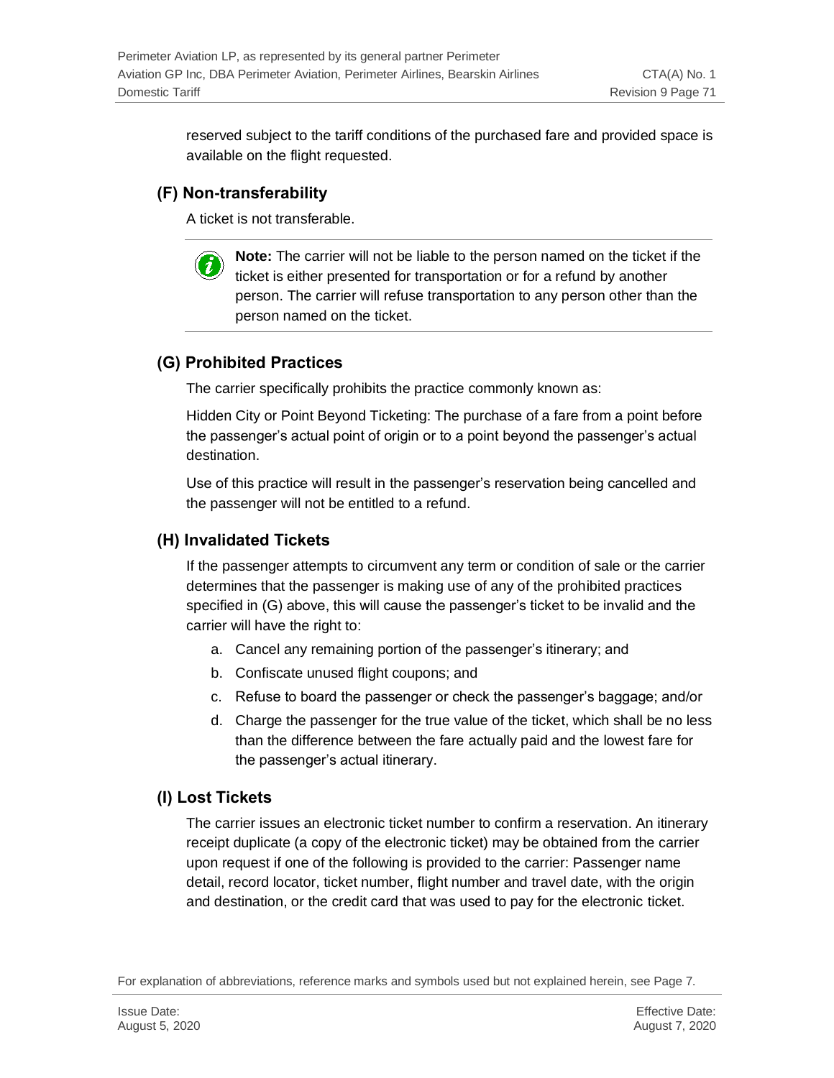reserved subject to the tariff conditions of the purchased fare and provided space is available on the flight requested.

### **(F) Non-transferability**

 $\boldsymbol{i}$ 

A ticket is not transferable.

**Note:** The carrier will not be liable to the person named on the ticket if the ticket is either presented for transportation or for a refund by another person. The carrier will refuse transportation to any person other than the person named on the ticket.

### **(G) Prohibited Practices**

The carrier specifically prohibits the practice commonly known as:

Hidden City or Point Beyond Ticketing: The purchase of a fare from a point before the passenger's actual point of origin or to a point beyond the passenger's actual destination.

Use of this practice will result in the passenger's reservation being cancelled and the passenger will not be entitled to a refund.

### **(H) Invalidated Tickets**

If the passenger attempts to circumvent any term or condition of sale or the carrier determines that the passenger is making use of any of the prohibited practices specified in (G) above, this will cause the passenger's ticket to be invalid and the carrier will have the right to:

- a. Cancel any remaining portion of the passenger's itinerary; and
- b. Confiscate unused flight coupons; and
- c. Refuse to board the passenger or check the passenger's baggage; and/or
- d. Charge the passenger for the true value of the ticket, which shall be no less than the difference between the fare actually paid and the lowest fare for the passenger's actual itinerary.

### **(I) Lost Tickets**

The carrier issues an electronic ticket number to confirm a reservation. An itinerary receipt duplicate (a copy of the electronic ticket) may be obtained from the carrier upon request if one of the following is provided to the carrier: Passenger name detail, record locator, ticket number, flight number and travel date, with the origin and destination, or the credit card that was used to pay for the electronic ticket.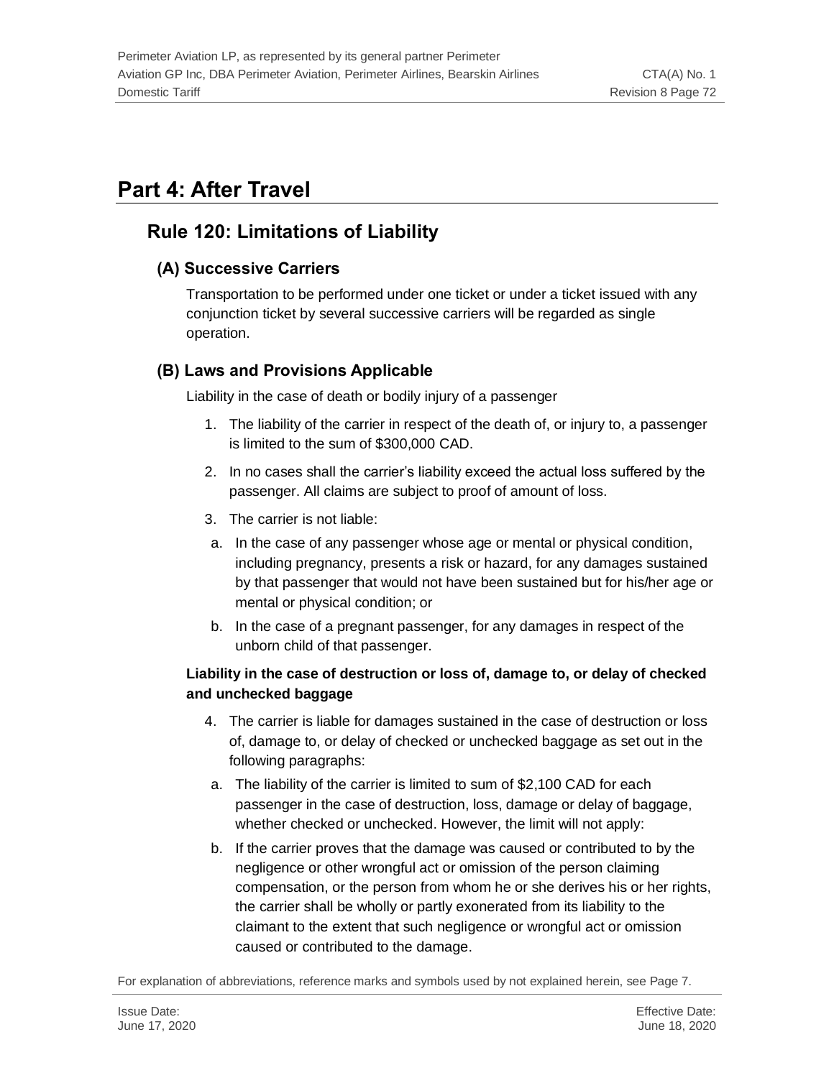# **Part 4: After Travel**

## **Rule 120: Limitations of Liability**

### **(A) Successive Carriers**

Transportation to be performed under one ticket or under a ticket issued with any conjunction ticket by several successive carriers will be regarded as single operation.

### **(B) Laws and Provisions Applicable**

Liability in the case of death or bodily injury of a passenger

- 1. The liability of the carrier in respect of the death of, or injury to, a passenger is limited to the sum of \$300,000 CAD.
- 2. In no cases shall the carrier's liability exceed the actual loss suffered by the passenger. All claims are subject to proof of amount of loss.
- 3. The carrier is not liable:
- a. In the case of any passenger whose age or mental or physical condition, including pregnancy, presents a risk or hazard, for any damages sustained by that passenger that would not have been sustained but for his/her age or mental or physical condition; or
- b. In the case of a pregnant passenger, for any damages in respect of the unborn child of that passenger.

#### **Liability in the case of destruction or loss of, damage to, or delay of checked and unchecked baggage**

- 4. The carrier is liable for damages sustained in the case of destruction or loss of, damage to, or delay of checked or unchecked baggage as set out in the following paragraphs:
- a. The liability of the carrier is limited to sum of \$2,100 CAD for each passenger in the case of destruction, loss, damage or delay of baggage, whether checked or unchecked. However, the limit will not apply:
- b. If the carrier proves that the damage was caused or contributed to by the negligence or other wrongful act or omission of the person claiming compensation, or the person from whom he or she derives his or her rights, the carrier shall be wholly or partly exonerated from its liability to the claimant to the extent that such negligence or wrongful act or omission caused or contributed to the damage.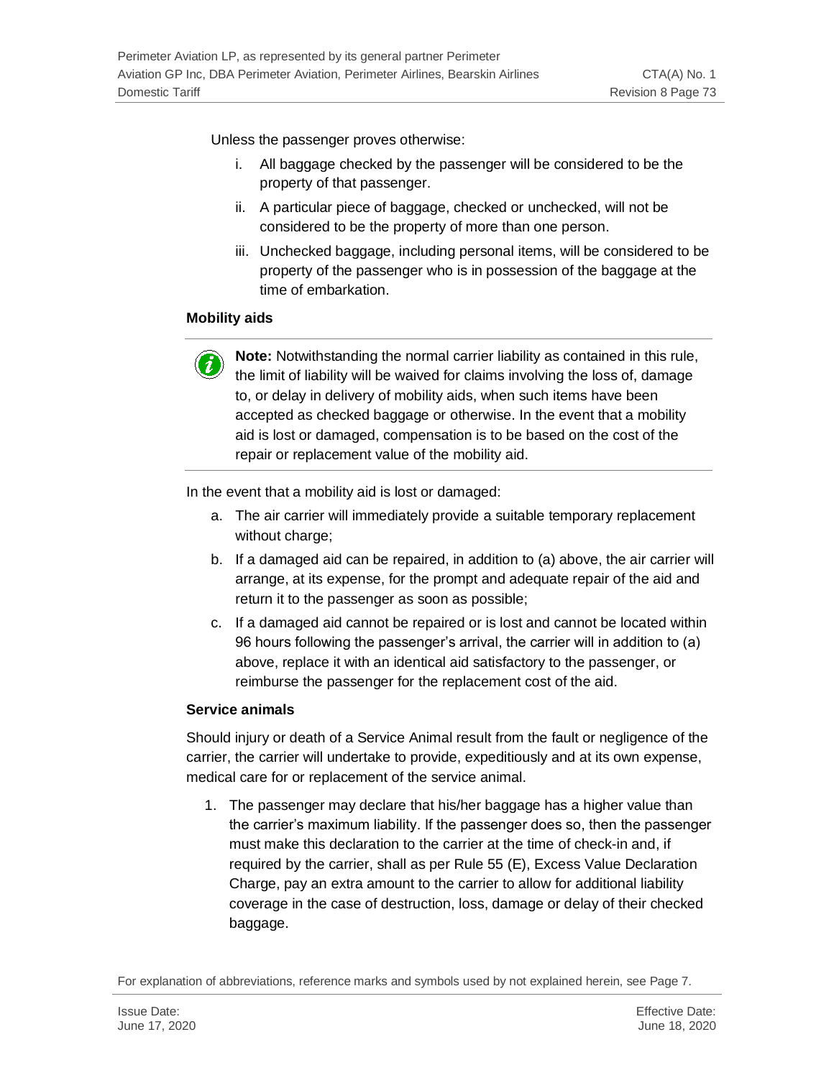Unless the passenger proves otherwise:

- i. All baggage checked by the passenger will be considered to be the property of that passenger.
- ii. A particular piece of baggage, checked or unchecked, will not be considered to be the property of more than one person.
- iii. Unchecked baggage, including personal items, will be considered to be property of the passenger who is in possession of the baggage at the time of embarkation.

### **Mobility aids**



**Note:** Notwithstanding the normal carrier liability as contained in this rule, the limit of liability will be waived for claims involving the loss of, damage to, or delay in delivery of mobility aids, when such items have been accepted as checked baggage or otherwise. In the event that a mobility aid is lost or damaged, compensation is to be based on the cost of the repair or replacement value of the mobility aid.

In the event that a mobility aid is lost or damaged:

- a. The air carrier will immediately provide a suitable temporary replacement without charge;
- b. If a damaged aid can be repaired, in addition to (a) above, the air carrier will arrange, at its expense, for the prompt and adequate repair of the aid and return it to the passenger as soon as possible;
- c. If a damaged aid cannot be repaired or is lost and cannot be located within 96 hours following the passenger's arrival, the carrier will in addition to (a) above, replace it with an identical aid satisfactory to the passenger, or reimburse the passenger for the replacement cost of the aid.

### **Service animals**

Should injury or death of a Service Animal result from the fault or negligence of the carrier, the carrier will undertake to provide, expeditiously and at its own expense, medical care for or replacement of the service animal.

1. The passenger may declare that his/her baggage has a higher value than the carrier's maximum liability. If the passenger does so, then the passenger must make this declaration to the carrier at the time of check-in and, if required by the carrier, shall as per Rule 55 (E), Excess Value Declaration Charge, pay an extra amount to the carrier to allow for additional liability coverage in the case of destruction, loss, damage or delay of their checked baggage.

For explanation of abbreviations, reference marks and symbols used by not explained herein, see Page 7.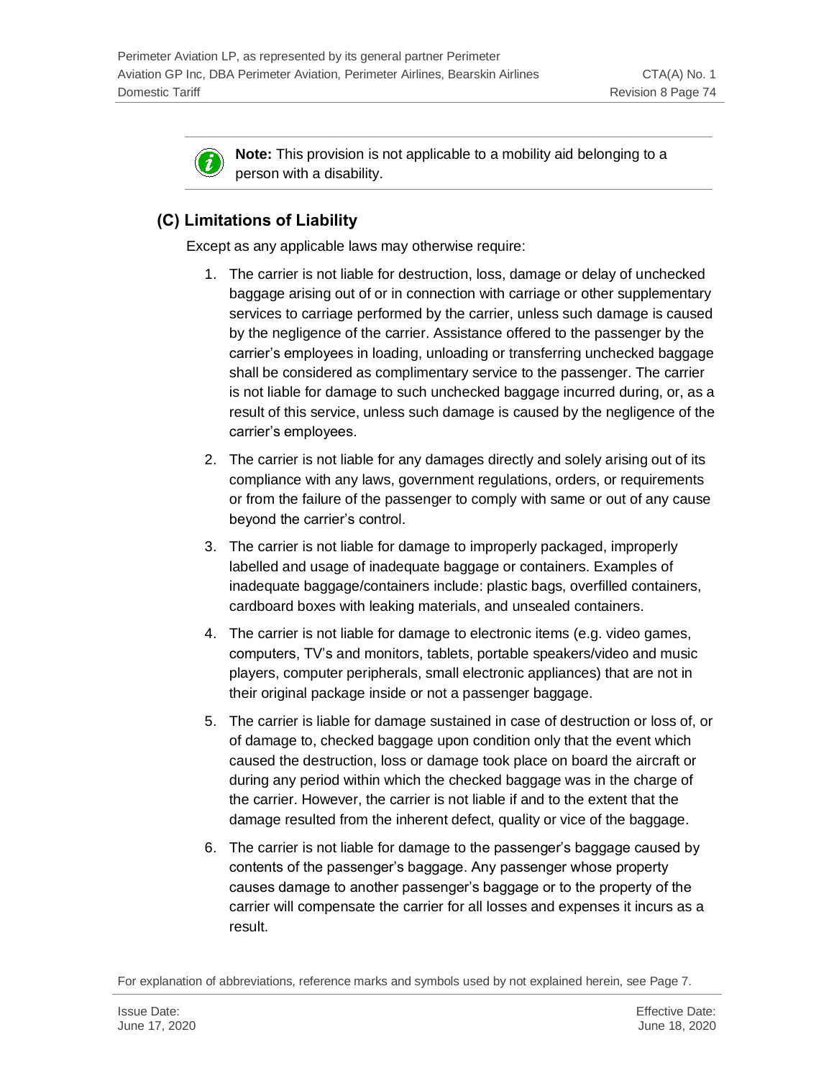**Note:** This provision is not applicable to a mobility aid belonging to a person with a disability.

# **(C) Limitations of Liability**

i

Except as any applicable laws may otherwise require:

- 1. The carrier is not liable for destruction, loss, damage or delay of unchecked baggage arising out of or in connection with carriage or other supplementary services to carriage performed by the carrier, unless such damage is caused by the negligence of the carrier. Assistance offered to the passenger by the carrier's employees in loading, unloading or transferring unchecked baggage shall be considered as complimentary service to the passenger. The carrier is not liable for damage to such unchecked baggage incurred during, or, as a result of this service, unless such damage is caused by the negligence of the carrier's employees.
- 2. The carrier is not liable for any damages directly and solely arising out of its compliance with any laws, government regulations, orders, or requirements or from the failure of the passenger to comply with same or out of any cause beyond the carrier's control.
- 3. The carrier is not liable for damage to improperly packaged, improperly labelled and usage of inadequate baggage or containers. Examples of inadequate baggage/containers include: plastic bags, overfilled containers, cardboard boxes with leaking materials, and unsealed containers.
- 4. The carrier is not liable for damage to electronic items (e.g. video games, computers, TV's and monitors, tablets, portable speakers/video and music players, computer peripherals, small electronic appliances) that are not in their original package inside or not a passenger baggage.
- 5. The carrier is liable for damage sustained in case of destruction or loss of, or of damage to, checked baggage upon condition only that the event which caused the destruction, loss or damage took place on board the aircraft or during any period within which the checked baggage was in the charge of the carrier. However, the carrier is not liable if and to the extent that the damage resulted from the inherent defect, quality or vice of the baggage.
- 6. The carrier is not liable for damage to the passenger's baggage caused by contents of the passenger's baggage. Any passenger whose property causes damage to another passenger's baggage or to the property of the carrier will compensate the carrier for all losses and expenses it incurs as a result.

For explanation of abbreviations, reference marks and symbols used by not explained herein, see Page 7.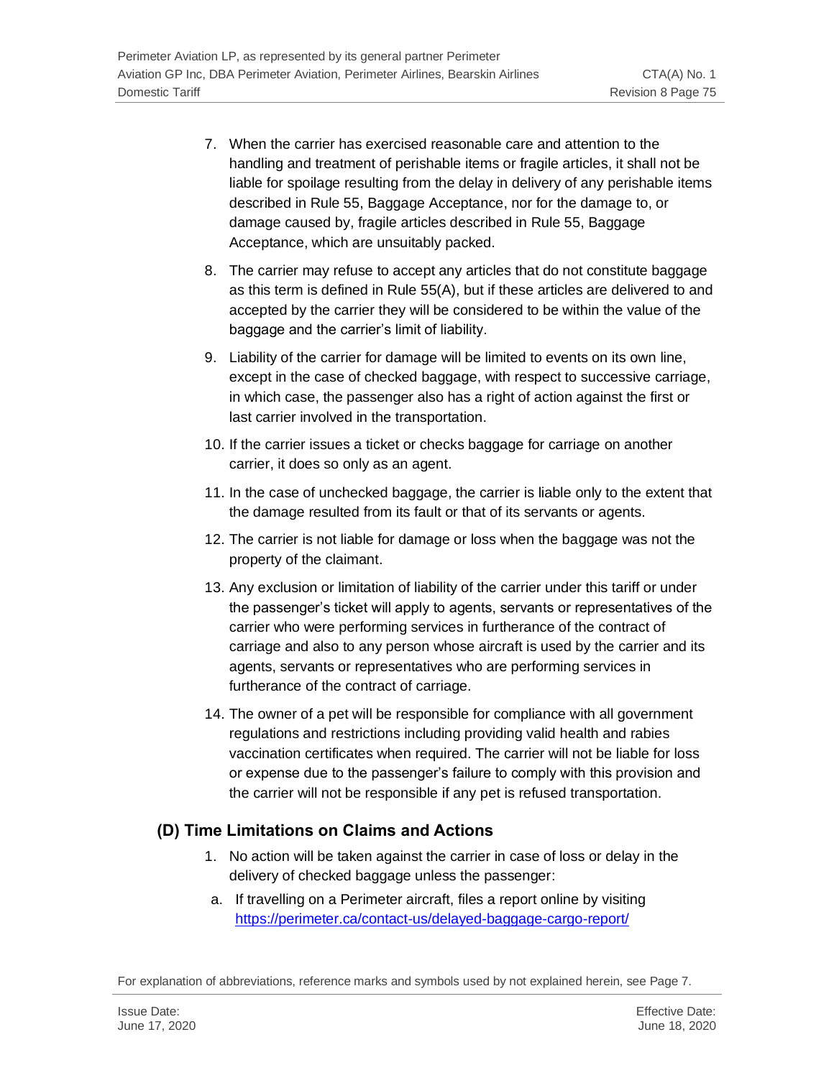- 7. When the carrier has exercised reasonable care and attention to the handling and treatment of perishable items or fragile articles, it shall not be liable for spoilage resulting from the delay in delivery of any perishable items described in Rule 55, Baggage Acceptance, nor for the damage to, or damage caused by, fragile articles described in Rule 55, Baggage Acceptance, which are unsuitably packed.
- 8. The carrier may refuse to accept any articles that do not constitute baggage as this term is defined in Rule 55(A), but if these articles are delivered to and accepted by the carrier they will be considered to be within the value of the baggage and the carrier's limit of liability.
- 9. Liability of the carrier for damage will be limited to events on its own line, except in the case of checked baggage, with respect to successive carriage, in which case, the passenger also has a right of action against the first or last carrier involved in the transportation.
- 10. If the carrier issues a ticket or checks baggage for carriage on another carrier, it does so only as an agent.
- 11. In the case of unchecked baggage, the carrier is liable only to the extent that the damage resulted from its fault or that of its servants or agents.
- 12. The carrier is not liable for damage or loss when the baggage was not the property of the claimant.
- 13. Any exclusion or limitation of liability of the carrier under this tariff or under the passenger's ticket will apply to agents, servants or representatives of the carrier who were performing services in furtherance of the contract of carriage and also to any person whose aircraft is used by the carrier and its agents, servants or representatives who are performing services in furtherance of the contract of carriage.
- 14. The owner of a pet will be responsible for compliance with all government regulations and restrictions including providing valid health and rabies vaccination certificates when required. The carrier will not be liable for loss or expense due to the passenger's failure to comply with this provision and the carrier will not be responsible if any pet is refused transportation.

# **(D) Time Limitations on Claims and Actions**

- 1. No action will be taken against the carrier in case of loss or delay in the delivery of checked baggage unless the passenger:
- a. If travelling on a Perimeter aircraft, files a report online by visiting <https://perimeter.ca/contact-us/delayed-baggage-cargo-report/>

For explanation of abbreviations, reference marks and symbols used by not explained herein, see Page 7.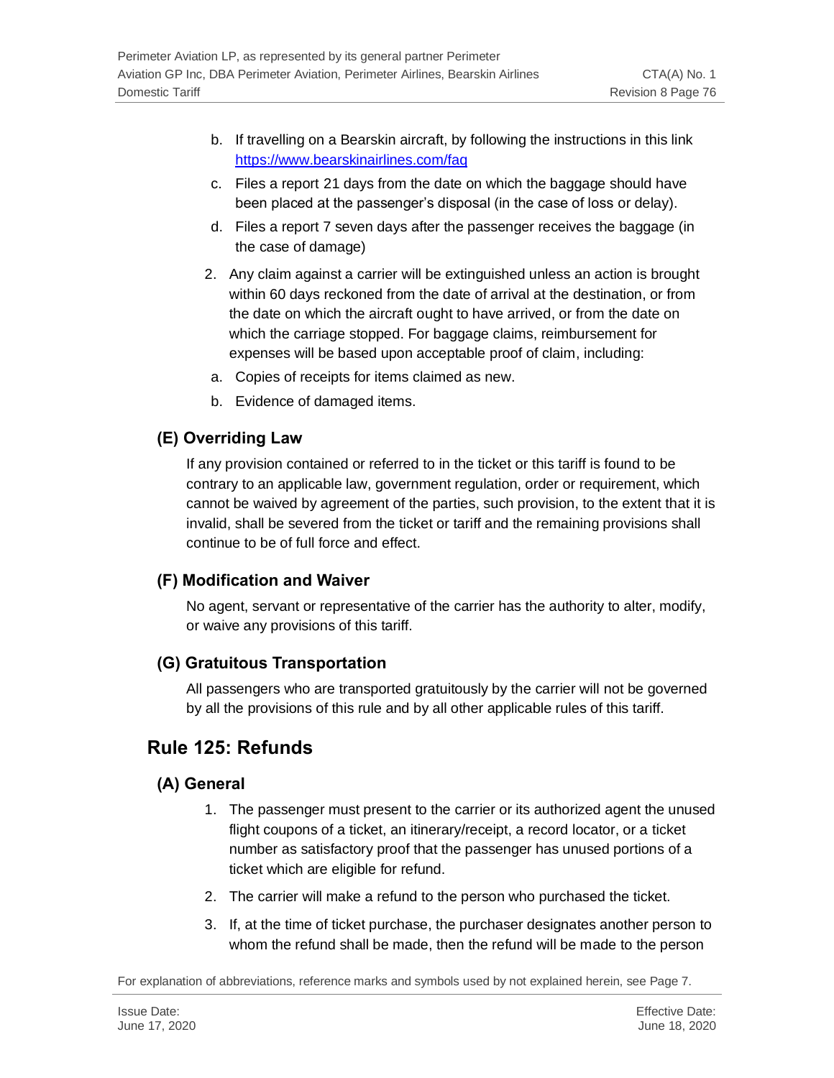- b. If travelling on a Bearskin aircraft, by following the instructions in this link <https://www.bearskinairlines.com/faq>
- c. Files a report 21 days from the date on which the baggage should have been placed at the passenger's disposal (in the case of loss or delay).
- d. Files a report 7 seven days after the passenger receives the baggage (in the case of damage)
- 2. Any claim against a carrier will be extinguished unless an action is brought within 60 days reckoned from the date of arrival at the destination, or from the date on which the aircraft ought to have arrived, or from the date on which the carriage stopped. For baggage claims, reimbursement for expenses will be based upon acceptable proof of claim, including:
- a. Copies of receipts for items claimed as new.
- b. Evidence of damaged items.

## **(E) Overriding Law**

If any provision contained or referred to in the ticket or this tariff is found to be contrary to an applicable law, government regulation, order or requirement, which cannot be waived by agreement of the parties, such provision, to the extent that it is invalid, shall be severed from the ticket or tariff and the remaining provisions shall continue to be of full force and effect.

### **(F) Modification and Waiver**

No agent, servant or representative of the carrier has the authority to alter, modify, or waive any provisions of this tariff.

### **(G) Gratuitous Transportation**

All passengers who are transported gratuitously by the carrier will not be governed by all the provisions of this rule and by all other applicable rules of this tariff.

# **Rule 125: Refunds**

### **(A) General**

- 1. The passenger must present to the carrier or its authorized agent the unused flight coupons of a ticket, an itinerary/receipt, a record locator, or a ticket number as satisfactory proof that the passenger has unused portions of a ticket which are eligible for refund.
- 2. The carrier will make a refund to the person who purchased the ticket.
- 3. If, at the time of ticket purchase, the purchaser designates another person to whom the refund shall be made, then the refund will be made to the person

For explanation of abbreviations, reference marks and symbols used by not explained herein, see Page 7.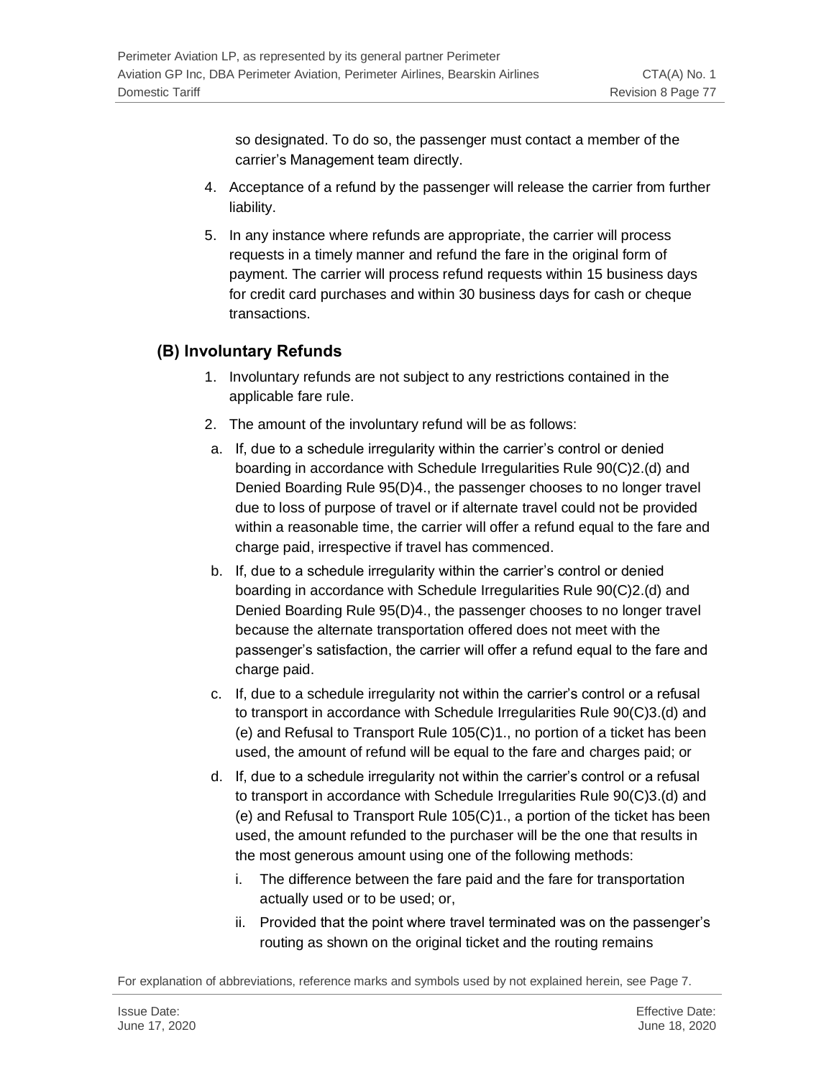so designated. To do so, the passenger must contact a member of the carrier's Management team directly.

- 4. Acceptance of a refund by the passenger will release the carrier from further liability.
- 5. In any instance where refunds are appropriate, the carrier will process requests in a timely manner and refund the fare in the original form of payment. The carrier will process refund requests within 15 business days for credit card purchases and within 30 business days for cash or cheque transactions.

# **(B) Involuntary Refunds**

- 1. Involuntary refunds are not subject to any restrictions contained in the applicable fare rule.
- 2. The amount of the involuntary refund will be as follows:
- a. If, due to a schedule irregularity within the carrier's control or denied boarding in accordance with Schedule Irregularities Rule 90(C)2.(d) and Denied Boarding Rule 95(D)4., the passenger chooses to no longer travel due to loss of purpose of travel or if alternate travel could not be provided within a reasonable time, the carrier will offer a refund equal to the fare and charge paid, irrespective if travel has commenced.
- b. If, due to a schedule irregularity within the carrier's control or denied boarding in accordance with Schedule Irregularities Rule 90(C)2.(d) and Denied Boarding Rule 95(D)4., the passenger chooses to no longer travel because the alternate transportation offered does not meet with the passenger's satisfaction, the carrier will offer a refund equal to the fare and charge paid.
- c. If, due to a schedule irregularity not within the carrier's control or a refusal to transport in accordance with Schedule Irregularities Rule 90(C)3.(d) and (e) and Refusal to Transport Rule 105(C)1., no portion of a ticket has been used, the amount of refund will be equal to the fare and charges paid; or
- d. If, due to a schedule irregularity not within the carrier's control or a refusal to transport in accordance with Schedule Irregularities Rule 90(C)3.(d) and (e) and Refusal to Transport Rule 105(C)1., a portion of the ticket has been used, the amount refunded to the purchaser will be the one that results in the most generous amount using one of the following methods:
	- i. The difference between the fare paid and the fare for transportation actually used or to be used; or,
	- ii. Provided that the point where travel terminated was on the passenger's routing as shown on the original ticket and the routing remains

For explanation of abbreviations, reference marks and symbols used by not explained herein, see Page 7.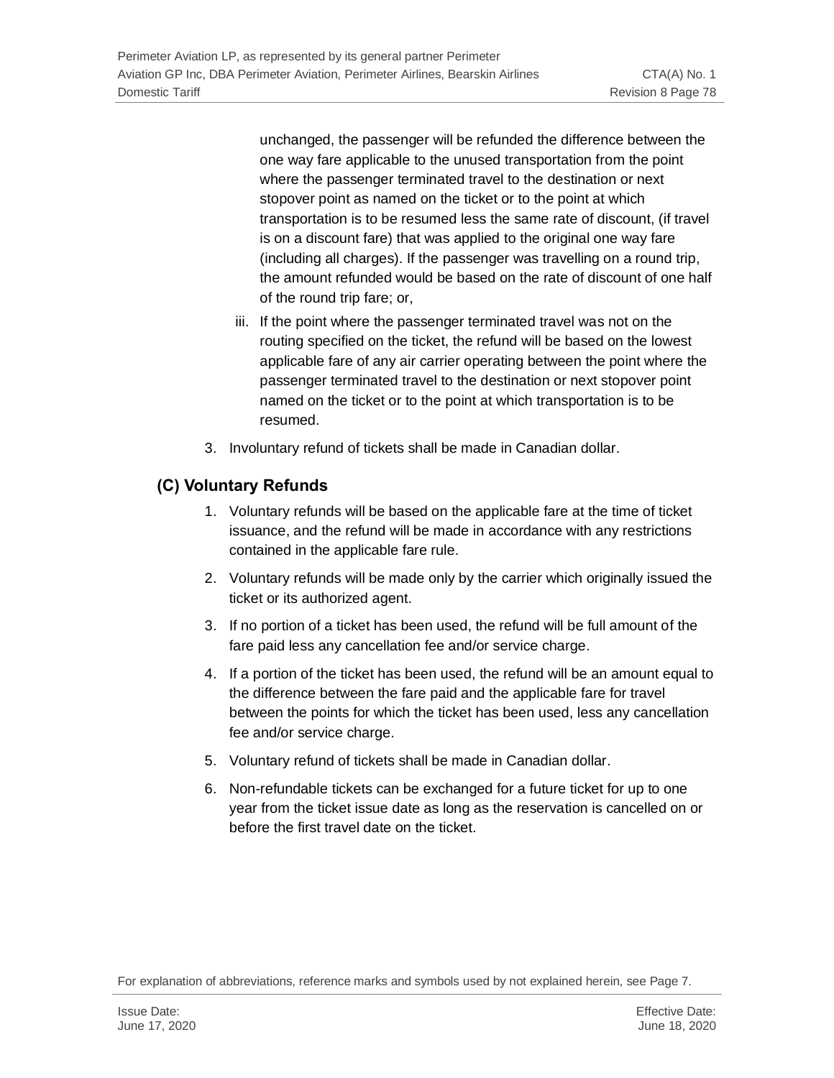unchanged, the passenger will be refunded the difference between the one way fare applicable to the unused transportation from the point where the passenger terminated travel to the destination or next stopover point as named on the ticket or to the point at which transportation is to be resumed less the same rate of discount, (if travel is on a discount fare) that was applied to the original one way fare (including all charges). If the passenger was travelling on a round trip, the amount refunded would be based on the rate of discount of one half of the round trip fare; or,

- iii. If the point where the passenger terminated travel was not on the routing specified on the ticket, the refund will be based on the lowest applicable fare of any air carrier operating between the point where the passenger terminated travel to the destination or next stopover point named on the ticket or to the point at which transportation is to be resumed.
- 3. Involuntary refund of tickets shall be made in Canadian dollar.

## **(C) Voluntary Refunds**

- 1. Voluntary refunds will be based on the applicable fare at the time of ticket issuance, and the refund will be made in accordance with any restrictions contained in the applicable fare rule.
- 2. Voluntary refunds will be made only by the carrier which originally issued the ticket or its authorized agent.
- 3. If no portion of a ticket has been used, the refund will be full amount of the fare paid less any cancellation fee and/or service charge.
- 4. If a portion of the ticket has been used, the refund will be an amount equal to the difference between the fare paid and the applicable fare for travel between the points for which the ticket has been used, less any cancellation fee and/or service charge.
- 5. Voluntary refund of tickets shall be made in Canadian dollar.
- 6. Non-refundable tickets can be exchanged for a future ticket for up to one year from the ticket issue date as long as the reservation is cancelled on or before the first travel date on the ticket.

For explanation of abbreviations, reference marks and symbols used by not explained herein, see Page 7.